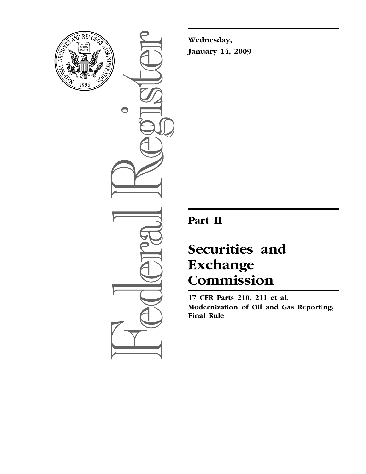

 $\bullet$ 

**Wednesday, January 14, 2009** 

**Part II** 

# **Securities and Exchange Commission**

**17 CFR Parts 210, 211 et al. Modernization of Oil and Gas Reporting; Final Rule**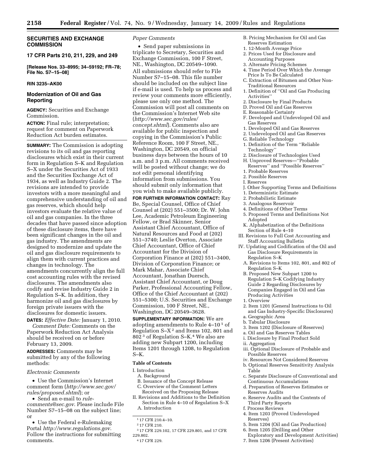## **SECURITIES AND EXCHANGE COMMISSION**

# **17 CFR Parts 210, 211, 229, and 249**

**[Release Nos. 33–8995; 34–59192; FR–78; File No. S7–15–08]** 

## **RIN 3235–AK00**

# **Modernization of Oil and Gas Reporting**

**AGENCY:** Securities and Exchange Commission.

**ACTION:** Final rule; interpretation; request for comment on Paperwork Reduction Act burden estimates.

**SUMMARY:** The Commission is adopting revisions to its oil and gas reporting disclosures which exist in their current form in Regulation S–K and Regulation S–X under the Securities Act of 1933 and the Securities Exchange Act of 1934, as well as Industry Guide 2. The revisions are intended to provide investors with a more meaningful and comprehensive understanding of oil and gas reserves, which should help investors evaluate the relative value of oil and gas companies. In the three decades that have passed since adoption of these disclosure items, there have been significant changes in the oil and gas industry. The amendments are designed to modernize and update the oil and gas disclosure requirements to align them with current practices and changes in technology. The amendments concurrently align the full cost accounting rules with the revised disclosures. The amendments also codify and revise Industry Guide 2 in Regulation S–K. In addition, they harmonize oil and gas disclosures by foreign private issuers with the disclosures for domestic issuers.

**DATES:** *Effective Date:* January 1, 2010.

*Comment Date:* Comments on the Paperwork Reduction Act Analysis should be received on or before February 13, 2009.

**ADDRESSES:** Comments may be submitted by any of the following methods:

*Electronic Comments* 

• Use the Commission's Internet comment form (*[http://www.sec.gov/](http://www.sec.gov/rules/proposed.shtml)  rules/proposed.shtml*); or

• Send an e-mail to *rule-*

*[comments@sec.gov](mailto:rule-comments@sec.gov)*. Please include File Number S7–15–08 on the subject line; or

• Use the Federal e-Rulemaking Portal *<http://www.regulations.gov>*. Follow the instructions for submitting comments.

#### *Paper Comments*

• Send paper submissions in triplicate to Secretary, Securities and Exchange Commission, 100 F Street, NE., Washington, DC 20549–1090. All submissions should refer to File Number S7–15–08. This file number should be included on the subject line if e-mail is used. To help us process and review your comments more efficiently, please use only one method. The Commission will post all comments on the Commission's Internet Web site (*[http://www.sec.gov/rules/](http://www.sec.gov/rules/concept.shtml)  concept.shtml*). Comments also are available for public inspection and copying in the Commission's Public Reference Room, 100 F Street, NE., Washington, DC 20549, on official business days between the hours of 10 a.m. and 3 p.m. All comments received will be posted without change; we do not edit personal identifying information from submissions. You should submit only information that you wish to make available publicly. **FOR FURTHER INFORMATION CONTACT:** Ray Be, Special Counsel, Office of Chief Counsel at (202) 551–3500; Dr. W. John Lee, Academic Petroleum Engineering Fellow, or Brad Skinner, Senior Assistant Chief Accountant, Office of Natural Resources and Food at (202) 551–3740; Leslie Overton, Associate Chief Accountant, Office of Chief Accountant for the Division of Corporation Finance at (202) 551–3400, Division of Corporation Finance; or Mark Mahar, Associate Chief Accountant, Jonathan Duersch, Assistant Chief Accountant, or Doug Parker, Professional Accounting Fellow, Office of the Chief Accountant at (202) 551–5300; U.S. Securities and Exchange Commission, 100 F Street, NE., Washington, DC 20549–3628.

**SUPPLEMENTARY INFORMATION:** We are adopting amendments to Rule 4–10 1 of Regulation S–X 2 and Items 102, 801 and 802 3 of Regulation S–K.4 We also are adding new Subpart 1200, including Items 1201 through 1208, to Regulation  $S-K$ .

## **Table of Contents**

- I. Introduction
- A. Background
- B. Issuance of the Concept Release C. Overview of the Comment Letters
- Received on the Proposing Release II. Revisions and Additions to the Definition
- Section in Rule 4–10 of Regulation S–X A. Introduction

4 17 CFR 229.

- B. Pricing Mechanism for Oil and Gas
- Reserves Estimation
- 1. 12-Month Average Price
- 2. Prices Used for Disclosure and Accounting Purposes
- 3. Alternate Pricing Schemes
- 4. Time Period Over Which the Average Price Is To Be Calculated
- C. Extraction of Bitumen and Other Non-Traditional Resources
- 1. Definition of ''Oil and Gas Producing Activities''
- 2. Disclosure by Final Products
- D. Proved Oil and Gas Reserves
- E. Reasonable Certainty
- F. Developed and Undeveloped Oil and Gas Reserves
- 1. Developed Oil and Gas Reserves
- 2. Undeveloped Oil and Gas Reserves
- G. Reliable Technology
- 1. Definition of the Term ''Reliable Technology''
- 2. Disclosure of Technologies Used
- H. Unproved Reserves—''Probable Reserves'' and ''Possible Reserves''
- 1. Probable Reserves
- 2. Possible Reserves
- I. Reserves
- J. Other Supporting Terms and Definitions
- 1. Deterministic Estimate
- 2. Probabilistic Estimate
- 3. Analogous Reservoir
- 4. Definitions of Other Terms
- 5. Proposed Terms and Definitions Not Adopted
- K. Alphabetization of the Definitions Section of Rule 4–10
- III. Revisions to Full Cost Accounting and Staff Accounting Bulletin
- IV. Updating and Codification of the Oil and Gas Disclosure Requirements in Regulation S–K
	- A. Revisions to Items 102, 801, and 802 of Regulation S–K
	- B. Proposed New Subpart 1200 to Regulation S–K Codifying Industry Guide 2 Regarding Disclosures by Companies Engaged in Oil and Gas Producing Activities
- 1. Overview
- 2. Item 1201 (General Instructions to Oil and Gas Industry-Specific Disclosures)
- a. Geographic Area
- b. Tabular Disclosure
- 3. Item 1202 (Disclosure of Reserves)
- a. Oil and Gas Reserves Tables i. Disclosure by Final Product Sold
- 
- ii. Aggregation
- iii. Optional Disclosure of Probable and Possible Reserves
- iv. Resources Not Considered Reserves
- b. Optional Reserves Sensitivity Analysis Table
- c. Separate Disclosure of Conventional and Continuous Accumulations
- d. Preparation of Reserves Estimates or Reserves Audits
- e. Reserve Audits and the Contents of Third Party Reports
- f. Process Reviews
- 4. Item 1203 (Proved Undeveloped Reserves)
- 5. Item 1204 (Oil and Gas Production)
- 6. Item 1205 (Drilling and Other
- Exploratory and Development Activities)
- 7. Item 1206 (Present Activities)

<sup>1</sup> 17 CFR 210.4–10.

<sup>2</sup> 17 CFR 210.

<sup>3</sup> 17 CFR 229.102, 17 CFR 229.801, and 17 CFR 229.802.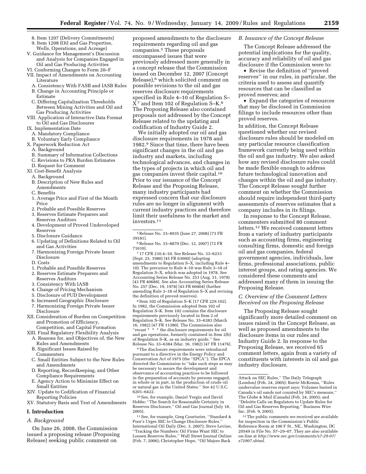- 8. Item 1207 (Delivery Commitments) 9. Item 1208 (Oil and Gas Properties, Wells, Operations, and Acreage)
- V. Guidance for Management's Discussion and Analysis for Companies Engaged in Oil and Gas Producing Activities
- VI. Conforming Changes to Form 20–F
- VII. Impact of Amendments on Accounting Literature
	- A. Consistency With FASB and IASB Rules
	- B. Change in Accounting Principle or Estimate
	- C. Differing Capitalization Thresholds Between Mining Activities and Oil and Gas Producing Activities
- VIII. Application of Interactive Data Format to Oil and Gas Disclosures
- IX. Implementation Date
- A. Mandatory Compliance
- B. Voluntary Early Compliance
- X. Paperwork Reduction Act
	- A. Background
- B. Summary of Information Collections
- C. Revisions to PRA Burden Estimates
- D. Request for Comment
- XI. Cost-Benefit Analysis
	- A. Background B. Description of New Rules and
	- Amendments
	- C. Benefits
	- 1. Average Price and First of the Month Price
	- 2. Probable and Possible Reserves
	- 3. Reserves Estimate Preparers and
	- Reserves Auditors 4. Development of Proved Undeveloped
	- Reserves
	- 5. Disclosure Guidance
	- 6. Updating of Definitions Related to Oil and Gas Activities
	- 7. Harmonizing Foreign Private Issuer Disclosure
	- D. Costs
	- 1. Probable and Possible Reserves
	- 2. Reserves Estimate Preparers and
	- Reserves Auditors
	- 3. Consistency With IASB
	- 4. Change of Pricing Mechanism
	- 5. Disclosure of PUD Development
	- 6. Increased Geographic Disclosure
	- 7. Harmonizing Foreign Private Issuer Disclosure
- XII. Consideration of Burden on Competition and Promotion of Efficiency, Competition, and Capital Formation
- XIII. Final Regulatory Flexibility Analysis
- A. Reasons for, and Objectives of, the New Rules and Amendments
- B. Significant Issues Raised by **Commenters**
- C. Small Entities Subject to the New Rules and Amendments
- D. Reporting, Recordkeeping, and Other Compliance Requirements
- E. Agency Action to Minimize Effect on Small Entities
- XIV. Update to Codification of Financial Reporting Policies
- XV. Statutory Basis and Text of Amendments

## **I. Introduction**

## *A. Background*

On June 26, 2008, the Commission issued a proposing release (Proposing Release) seeking public comment on

proposed amendments to the disclosure requirements regarding oil and gas companies.5 These proposals encompassed issues that were previously addressed more generally in a concept release that the Commission issued on December 12, 2007 (Concept Release),6 which solicited comment on possible revisions to the oil and gas reserves disclosure requirements specified in Rule 4–10 of Regulation S– X 7 and Item 102 of Regulation S–K.8 The Proposing Release also contained proposals not addressed by the Concept Release related to the updating and codification of Industry Guide 2.

We initially adopted our oil and gas disclosure requirements in 1978 and 1982.9 Since that time, there have been significant changes in the oil and gas industry and markets, including technological advances, and changes in the types of projects in which oil and gas companies invest their capital.10 Prior to our issuance of the Concept Release and the Proposing Release, many industry participants had expressed concern that our disclosure rules are no longer in alignment with current industry practices and therefore limit their usefulness to the market and investors.11

6Release No. 33–8870 (Dec. 12, 2007) [72 FR 71610].

7 17 CFR 210.4–10. See Release No. 33–6233 (Sept. 25, 1980) [45 FR 63660] (adopting amendments to Regulation S–X, including Rule 4– 10). The precursor to Rule 4–10 was Rule 3–18 of Regulation S–X, which was adopted in 1978. See Accounting Series Release No. 253 (Aug. 31, 1978) [43 FR 40688]. See also Accounting Series Release No. 257 (Dec. 19, 1978) [43 FR 60404] (further amending Rule 3–18 of Regulation S–X and revising the definition of proved reserves).

8 Item 102 of Regulation S–K [17 CFR 229.102]. In 1982, the Commission adopted Item 102 of Regulation S–K. Item 102 contains the disclosure requirements previously located in Item 2 of Regulation S–K. See Release No. 33–6383 (March 16, 1982) [47 FR 11380]. The Commission also ''recast \* \* \* the disclosure requirements for oil and gas operations, formerly contained in Item 2(b) of Regulation S–K, as an industry guide.'' See Release No. 33–6384 (Mar. 16, 1982) [47 FR 11476].

<sup>9</sup>The disclosure requirements were introduced pursuant to a directive in the Energy Policy and Conservation Act of 1975 (the ''EPCA''). The EPCA directed the Commission to ''take such steps as may be necessary to assure the development and observance of accounting practices to be followed in the preparation of accounts by persons engaged, in whole or in part, in the production of crude oil or natural gas in the United States.'' See 42 U.S.C. 6201–6422.

10See, for example, Daniel Yergin and David Hobbs: ''The Search for Reasonable Certainty in Reserves Disclosure,'' Oil and Gas Journal (July 18, 2005).

11See, for example, Greg Courturier, ''Standard & Poor's Urges SEC to Change Disclosure Rules,'' International Oil Daily (Dec. 3, 2007); Steve Levine, ''Tracking the Numbers: Oil Firms Want SEC to Loosen Reserves Rules,'' Wall Street Journal Online (Feb. 7, 2006); Christopher Hope, ''Oil Majors Back

## *B. Issuance of the Concept Release*

The Concept Release addressed the potential implications for the quality, accuracy and reliability of oil and gas disclosure if the Commission were to:

• Revise the definition of ''proved reserves'' in our rules, in particular, the criteria used to assess and quantify resources that can be classified as proved reserves; and

• Expand the categories of resources that may be disclosed in Commission filings to include resources other than proved reserves.

In addition, the Concept Release questioned whether our revised disclosure rules should be modeled on any particular resource classification framework currently being used within the oil and gas industry. We also asked how any revised disclosure rules could be made flexible enough to address future technological innovation and changes within the oil and gas industry. The Concept Release sought further comment on whether the Commission should require independent third-party assessments of reserves estimates that a company includes in its filings.

In response to the Concept Release, commenters submitted 80 comment letters.12 We received comment letters from a variety of industry participants such as accounting firms, engineering consulting firms, domestic and foreign oil and gas companies, federal government agencies, individuals, law firms, professional associations, public interest groups, and rating agencies. We considered these comments and addressed many of them in issuing the Proposing Release.

# *C. Overview of the Comment Letters Received on the Proposing Release*

The Proposing Release sought significantly more detailed comment on issues raised in the Concept Release, as well as proposed amendments to the disclosure items in our rules and Industry Guide 2. In response to the Proposing Release, we received 65 comment letters, again from a variety of constituents with interests in oil and gas industry disclosure.

<sup>12</sup> The public comments we received are available for inspection in the Commission's Public Reference Room at 100 F St., NE., Washington, DC 20549 in File No. S7–29–07. They are also available on-line at *[http://www.sec.gov/comments/s7-29-07/](http://www.sec.gov/comments/s7-29-07/s72907.shtml)  s72907.shtml*.

<sup>5</sup>Release No. 33–8935 (June 27, 2008) [73 FR 39181].

Attack on SEC Rules,'' The Daily Telegraph (London) (Feb. 24, 2005); Barrie McKenna, ''Rules undervalue reserves report says: Volumes buried in Canada's oil sands not counted by SEC's measure,'' The Globe & Mail (Canada) (Feb. 24, 2005); and ''Deloitte Calls on Regulators to Update Rules for Oil and Gas Reserves Reporting,'' Business Wire Inc. (Feb. 9, 2005).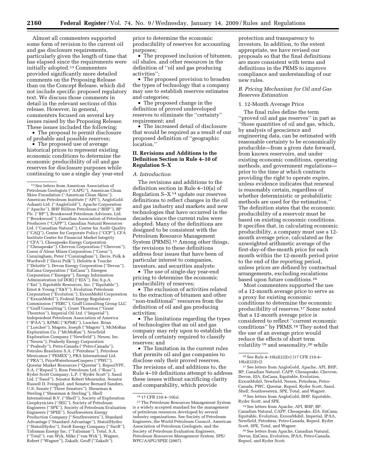Almost all commenters supported some form of revision to the current oil and gas disclosure requirements, particularly given the length of time that has elapsed since the requirements were initially adopted.13 Commenters provided significantly more detailed comments on the Proposing Release than on the Concept Release, which did not include specific proposed regulatory text. We discuss those comments in detail in the relevant sections of this release. However, in general, commenters focused on several key issues raised by the Proposing Release. These issues included the following:

• The proposal to permit disclosure of probable and possible reserves;

• The proposed use of average historical prices to represent existing economic conditions to determine the economic producibility of oil and gas reserves for disclosure purposes while continuing to use a single day year-end price to determine the economic producibility of reserves for accounting purposes;

• The proposed inclusion of bitumen, oil shales, and other resources in the definition of ''oil and gas producing activities'';

• The proposed provision to broaden the types of technology that a company may use to establish reserves estimates and categories;

• The proposed change in the definition of proved undeveloped reserves to eliminate the ''certainty'' requirement; and

• The increased detail of disclosure that would be required as a result of our proposed definition of ''geographic location.''

## **II. Revisions and Additions to the Definition Section in Rule 4–10 of Regulation S–X**

#### *A. Introduction*

The revisions and additions to the definition section in Rule 4–10(a) of Regulation S–X 14 update our reserves definitions to reflect changes in the oil and gas industry and markets and new technologies that have occurred in the decades since the current rules were adopted. Many of the definitions are designed to be consistent with the Petroleum Resource Management System (PRMS).15 Among other things, the revisions to these definitions address four issues that have been of particular interest to companies, investors, and securities analysts:

• The use of single-day year-end pricing to determine the economic producibility of reserves;

• The exclusion of activities related to the extraction of bitumen and other ''non-traditional'' resources from the definition of oil and gas producing activities;

• The limitations regarding the types of technologies that an oil and gas company may rely upon to establish the levels of certainty required to classify reserves; and

• The limitation in the current rules that permits oil and gas companies to disclose only their proved reserves. The revisions of, and additions to, the Rule 4–10 definitions attempt to address these issues without sacrificing clarity and comparability, which provide

protection and transparency to investors. In addition, to the extent appropriate, we have revised our proposals so that the final definitions are more consistent with terms and definitions in the PRMS to improve compliance and understanding of our new rules.

## *B. Pricing Mechanism for Oil and Gas Reserves Estimation*

## 1. 12-Month Average Price

The final rules define the term ''proved oil and gas reserves'' in part as ''those quantities of oil and gas, which, by analysis of geoscience and engineering data, can be estimated with reasonable certainty to be economically producible—from a given date forward, from known reservoirs, and under existing economic conditions, operating methods, and government regulations prior to the time at which contracts providing the right to operate expire, unless evidence indicates that renewal is reasonably certain, regardless of whether deterministic or probabilistic methods are used for the estimation.'' The definition states that the economic producibility of a reservoir must be based on existing economic conditions. It specifies that, in calculating economic producibility, a company must use a 12 month average price, calculated as the unweighted arithmetic average of the first-day-of-the-month price for each month within the 12-month period prior to the end of the reporting period, unless prices are defined by contractual arrangements, excluding escalations based upon future conditions.16

Most commenters supported the use of a 12-month average price to serve as a proxy for existing economic conditions to determine the economic producibility of reserves.17 Some noted that a 12-month average price is considered to reflect ''current economic conditions'' by PRMS.18 They noted that the use of an average price would reduce the effects of short term volatility 19 and seasonality,20 while

17See letters from AngloGold, Apache, API, BHP, BP, Canadian Natural, CAPP, Chesapeake, Chevron, Devon, EIA, EnCana, Equitable, Evolution, ExxonMobil, Newfield, Nexen, Petrobras, Petro-Canada, PWC, Questar, Repsol, Ryder Scott, Sasol, Shell, Southwestern, SPE, Total, and Wagner.

19See letters from Apache, API, BHP, BP, Canadian Natural, CAPP, Chesapeake, EIA, EnCana, Equitable, Evolution, ExxonMobil, Imperial, IPAA, Newfield, Petrobras, Petro-Canada, Repsol, Ryder Scott, SPE, Total, and Wagner.

20See letters from Apache, Canadian Natural, Devon, EnCana, Evolution, IPAA, Petro-Canada, Repsol, and Ryder Scott.

<sup>13</sup>See letters from American Association of Petroleum Geologists (''AAPG''), American Clean Skies Foundation (''American Clean Skies''), American Petroleum Institute (''API''), AngloGold Ashanti Ltd. (''AngloGold''), Apache Corporation (''Apache''), BHP Billiton Petroleum (''BHP''), BP Plc. ("BP"), Brookwood Petroleum Advisors, Ltd. (''Brookwood''), Canadian Association of Petroleum Producers (''CAPP''), Canadian Natural Resources Ltd. (''Canadian Natural''), Center for Audit Quality (''CAQ''), Center for Corporate Policy (''CCP''), CFA Institute Centre for Financial Market Integrity (''CFA''), Chesapeake Energy Corporation (''Chesapeake''), Chevron Corporation (''Chevron''), Coeur d'Alene Mines Corporation (''Coeur''), Cunningham, Peter (''Cunningham''), Davis, Polk & Wardwell (''Davis Polk''), Deloitte & Touche (''Deloitte''), Devon Energy Corporation (''Devon''), EnCana Corporation (''EnCana''), Energen Corporation (''Energen''), Energy Information Administration (of DOE) (''EIA''), Eni S.p.A. (''Eni''), Equitable Resources, Inc. (''Equitable''), Ernst & Young (''E&Y''), Evolution Petroleum Corporation (''Evolution''), ExxonMobil Corporation (''ExxonMobil''), Federal Energy Regulatory Commission (''FERC''), Graff Consulting Group LLC (''Graff Consulting''), Grant Thornton (''Grant Thornton''), Imperial Oil Ltd. (''Imperial''), Independent Petroleum Association of America (''IPAA''), KPMG (''KPMG''), Luscher, Brian (''Luscher''), Magoto, Joseph (''Magoto''), McMoRan Exploration Co. (''McMoRan''), Newfield Exploration Company (''Newfield''), Nexen, Inc. (''Nexen''), Peabody Energy Corporation (''Peabody''), Petro-Canada (''Petro-Canada''), Petroleo Brasileiro S.A. (''Petrobras''), Petroleos Mexicanos (''PEMEX''), PRA International Ltd. (''PRA''), PriceWaterhouseCoopers (''PWC''), Questar Market Resources (''Questar''), RepsolYPF, S.A. (''Repsol''), Ross Petroleum Ltd. (''Ross''), Ryder Scott Company, L.P. (''Ryder Scott''), Sasol Ltd. (''Sasol''), Senator Robert Menendez, Senator Russell D. Feingold, and Senator Bernard Sanders, U.S. Senate (''Three Senators''), Shearman & Sterling (''Shearman & Sterling''), Shell International B.V. (''Shell''), Society of Exploration Geophysicists (''SEG''), Society of Petroleum Engineers (''SPE''), Society of Petroleum Evaluation Engineers (''SPEE''), Southwestern Energy Production Company (''Southwestern''), Standard Advantage (''Standard Advantage''), StatoilHydro (''StatoilHydro''), Swift Energy Company (''Swift''), Talisman Energy Inc. (''Talisman''), Total, S.A. (''Total''), van Wyk, Mike (''van Wyk''), Wagner, Robert (''Wagner''), Zakaib, Geoff (''Zakaib'').

<sup>14</sup> 17 CFR 210.4–10(a).

<sup>15</sup>The Petroleum Resources Management System is a widely accepted standard for the management of petroleum resources developed by several industry organizations. See Society of Petroleum Engineers, the World Petroleum Council, American Association of Petroleum Geologists, and the Society of Petroleum Evaluation Engineers, *Petroleum Resources Management System,* SPE/ WPC/AAPG/SPEE (2007).

<sup>16</sup>See Rule 4–10(a)(22)(v) [17 CFR 210.4– 10(a)(22)(v)].

<sup>18</sup>See letters from AngloGold, BHP, Equitable, Ryder Scott, and SPE.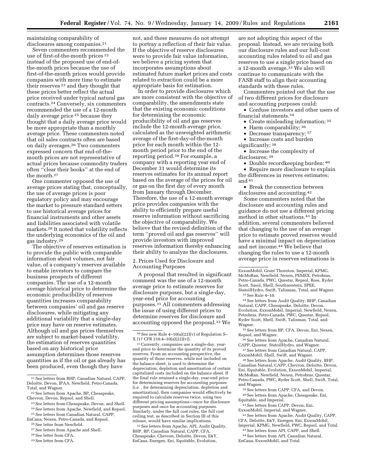maintaining comparability of disclosures among companies.<sup>21</sup>

Seven commenters recommended the use of first-of-the-month prices 22 instead of the proposed use of end-ofthe-month prices because the use of first-of-the-month prices would provide companies with more time to estimate their reserves 23 and they thought that these prices better reflect the actual price received under typical natural gas contracts.24 Conversely, six commenters recommended the use of a 12-month daily average price <sup>25</sup> because they thought that a daily average price would be more appropriate than a monthly average price. These commenters noted that oil sales contracts often are based on daily averages.26 Two commenters expressed concern that end-of-themonth prices are not representative of actual prices because commodity traders often ''clear their books'' at the end of the month.27

One commenter opposed the use of average prices stating that, conceptually, the use of average prices is poor regulatory policy and may encourage the market to pressure standard setters to use historical average prices for financial instruments and other assets and liabilities associated with volatile markets.28 It noted that volatility reflects the underlying economics of the oil and gas industry.29

The objective of reserves estimation is to provide the public with comparable information about volumes, not fair value, of a company's reserves available to enable investors to compare the business prospects of different companies. The use of a 12-month average historical price to determine the economic producibility of reserves quantities increases comparability between companies' oil and gas reserve disclosures, while mitigating any additional variability that a single-day price may have on reserve estimates. Although oil and gas prices themselves are subject to market-based volatility, the estimation of reserves quantities based on any historical price assumption determines those reserves quantities as if the oil or gas already has been produced, even though they have

- EnCana, Nexen, Petro-Canada, and Repsol.
	- 26See letter from Newfield.
	- 27See letters from Apache and Shell.
	- 28See letter from CFA.
	- 29See letter from CFA.

not, and these measures do not attempt to portray a reflection of their fair value. If the objective of reserve disclosures were to provide fair value information, we believe a pricing system that incorporates assumptions about estimated future market prices and costs related to extraction could be a more appropriate basis for estimation.

In order to provide disclosures which are more consistent with the objective of comparability, the amendments state that the existing economic conditions for determining the economic producibility of oil and gas reserves include the 12-month average price, calculated as the unweighted arithmetic average of the first-day-of-the-month price for each month within the 12 month period prior to the end of the reporting period.30 For example, a company with a reporting year end of December 31 would determine its reserves estimates for its annual report based on the average of the prices for oil or gas on the first day of every month from January through December. Therefore, the use of a 12-month average price provides companies with the ability to efficiently prepare useful reserve information without sacrificing the objective of comparability. We believe that the revised definition of the term ''proved oil and gas reserves'' will provide investors with improved reserves information thereby enhancing their ability to analyze the disclosures.

2. Prices Used for Disclosure and Accounting Purposes

A proposal that resulted in significant comment was the use of a 12-month average price to estimate reserves for disclosure purposes, but a single-day, year-end price for accounting purposes.31 All commenters addressing the issue of using different prices to determine reserves for disclosure and accounting opposed the proposal.32 We

<sup>31</sup> Currently, companies use a single-day, yearend price to determine the quantity of its proved reserves. From an accounting perspective, the quantity of those reserves, while not included on the balance sheet, is used to determine the depreciation, depletion and amortization of certain capitalized costs included on the balance sheet. If the final rule retained a single-day, year-end price for determining reserves for accounting purposes (i.e. , for determining depreciation, depletion and amortization), then companies would effectively be required to calculate reserves twice, using two different pricing assumptions—once for disclosure purposes and once for accounting purposes. Similarly, under the full cost rules, the full cost ceiling test, as described in Section III of this release, would have similar implications.

32See letters from Apache, API, Audit Quality, BHP, BP, Canadian Natural, CAPP, CFA, Chesapeake, Chevron, Deloitte, Devon, E&Y, EnCana, Energen, Eni, Equitable, Evolution,

are not adopting this aspect of the proposal. Instead, we are revising both our disclosure rules and our full-cost accounting rules related to oil and gas reserves to use a single price based on a 12-month average.  $\bar{3}3$  We also will continue to communicate with the FASB staff to align their accounting standards with these rules.

Commenters pointed out that the use of two different prices for disclosure and accounting purposes could:

• Confuse investors and other users of financial statements.34

- Create misleading information; 35
- Harm comparability; 36
- Decrease transparency; 37
- Increase costs and burden significantly; 38

• Increase the complexity of disclosures; 39

- Double recordkeeping burden; 40
- Require more disclosure to explain the differences in reserves estimates; and  $^{\rm 41}$

• Break the connection between disclosures and accounting.42

Some commenters noted that the disclosure and accounting rules and guidance do not use a different pricing method in other situations.43 In addition, several commenters believed that changing to the use of an average price to estimate proved reserves would have a minimal impact on depreciation and net income.44 We believe that changing the rules to use a 12-month average price in reserves estimations is

34See letters from Audit Quality, BHP, Canadian Natural, CAPP, Chesapeake, Deloitte, Devon, Evolution, ExxonMobil, Imperial, Newfield, Nexen, Petrobras, Petro-Canada, PWC, Questar, Repsol, Ryder Scott, Shell, Swift, Talisman, Total, and Wagner.

35See letters from BP, CFA, Devon, Eni, Nexen, Repsol, and Wagner.

36See letters from Apache, Canadian Natural, CAPP, Questar, StatoilHydro, and Wagner.

37See letters from Canadian Natural, CAPP, ExxonMobil, Shell, Swift, and Wagner.

38See letters from Apache, Audit Quality, BHP, Canadian Natural, CAPP, Chevron, Deloitte, Devon, Eni, Equitable, Evolution, ExxonMobil, Imperial, McMoRan, Newfield, Nexen, Petrobras, Questar, Petro-Canada, PWC, Ryder Scott, Shell, Swift, Total, and Wagner.

39See letters from CAPP, CFA, and Devon. 40See letters from Apache, Chesapeake, Eni, Equitable, and Imperial.

41See letters from CAPP, Devon, Eni, ExxonMobil, Imperial, and Wagner.

42See letters from Apache, Audit Quality, CAPP, CFA, Deloitte, E&Y, Energen, Eni, ExxonMobil, Imperial, KPMG, Newfield, PWC, Repsol, and Total.

43See letters from API, CAPP, and Shell. 44See letters from API, Canadian Natural,

EnCana, ExxonMobil, and Total.

<sup>21</sup>See letters from BHP, Canadian Natural, CAPP, Deloitte, Devon, IPAA, Newfield, Petro-Canada, Total, and Wagner.

<sup>22</sup>See letters from Apache, BP, Chesapeake, Chevron, Devon, Repsol, and Shell.

<sup>23</sup>See letters from Chesapeake, Devon, and Shell.

<sup>24</sup>See letters from Apache, Newfield, and Repsol. 25See letters from Canadian Natural, CAPP,

<sup>30</sup>See new Rule 4–10(a)(22)(v) of Regulation S– X [17 CFR 210.4–10(a)(22)(v)].

ExxonMobil, Grant Thornton, Imperial, KPMG, McMoRan, Newfield, Nexen, PEMEX, Petrobras, Petro-Canada, PWC, Questar, Repsol, Ross, Ryder Scott, Sasol, Shell, Southwestern, SPEE, StatoilHydro, Swift, Talisman, Total, and Wagner.

<sup>33</sup>See Rule 4–10.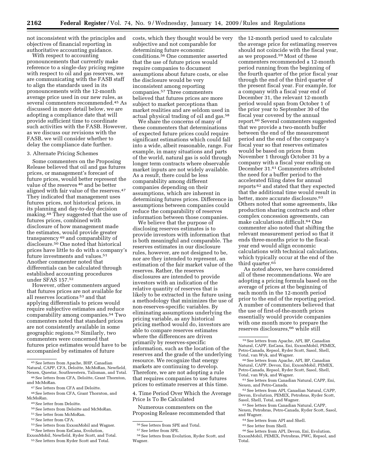not inconsistent with the principles and objectives of financial reporting in authoritative accounting guidance.

With respect to accounting pronouncements that currently make reference to a single-day pricing regime with respect to oil and gas reserves, we are communicating with the FASB staff to align the standards used in its pronouncements with the 12-month average price used in our new rules, as several commenters recommended.45 As discussed in more detail below, we are adopting a compliance date that will provide sufficient time to coordinate such activities with the FASB. However, as we discuss our revisions with the FASB, we will consider whether to delay the compliance date further.

## 3. Alternate Pricing Schemes

Some commenters on the Proposing Release believed that oil and gas futures prices, or management's forecast of future prices, would better represent the value of the reserves 46 and be better aligned with fair value of the reserves.<sup>47</sup> They indicated that management uses futures prices, not historical prices, in its planning and day-to-day decision making.48 They suggested that the use of futures prices, combined with disclosure of how management made the estimates, would provide greater transparency 49 and comparability of disclosure.50 One noted that historical prices have little to do with a company's future investments and values.<sup>51</sup> Another commenter noted that differentials can be calculated through established accounting procedures under SFAS 157.52

However, other commenters argued that futures prices are not available for all reserves locations 53 and that applying differentials to prices would require subjective estimates and reduce comparability among companies.54 Two commenters noted that standard prices are not consistently available in some geographic regions.55 Similarly, two commenters were concerned that futures price estimates would have to be accompanied by estimates of future

- $^{50}\rm{See}$  letters from Deloitte and McMoRan.
- 51See letter from McMoRan.

- 53See letters from ExxonMobil and Wagner.
- 54See letters from EnCana, Evolution,

costs, which they thought would be very subjective and not comparable for determining future economic conditions.56 One commenter asserted that the use of future prices would require companies to document assumptions about future costs, or else the disclosure would be very inconsistent among reporting companies.57 Three commenters believed that futures prices are more subject to market perceptions than market realities and are seldom used in actual physical trading of oil and gas.58

We share the concerns of many of these commenters that determinations of expected future prices could require significant estimations which could fall into a wide, albeit reasonable, range. For example, in many situations and parts of the world, natural gas is sold through longer term contracts where observable market inputs are not widely available. As a result, there could be less comparability among different companies depending on their assumptions, which are inherent in determining futures prices. Difference in assumptions between companies could reduce the comparability of reserves information between those companies.

We believe that the purpose of disclosing reserves estimates is to provide investors with information that is both meaningful and comparable. The reserves estimates in our disclosure rules, however, are not designed to be, nor are they intended to represent, an estimation of the fair market value of the reserves. Rather, the reserves disclosures are intended to provide investors with an indication of the relative quantity of reserves that is likely to be extracted in the future using a methodology that minimizes the use of non-reserves-specific variables. By eliminating assumptions underlying the pricing variable, as any historical pricing method would do, investors are able to compare reserves estimates where the differences are driven primarily by reserves-specific information, such as the location of the reserves and the grade of the underlying resource. We recognize that energy markets are continuing to develop. Therefore, we are not adopting a rule that requires companies to use futures prices to estimate reserves at this time.

4. Time Period Over Which the Average Price Is To Be Calculated

Numerous commenters on the Proposing Release recommended that the 12-month period used to calculate the average price for estimating reserves should not coincide with the fiscal year, as we proposed.59 Most of these commenters recommended a 12-month period running from the beginning of the fourth quarter of the prior fiscal year through the end of the third quarter of the present fiscal year. For example, for a company with a fiscal year end of December 31, the relevant 12-month period would span from October 1 of the prior year to September 30 of the fiscal year covered by the annual report.60 Several commenters suggested that we provide a two-month buffer between the end of the measurement period and the end of the company's fiscal year so that reserves estimates would be based on prices from November 1 through October 31 by a company with a fiscal year ending on December 31.61 Commenters attributed the need for a buffer period to the accelerated filing dates for annual reports 62 and stated that they expected that the additional time would result in better, more accurate disclosure.63 Others noted that some agreements, like production sharing contracts and other complex concession agreements, can make calculations difficult.64 One commenter also noted that shifting the relevant measurement period so that it ends three-months prior to the fiscalyear end would align economic calculations with technical calculations, which typically occur at the end of the third quarter.65

As noted above, we have considered all of these recommendations. We are adopting a pricing formula based on the average of prices at the beginning of each month in the 12-month period prior to the end of the reporting period. A number of commenters believed that the use of first-of-the-month prices essentially would provide companies with one month more to prepare the reserves disclosures,66 while still

60See letters from Apache, API, BP, Canadian Natural, CAPP, Devon, Eni, ExxonMobil, PEMEX, Petro-Canada, Repsol, Ryder Scott, Sasol, Shell, Total, van Wyk, and Wagner.

62See letters from API, Canadian Natural, CAPP, Devon, Evolution, PEMEX, Petrobras, Ryder Scott, Sasol, Shell, Total, and Wagner.

- 63See letters from Canadian Natural, CAPP, Nexen, Petrobras, Petro-Canada, Ryder Scott, Sasol, and Wagner.
- 64See letters from API and Shell.
- $^{65}$  See letter from Shell.

66See letters from API, Devon, Eni, Evolution, ExxonMobil, PEMEX, Petrobras, PWC, Repsol, and Total.

<sup>45</sup>See letters from Apache, BHP, Canadian Natural, CAPP, CFA, Deloitte, McMoRan, Newfield,

Nexen, Questar, Southwestern, Talisman, and Total. 46See letters from CFA, Deloitte, Grant Thornton, and McMoRan.

<sup>47</sup>See letters from CFA and Deloitte.

<sup>48</sup>See letters from CFA, Grant Thornton, and McMoRan.

<sup>49</sup>See letter from Deloitte.

<sup>52</sup>See letter from CFA.

ExxonMobil, Newfield, Ryder Scott, and Total. 55See letters from Ryder Scott and Total.

 $^{56}\rm{See}$  letters from SPE and Total.

<sup>57</sup>See letter from SPE.

<sup>58</sup>See letters from Evolution, Ryder Scott, and Wagner.

<sup>59</sup>See letters from Apache, API, BP, Canadian Natural, CAPP, EnCana, Eni, ExxonMobil, PEMEX, Petro-Canada, Repsol, Ryder Scott, Sasol, Shell, Total, van Wyk, and Wagner.

<sup>61</sup>See letters from Canadian Natural, CAPP, Eni, Nexen, and Petro-Canada.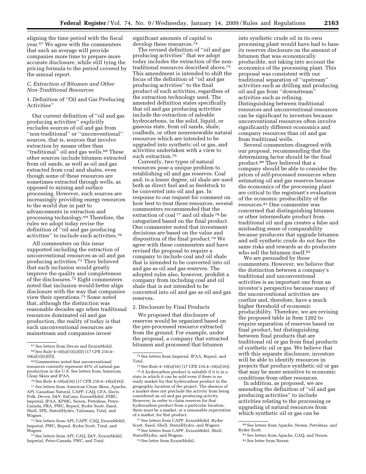aligning the time period with the fiscal year.67 We agree with the commenters that such an average will provide companies more time to prepare more accurate disclosure, while still tying the pricing formula to the period covered by the annual report.

# *C. Extraction of Bitumen and Other Non-Traditional Resources*

1. Definition of ''Oil and Gas Producing Activities''

Our current definition of ''oil and gas producing activities'' explicitly excludes sources of oil and gas from ''non-traditional'' or ''unconventional'' sources, that is, sources that involve extraction by means other than ''traditional'' oil and gas wells.68 These other sources include bitumen extracted from oil sands, as well as oil and gas extracted from coal and shales, even though some of these resources are sometimes extracted through wells, as opposed to mining and surface processing. However, such sources are increasingly providing energy resources to the world due in part to advancements in extraction and processing technology.69 Therefore, the rules we adopt today revise the definition of ''oil and gas producing activities'' to include such activities.70

All commenters on this issue supported including the extraction of unconventional resources as oil and gas producing activities.71 They believed that such inclusion would greatly improve the quality and completeness of the disclosures.72 Eight commenters noted that inclusion would better align disclosure with the way that companies view their operations.73 Some noted that, although the distinction was reasonable decades ago when traditional resources dominated oil and gas production, the reality of today is that such unconventional resources are mainstream and companies invest

70See Rule 4–10(a)(16) [17 CFR 210.4–10(a)(16)]. 71See letters from American Clean Skies, Apache, API, Canadian Natural, CAPP, CAQ, CFA, Davis Polk, Devon, E&Y, EnCana, ExxonMobil, FERC, Imperial, IPAA, KPMG, Nexen, Petrobras, Petro-Canada, PRA, PWC, Repsol, Ryder Scott, Sasol, Shell, SPE, StatoilHydro, Talisman, Total, and Wagner.

72See letters from API, CAPP, CAQ, ExxonMobil, Imperial, PWC, Repsol, Ryder Scott, Total, and Wagner.

73See letters from API, CAQ, E&Y, ExxonMobil, Imperial, Petro-Canada, PWC, and Total.

significant amounts of capital to develop these resources.74

The revised definition of ''oil and gas producing activities'' that we adopt today includes the extraction of the nontraditional resources described above.75 This amendment is intended to shift the focus of the definition of ''oil and gas producing activities'' to the final product of such activities, regardless of the extraction technology used. The amended definition states specifically that oil and gas producing activities include the extraction of saleable hydrocarbons, in the solid, liquid, or gaseous state, from oil sands, shale, coalbeds, or other nonrenewable natural resources which are intended to be upgraded into synthetic oil or gas, and activities undertaken with a view to such extraction.76

Currently, two types of natural resources pose a unique problem to establishing oil and gas reserves. Coal and, to a lesser degree, oil shale are used both as direct fuel and as feedstock to be converted into oil and gas. In response to our request for comment on how best to treat these resources, several commenters recommended that the extraction of coal 77 and oil shale 78 be categorized based on the final product. One commenter noted that investment decisions are based on the value and disposition of the final product.79 We agree with these commenters and have revised the proposal to require a company to include coal and oil shale that is intended to be converted into oil and gas as oil and gas reserves. The adopted rules also, however, prohibit a company from including coal and oil shale that is not intended to be converted into oil and gas as oil and gas reserves.

2. Disclosure by Final Products

We proposed that disclosure of reserves would be organized based on the pre-processed resource extracted from the ground. For example, under the proposal, a company that extracted bitumen and processed that bitumen

75See Rule 4–10(a)(16) [17 CFR 210.4–10(a)(16)].  $^{76}\mathrm{A}$  hydrocarbon product is saleable if it is in a state in which it can be sold even if there is no ready market for that hydrocarbon product in the geographic location of the project. The absence of a market does not preclude the activity from being considered an oil and gas producing activity. However, in order to claim reserves for that hydrocarbon product from a particular location, there must be a market, or a reasonable expectation of a market, for that product.

77See letters from CAPP, ExxonMobil, Ryder Scott, Sasol, Shell, StatoilHydro, and Wagner.

78See letters from CAPP, ExxonMobil, Shell, StatoilHydro, and Wagner.

79See letter from ExxonMobil.

into synthetic crude oil in its own processing plant would have had to base its reserves disclosure on the amount of bitumen that was economically producible, not taking into account the economics of the processing plant. This proposal was consistent with our traditional separation of ''upstream'' activities such as drilling and producing oil and gas from ''downstream'' activities such as refining. Distinguishing between traditional resources and unconventional resources can be significant to investors because unconventional resources often involve significantly different economics and company resources than oil and gas from traditional wells.

Several commenters disagreed with our proposal, recommending that the determining factor should be the final product.<sup>80</sup> They believed that a company should be able to consider the prices of self-processed resources when estimating oil and gas reserves because the economics of the processing plant are critical to the registrant's evaluation of the economic producibility of the resources.81 One commenter was concerned that distinguishing bitumen or other intermediate product from traditional oil and gas creates a false and misleading sense of comparability because producers that upgrade bitumen and sell synthetic crude do not face the same risks and rewards as do producers who sell the bitumen itself.<sup>82</sup>

We are persuaded by these commenters. However, we believe that the distinction between a company's traditional and unconventional activities is an important one from an investor's perspective because many of the unconventional activities are costlier and, therefore, have a much higher threshold of economic producibility. Therefore, we are revising the proposed table in Item 1202 to require separation of reserves based on final product, but distinguishing between final products that are traditional oil or gas from final products of synthetic oil or gas. We believe that with this separate disclosure, investors will be able to identify resources in projects that produce synthetic oil or gas that may be more sensitive to economic conditions from other resources.

In addition, as proposed, we are amending the definition of ''oil and gas producing activities'' to include activities relating to the processing or upgrading of natural resources from which synthetic oil or gas can be

<sup>67</sup>See letters from Devon and ExxonMobil. 68See Rule 4–10(a)(1)(ii)(D) [17 CFR 210.4–  $10(a)(1)(ii)(D)].$ 

<sup>69</sup>Commenters noted that unconventional resources currently represent 45% of natural gas production in the U.S. See letters from American Clean Skies and IPAA.

<sup>74</sup>See letters from Imperial, IPAA, Repsol, and Total.

<sup>80</sup>See letters from Apache, Nexen, Petrobras, and Ryder Scott.

<sup>81</sup>See letters from Apache, CAQ, and Nexen. 82See letter from Nexen.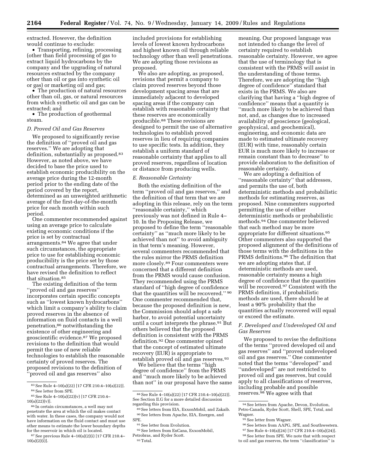extracted. However, the definition would continue to exclude:

• Transporting, refining, processing (other than field processing of gas to extract liquid hydrocarbons by the company and the upgrading of natural resources extracted by the company other than oil or gas into synthetic oil or gas) or marketing oil and gas;

• The production of natural resources other than oil, gas, or natural resources from which synthetic oil and gas can be extracted; and

• The production of geothermal steam.

#### *D. Proved Oil and Gas Reserves*

We proposed to significantly revise the definition of ''proved oil and gas reserves.'' We are adopting that definition, substantially as proposed.<sup>83</sup> However, as noted above, we have decided to base the price used to establish economic producibility on the average price during the 12-month period prior to the ending date of the period covered by the report, determined as an unweighted arithmetic average of the first-day-of-the-month price for each month within such period.

One commenter recommended against using an average price to calculate existing economic conditions if the price is set by contractual arrangements.84 We agree that under such circumstances, the appropriate price to use for establishing economic producibility is the price set by those contractual arrangements. Therefore, we have revised the definition to reflect that situation.<sup>85</sup>

The existing definition of the term ''proved oil and gas reserves'' incorporates certain specific concepts such as ''lowest known hydrocarbons'' which limit a company's ability to claim proved reserves in the absence of information on fluid contacts in a well penetration,86 notwithstanding the existence of other engineering and geoscientific evidence.87 We proposed revisions to the definition that would permit the use of new reliable technologies to establish the reasonable certainty of proved reserves. The proposed revisions to the definition of ''proved oil and gas reserves'' also

included provisions for establishing levels of lowest known hydrocarbons and highest known oil through reliable technology other than well penetrations. We are adopting those revisions as proposed.

We also are adopting, as proposed, revisions that permit a company to claim proved reserves beyond those development spacing areas that are immediately adjacent to developed spacing areas if the company can establish with reasonable certainty that these reserves are economically producible.88 These revisions are designed to permit the use of alternative technologies to establish proved reserves in lieu of requiring companies to use specific tests. In addition, they establish a uniform standard of reasonable certainty that applies to all proved reserves, regardless of location or distance from producing wells.

#### *E. Reasonable Certainty*

Both the existing definition of the term ''proved oil and gas reserves,'' and the definition of that term that we are adopting in this release, rely on the term ''reasonable certainty,'' which previously was not defined in Rule 4– 10. In the Proposing Release, we proposed to define the term ''reasonable certainty'' as ''much more likely to be achieved than not'' to avoid ambiguity in that term's meaning. However, several commenters recommended that the rules mirror the PRMS definition more closely.89 Four commenters were concerned that a different definition from the PRMS would cause confusion. They recommended using the PRMS standard of ''high degree of confidence that the quantities will be recovered.'' 90 One commenter recommended that, because the proposed definition is new, the Commission should adopt a safe harbor, to avoid potential uncertainty until a court interprets the phrase.91 But others believed that the proposed definition is consistent with the PRMS definition.92 One commenter opined that the concept of estimated ultimate recovery (EUR) is appropriate to establish proved oil and gas reserves.<sup>93</sup>

We believe that the terms ''high degree of confidence'' from the PRMS and ''much more likely to be achieved than not'' in our proposal have the same

92See letters from EnCana, ExxonMobil, Petrobras, and Ryder Scott.

meaning. Our proposed language was not intended to change the level of certainty required to establish reasonable certainty. However, we agree that the use of terminology that is consistent with the PRMS will assist in the understanding of those terms. Therefore, we are adopting the ''high degree of confidence'' standard that exists in the PRMS. We also are clarifying that having a ''high degree of confidence'' means that a quantity is ''much more likely to be achieved than not, and, as changes due to increased availability of geoscience (geological, geophysical, and geochemical), engineering, and economic data are made to estimated ultimate recovery (EUR) with time, reasonably certain EUR is much more likely to increase or remain constant than to decrease'' to provide elaboration to the definition of reasonable certainty.

We are adopting a definition of ''reasonable certainty'' that addresses, and permits the use of, both deterministic methods and probabilistic methods for estimating reserves, as proposed. Nine commenters supported permitting the use of either deterministic methods or probabilistic methods.94 One commenter believed that each method may be more appropriate for different situations.95 Other commenters also supported the proposed alignment of the definitions of those terms with the definitions in the PRMS definitions.96 The definition that we are adopting states that, if deterministic methods are used, reasonable certainty means a high degree of confidence that the quantities will be recovered.97 Consistent with the PRMS definition, if probabilistic methods are used, there should be at least a 90% probability that the quantities actually recovered will equal or exceed the estimate.

# *F. Developed and Undeveloped Oil and Gas Reserves*

We proposed to revise the definitions of the terms ''proved developed oil and gas reserves'' and ''proved undeveloped oil and gas reserves.'' One commenter noted that the terms ''developed'' and ''undeveloped'' are not restricted to proved oil and gas reserves, but could apply to all classifications of reserves, including probable and possible reserves.98 We agree with that

<sup>83</sup>See Rule 4–10(a)(22) [17 CFR 210.4–10(a)(22)]. 84See letter from SPE.

<sup>85</sup>See Rule 4–10(a)(22)(v) [17 CFR 210.4– 10(a)(22)(v)].

<sup>86</sup> In certain circumstances, a well may not penetrate the area at which the oil makes contact with water. In these cases, the company would not have information on the fluid contact and must use other means to estimate the lower boundary depths for the reservoir in which oil is located.

<sup>87</sup>See previous Rule 4–10(a)(2)(i) [17 CFR 210.4–  $10(a)(2)(i)$ ].

<sup>88</sup>See Rule 4–10(a)(22) [17 CFR 210.4–10(a)(22)]. See Section II.G for a more detailed discussion regarding this provision.

<sup>89</sup>See letters from EIA, ExxonMobil, and Zakaib. 90See letters from Apache, EIA, Energen, and SPE.

 $\ensuremath{^{91}}$  See letter from Evolution.

<sup>94</sup>See letters from Apache, Devon, Evolution, Petro-Canada, Ryder Scott, Shell, SPE, Total, and Wagner.

<sup>95</sup> See letter from Wagner.

<sup>96</sup>See letters from AAPG, SPE, and Southwestern.

<sup>97</sup>See Rule 4–10(a)(24) [17 CFR 210.4–10(a)(24)].

<sup>98</sup>See letter from SPE. We note that with respect to oil and gas reserves, the term "classification"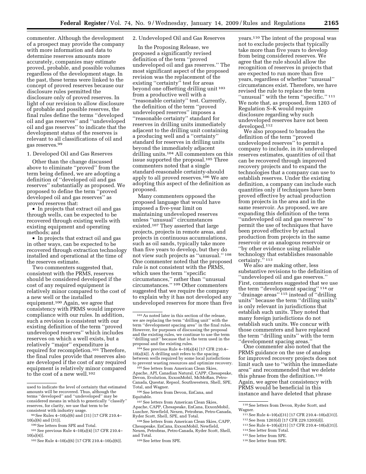commenter. Although the development of a prospect may provide the company with more information and data to determine reserves amounts more accurately, companies may estimate proved, probable, and possible volumes regardless of the development stage. In the past, these terms were linked to the concept of proved reserves because our disclosure rules permitted the disclosure only of proved reserves. In light of our revision to allow disclosure of probable and possible reserves, the final rules define the terms ''developed oil and gas reserves'' and ''undeveloped oil and gas reserves'' to indicate that the development status of the reserves is relevant to all classifications of oil and gas reserves.99

#### 1. Developed Oil and Gas Reserves

Other than the change discussed above to eliminate ''proved'' from the term being defined, we are adopting a definition of ''developed oil and gas reserves'' substantially as proposed. We proposed to define the term ''proved developed oil and gas reserves'' as proved reserves that:

• In projects that extract oil and gas through wells, can be expected to be recovered through existing wells with existing equipment and operating methods; and

• In projects that extract oil and gas in other ways, can be expected to be recovered through extraction technology installed and operational at the time of the reserves estimate.

Two commenters suggested that, consistent with the PRMS, reserves should be considered developed if the cost of any required equipment is relatively minor compared to the cost of a new well or the installed equipment.100 Again, we agree that consistency with PRMS would improve compliance with our rules. In addition, such a revision is consistent with our existing definition of the term ''proved undeveloped reserves'' which includes reserves on which a well exists, but a relatively ''major'' expenditure is required for recompletion.<sup>101</sup> Therefore, the final rules provide that reserves also are developed if the cost of any required equipment is relatively minor compared to the cost of a new well.<sup>102</sup>

### 2. Undeveloped Oil and Gas Reserves

In the Proposing Release, we proposed a significantly revised definition of the term ''proved undeveloped oil and gas reserves.'' The most significant aspect of the proposed revision was the replacement of the existing ''certainty'' test for areas beyond one offsetting drilling unit 103 from a productive well with a ''reasonable certainty'' test. Currently, the definition of the term ''proved undeveloped reserves'' imposes a ''reasonable certainty'' standard for reserves in drilling units immediately adjacent to the drilling unit containing a producing well and a ''certainty'' standard for reserves in drilling units beyond the immediately adjacent drilling units.104 All commenters on this issue supported the proposal.105 Three commenters noted that a single standard-reasonable certainty-should apply to all proved reserves.106 We are adopting this aspect of the definition as proposed.

Many commenters opposed the proposed language that would have imposed a five-year limit on maintaining undeveloped reserves unless ''unusual'' circumstances existed.107 They asserted that large projects, projects in remote areas, and projects in continuous accumulations, such as oil sands, typically take more than five years to develop, but they do not view such projects as ''unusual.'' 108 One commenter noted that the proposed rule is not consistent with the PRMS, which uses the term ''specific circumstances,'' rather than ''unusual circumstances.'' 109 Other commenters suggested that we require the company to explain why it has not developed any undeveloped reserves for more than five

<sup>104</sup> See previous Rule 4–10(a)(4) [17 CFR 210.4– 10(a)(4)]. A drilling unit refers to the spacing between wells required by some local jurisdictions to prevent wasting resources and optimize recovery.<br><sup>105</sup> See letters from American Clean Skies,

Apache, API, Canadian Natural, CAPP, Chesapeake, Devon, Evolution, ExxonMobil, McMoRan, Petro-Canada, Questar, Repsol, Southwestern, Shell, SPE,

years.110 The intent of the proposal was not to exclude projects that typically take more than five years to develop from being considered reserves. We agree that the rule should allow the recognition of reserves in projects that are expected to run more than five years, regardless of whether ''unusual'' circumstances exist. Therefore, we have revised the rule to replace the term ''unusual'' with the term ''specific.'' 111 We note that, as proposed, Item 1203 of Regulation S–K would require disclosure regarding why such undeveloped reserves have not been developed.112

We also proposed to broaden the definition of the term ''proved undeveloped reserves'' to permit a company to include, in its undeveloped reserves estimates, quantities of oil that can be recovered through improved recovery projects and to expand the technologies that a company can use to establish reserves. Under the existing definition, a company can include such quantities only if techniques have been proved effective by actual production from projects in the area and in the same reservoir. As proposed, we are expanding this definition of the term ''undeveloped oil and gas reserves'' to permit the use of techniques that have been proved effective by actual production from projects in the same reservoir or an analogous reservoir or ''by other evidence using reliable technology that establishes reasonable certainty.'' 113

We also are making other, less substantive revisions to the definition of ''undeveloped oil and gas reserves.'' First, commenters suggested that we use the term ''development spacing'' 114 or ''drainage areas'' 115 instead of ''drilling units'' because the term ''drilling units'' is only relevant in jurisdictions that establish such units. They noted that many foreign jurisdictions do not establish such units. We concur with those commenters and have replaced the term "drilling units" with the term<br>"development spacing areas."

One commenter also noted that the PRMS guidance on the use of analogs for improved recovery projects does not limit such use to ''within the immediate area'' and recommended that we delete this phrase from the definition.116 Again, we agree that consistency with PRMS would be beneficial in this instance and have deleted that phrase

- 111 See Rule 4–10(a)(31) [17 CFR 210.4–10(a)(31)].<br>
112 See Item 1203(d) [17 CFR 229.1203(d)].<br>
113 See Rule 4–10(a)(31) [17 CFR 210.4–10(a)(31)].<br>
114 See letter from Total.<br>
115 See letter from SPE.<br>
116 See letter from
- 
- 
- 
- 
- 

used to indicate the level of certainty that estimated amounts will be recovered. Thus, although the terms ''developed'' and ''undeveloped'' may be considered means in which to generically ''classify'' reserves, for clarity, we use that term to be

<sup>&</sup>lt;sup>99</sup> See Rules 4–10(a)(6) and (31) [17 CFR 210.4–<br>10(a)(6) and (31)].

<sup>&</sup>lt;sup>100</sup> See letters from SPE and Total.<br><sup>101</sup> See previous Rule 4–10(a)(4) [17 CFR 210.4–<br>10(a)(4)].

<sup>102</sup> See Rule 4-10(a)(6) [17 CFR 210.4-10(a)(6)].

<sup>103</sup>As noted later in this section of the release, we are replacing the term ''drilling unit'' with the term ''development spacing area'' in the final rules. However, for purposes of discussing the proposal and the existing rules, we continue to use the term ''drilling unit'' because that is the term used in the

 $^{106}$  See letters from Devon, EnCana, and Equitable.

<sup>&</sup>lt;sup>107</sup> See letters from American Clean Skies, Apache, CAPP, Chesapeake, EnCana, ExxonMobil, Luscher, Newfield, Nexen, Petrobras, Petro-Canada,

<sup>&</sup>lt;sup>108</sup> See letters from American Clean Skies, CAPP, Chesapeake, EnCana, ExxonMobil, Newfield, Nexen, Petrobras, Petro-Canada, Ryder Scott, Shell,

<sup>109</sup> See letter from SPE.

<sup>&</sup>lt;sup>110</sup> See letters from Devon, Ryder Scott, and Wagner.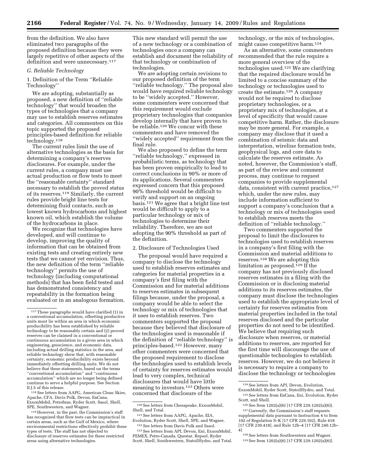from the definition. We also have eliminated two paragraphs of the proposed definition because they were largely repetitive of other aspects of the definition and were unnecessary.<sup>117</sup>

## *G. Reliable Technology*

1. Definition of the Term ''Reliable Technology''

We are adopting, substantially as proposed, a new definition of ''reliable technology'' that would broaden the types of technologies that a company may use to establish reserves estimates and categories. All commenters on this topic supported the proposed principles-based definition for reliable technology.<sup>118</sup>

The current rules limit the use of alternative technologies as the basis for determining a company's reserves disclosures. For example, under the current rules, a company must use actual production or flow tests to meet the ''reasonable certainty'' standard necessary to establish the proved status of its reserves.119 Similarly, the current rules provide bright line tests for determining fluid contacts, such as lowest known hydrocarbons and highest known oil, which establish the volume of the hydrocarbons in place.

We recognize that technologies have developed, and will continue to develop, improving the quality of information that can be obtained from existing tests and creating entirely new tests that we cannot yet envision. Thus, the new definition of the term ''reliable technology'' permits the use of technology (including computational methods) that has been field tested and has demonstrated consistency and repeatability in the formation being evaluated or in an analogous formation.

118See letters from AAPG, American Clean Skies, Apache, CFA, Davis Polk, Devon, EnCana, ExxonMobil, Petrobras, Ryder Scott, Sasol, Shell, SPE, Southwestern, and Wagner.

This new standard will permit the use of a new technology or a combination of technologies once a company can establish and document the reliability of that technology or combination of technologies.

We are adopting certain revisions to our proposed definition of the term ''reliable technology.'' The proposal also would have required reliable technology to be ''widely accepted.'' However, some commenters were concerned that this requirement would exclude proprietary technologies that companies develop internally that have proven to be reliable.120 We concur with these commenters and have removed the ''widely accepted'' requirement from the final rule.

We also proposed to define the term ''reliable technology,'' expressed in probabilistic terms, as technology that has been proven empirically to lead to correct conclusions in 90% or more of its applications. Several commenters expressed concern that this proposed 90% threshold would be difficult to verify and support on an ongoing basis.121 We agree that a bright line test would be difficult to apply to a particular technology or mix of technologies to determine their reliability. Therefore, we are not adopting the 90% threshold as part of the definition.

#### 2. Disclosure of Technologies Used

The proposal would have required a company to disclose the technology used to establish reserves estimates and categories for material properties in a company's first filing with the Commission and for material additions to reserves estimates in subsequent filings because, under the proposal, a company would be able to select the technology or mix of technologies that it uses to establish reserves. Two commenters supported the proposal because they believed that disclosure of the technologies used is reasonable if the definition of ''reliable technology'' is principles-based.122 However, many other commenters were concerned that the proposed requirement to disclose the technologies used to establish levels of certainty for reserves estimates would lead to very complex, technical disclosures that would have little meaning to investors.<sup>123</sup> Others were concerned that disclosure of the

technology, or the mix of technologies, might cause competitive harm.124

As an alternative, some commenters recommended that the rule require a more general overview of the technologies used.125 We are clarifying that the required disclosure would be limited to a concise summary of the technology or technologies used to create the estimate.<sup>126</sup>  $\tilde{A}$  company would not be required to disclose proprietary technologies, or a proprietary mix of technologies, at a level of specificity that would cause competitive harm. Rather, the disclosure may be more general. For example, a company may disclose that it used a combination of seismic data and interpretation, wireline formation tests, geophysical logs, and core data to calculate the reserves estimate. As noted, however, the Commission's staff, as part of the review and comment process, may continue to request companies to provide supplemental data, consistent with current practice,<sup>127</sup> which, under the new rules, may include information sufficient to support a company's conclusion that a technology or mix of technologies used to establish reserves meets the definition of ''reliable technology.''

Two commenters supported the proposal to limit the disclosures to technologies used to establish reserves in a company's first filing with the Commission and material additions to reserves.128 We are adopting this limitation as proposed.<sup>129</sup> If the company has not previously disclosed reserves estimates in a filing with the Commission or is disclosing material additions to its reserves estimates, the company must disclose the technologies used to establish the appropriate level of certainty for reserves estimates from material properties included in the total reserves disclosed and the particular properties do not need to be identified. We believe that requiring such disclosure when reserves, or material additions to reserves, are reported for the first time will discourage the use of questionable technologies to establish reserves. However, we do not believe it is necessary to require a company to disclose the technology or technologies

128See letters from Southwestern and Wagner. 129See Item 1202(a)(6) [17 CFR 229.1202(a)(6)].

<sup>117</sup>These paragraphs would have clarified (1) in a conventional accumulation, offsetting productive units must lie within an area in which economic producibility has been established by reliable technology to be reasonably certain and (2) proved reserves can be claimed in a conventional or continuous accumulation in a given area in which engineering, geoscience, and economic data, including actual drilling statistics in the area, and reliable technology show that, with reasonable certainty, economic producibility exists beyond immediately offsetting drilling units. We do not believe that these statements, based on the terms ''conventional accumulation'' and ''continuous accumulation'' which are no longer being defined continue to serve a helpful purpose. See Section II.J.5 of this release.

<sup>119</sup>However, in the past, the Commission's staff has recognized that flow tests can be impractical in certain areas, such as the Gulf of Mexico, where environmental restrictions effectively prohibit these types of tests. The staff has not objected to disclosure of reserves estimates for these restricted areas using alternative technologies.

 $^{\rm 120}$  See letters from Chesapeake, ExxonMobil, Shell, and Total.

<sup>121</sup>See letters from AAPG, Apache, EIA, Evolution, Ryder Scott, Shell, SPE, and Wagner. 122See letters from Davis Polk and Sasol.

<sup>123</sup>See letters from API, Devon, Eni, ExxonMobil, PEMEX, Petro-Canada, Questar, Repsol, Ryder Scott, Shell, Southwestern, StatoilHydro, and Total.

<sup>124</sup>See letters from API, Devon, Evolution, ExxonMobil, Ryder Scott, StatoilHydro, and Total. <sup>125</sup> See letters from EnCana, Eni, Evolution, Ryder

Scott, and Shell.

<sup>126</sup>See Item 1202(a)(6) [17 CFR 229.1202(a)(6)].

<sup>127</sup>Currently, the Commission's staff requests supplemental data pursuant to Instruction 4 to Item 102 of Regulation S–K [17 CFR 229.102], Rule 418 [17 CFR 230.418], and Rule 12b–4 [17 CFR 240.12b– 4]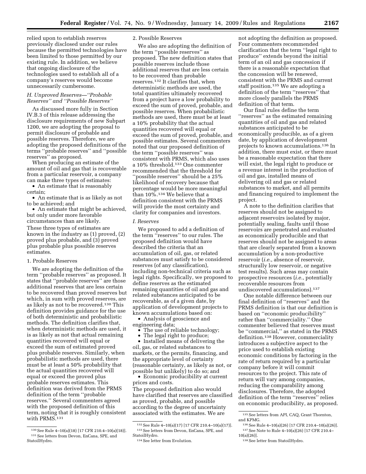relied upon to establish reserves previously disclosed under our rules because the permitted technologies have been limited to those permitted by our existing rule. In addition, we believe that ongoing disclosure of the technologies used to establish all of a company's reserves would become unnecessarily cumbersome.

# *H. Unproved Reserves—''Probable Reserves'' and ''Possible Reserves''*

As discussed more fully in Section IV.B.3 of this release addressing the disclosure requirements of new Subpart 1200, we are adopting the proposal to permit disclosure of probable and possible reserves. Therefore, we are adopting the proposed definitions of the terms ''probable reserves'' and ''possible reserves'' as proposed.

When producing an estimate of the amount of oil and gas that is recoverable from a particular reservoir, a company can make three types of estimates:

• An estimate that is reasonably certain;

• An estimate that is as likely as not to be achieved; and

• An estimate that might be achieved, but only under more favorable circumstances than are likely. These three types of estimates are known in the industry as (1) proved, (2) proved plus probable, and (3) proved plus probable plus possible reserves estimates.

## 1. Probable Reserves

We are adopting the definition of the term ''probable reserves'' as proposed. It states that ''probable reserves'' are those additional reserves that are less certain to be recovered than proved reserves but which, in sum with proved reserves, are as likely as not to be recovered.<sup>130</sup> This definition provides guidance for the use of both deterministic and probabilistic methods. The definition clarifies that, when deterministic methods are used, it is as likely as not that actual remaining quantities recovered will equal or exceed the sum of estimated proved plus probable reserves. Similarly, when probabilistic methods are used, there must be at least a 50% probability that the actual quantities recovered will equal or exceed the proved plus probable reserves estimates. This definition was derived from the PRMS definition of the term ''probable reserves.'' Several commenters agreed with the proposed definition of this term, noting that it is roughly consistent with PRMS.131

## 2. Possible Reserves

We also are adopting the definition of the term ''possible reserves'' as proposed. The new definition states that possible reserves include those additional reserves that are less certain to be recovered than probable reserves.132 It clarifies that, when deterministic methods are used, the total quantities ultimately recovered from a project have a low probability to exceed the sum of proved, probable, and possible reserves. When probabilistic methods are used, there must be at least a 10% probability that the actual quantities recovered will equal or exceed the sum of proved, probable, and possible estimates. Several commenters noted that our proposed definition of the term ''possible reserves'' was consistent with PRMS, which also uses a 10% threshold.133 One commenter recommended that the threshold for ''possible reserves'' should be a 25% likelihood of recovery because that percentage would be more meaningful than 10%.134 We believe that a definition consistent with the PRMS will provide the most certainty and clarity for companies and investors.

#### *I. Reserves*

We proposed to add a definition of the term ''reserves'' to our rules. The proposed definition would have described the criteria that an accumulation of oil, gas, or related substances must satisfy to be considered reserves (of any classification), including non-technical criteria such as legal rights. Specifically, we proposed to define reserves as the estimated remaining quantities of oil and gas and related substances anticipated to be recoverable, as of a given date, by application of development projects to known accumulations based on:

• Analysis of geoscience and engineering data;

- The use of reliable technology;
- The legal right to produce;

• Installed means of delivering the oil, gas, or related substances to markets, or the permits, financing, and the appropriate level of certainty (reasonable certainty, as likely as not, or possible but unlikely) to do so; and

• Economic producibility at current prices and costs.

The proposed definition also would have clarified that reserves are classified as proved, probable, and possible according to the degree of uncertainty associated with the estimates. We are

not adopting the definition as proposed. Four commenters recommended clarification that the term ''legal right to produce'' extends beyond the initial term of an oil and gas concession if there is a reasonable expectation that the concession will be renewed, consistent with the PRMS and current staff position.135 We are adopting a definition of the term ''reserves'' that more closely parallels the PRMS definition of that term.

Our final rules define the term ''reserves'' as the estimated remaining quantities of oil and gas and related substances anticipated to be economically producible, as of a given date, by application of development projects to known accumulations.136 In addition, there must exist, or there must be a reasonable expectation that there will exist, the legal right to produce or a revenue interest in the production of oil and gas, installed means of delivering oil and gas or related substances to market, and all permits and financing required to implement the project.

A note to the definition clarifies that reserves should not be assigned to adjacent reservoirs isolated by major, potentially sealing, faults until those reservoirs are penetrated and evaluated as economically producible and that reserves should not be assigned to areas that are clearly separated from a known accumulation by a non-productive reservoir (*i.e.*, absence of reservoir, structurally low reservoir, or negative test results). Such areas may contain prospective resources (*i.e.*, potentially recoverable resources from undiscovered accumulations).137

One notable difference between our final definition of ''reserves'' and the PRMS definition is that our definition is based on ''economic producibility'' rather than ''commerciality.'' One commenter believed that reserves must be ''commercial,'' as stated in the PRMS definition.138 However, commerciality introduces a subjective aspect to the price used to establish existing economic conditions by factoring in the rate of return required by a particular company before it will commit resources to the project. This rate of return will vary among companies, reducing the comparability among disclosures. Therefore, the adopted definition of the term ''reserves'' relies on economic producibility, as proposed.

<sup>130</sup>See Rule 4–10(a)(18) [17 CFR 210.4–10(a)(18)]. 131See letters from Devon, EnCana, SPE, and StatoilHydro.

<sup>132</sup>See Rule 4–10(a)(17) [17 CFR 210.4–10(a)(17)]. 133See letters from Devon, EnCana, SPE, and StatoilHydro.

<sup>134</sup>See letter from Evolution.

<sup>135</sup>See letters from API, CAQ, Grant Thornton, and KPMG.

<sup>136</sup>See Rule 4–10(a)(26) [17 CFR 210.4–10(a)(26)]. 137See Note to Rule 4–10(a)(26) [17 CFR 210.4–

<sup>10(</sup>a)(26)].

<sup>138</sup>See letter from StatoilHydro.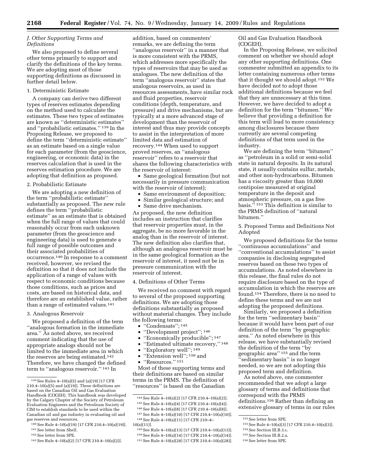## *J. Other Supporting Terms and Definitions*

We also proposed to define several other terms primarily to support and clarify the definitions of the key terms. We are adopting most of those supporting definitions as discussed in further detail below.

# 1. Deterministic Estimate

A company can derive two different types of reserves estimates depending on the method used to calculate the estimates. These two types of estimates are known as ''deterministic estimates'' and ''probabilistic estimates.'' 139 In the Proposing Release, we proposed to define the term ''deterministic estimate'' as an estimate based on a single value for each parameter (from the geoscience, engineering, or economic data) in the reserves calculation that is used in the reserves estimation procedure. We are adopting that definition as proposed.

#### 2. Probabilistic Estimate

We are adopting a new definition of the term ''probabilistic estimate'' substantially as proposed. The new rule defines the term ''probabilistic estimate'' as an estimate that is obtained when the full range of values that could reasonably occur from each unknown parameter (from the geoscience and engineering data) is used to generate a full range of possible outcomes and their associated probabilities of occurrence.140 In response to a comment received, however, we revised the definition so that it does not include the application of a range of values with respect to economic conditions because those conditions, such as prices and costs, are based on historical data, and therefore are an established value, rather than a range of estimated values.141

#### 3. Analogous Reservoir

We proposed a definition of the term ''analogous formation in the immediate area.'' As noted above, we received comment indicating that the use of appropriate analogs should not be limited to the immediate area in which the reserves are being estimated.142 Therefore, we have changed the defined term to ''analogous reservoir.'' 143 In

addition, based on commenters' remarks, we are defining the term ''analogous reservoir'' in a manner that is more consistent with the PRMS, which addresses more specifically the types of reservoirs that may be used as analogues. The new definition of the term ''analogous reservoir'' states that analogous reservoirs, as used in resources assessments, have similar rock and fluid properties, reservoir conditions (depth, temperature, and pressure) and drive mechanisms, but are typically at a more advanced stage of development than the reservoir of interest and thus may provide concepts to assist in the interpretation of more limited data and estimation of recovery.144 When used to support proved reserves, an ''analogous reservoir'' refers to a reservoir that shares the following characteristics with the reservoir of interest:

• Same geological formation (but not necessarily in pressure communication with the reservoir of interest);

- Same environment of deposition;
- Similar geological structure; and
- Same drive mechanism.

As proposed, the new definition includes an instruction that clarifies that reservoir properties must, in the aggregate, be no more favorable in the analog than in the reservoir of interest. The new definition also clarifies that, although an analogous reservoir must be in the same geological formation as the reservoir of interest, it need not be in pressure communication with the reservoir of interest.

## 4. Definitions of Other Terms

We received no comment with regard to several of the proposed supporting definitions. We are adopting those definitions substantially as proposed without material changes. They include the following terms:

- "Condensate"; 145
- ''Development project''; 146
- ''Economically producible''; 147
- ''Estimated ultimate recovery,'' 148
- ''Exploratory well''; 149
- ''Extension well''; 150 and
- "Resources."<sup>151</sup>

Most of these supporting terms and their definitions are based on similar terms in the PRMS. The definition of ''resources'' is based on the Canadian

146See Rule 4–10(a)(8) [17 CFR 210.4–10(a)(8)].

- 10(a)(11)].
- 149See Rule 4–10(a)(13) [17 CFR 210.4–10(a)(13)]. 150See Rule 4–10(a)(14) [17 CFR 210.4–10(a)(14)]. 151See Rule 4–10(a)(28) [17 CFR 210.4–10(a)(28)].

Oil and Gas Evaluation Handbook (COGEH).

In the Proposing Release, we solicited comment on whether we should adopt any other supporting definitions. One commenter submitted an appendix to its letter containing numerous other terms that it thought we should adopt.152 We have decided not to adopt those additional definitions because we feel that they are unnecessary at this time. However, we have decided to adopt a definition for the term ''bitumen.'' We believe that providing a definition for this term will lead to more consistency among disclosures because there currently are several competing definitions of that term used in the industry.

We are defining the term ''bitumen'' as ''petroleum in a solid or semi-solid state in natural deposits. In its natural state, it usually contains sulfur, metals, and other non-hydrocarbons. Bitumen has a viscosity greater than 10,000 centipoise measured at original temperature in the deposit and atmospheric pressure, on a gas free basis.'' 153 This definition is similar to the PRMS definition of ''natural bitumen.''

5. Proposed Terms and Definitions Not Adopted

We proposed definitions for the terms ''continuous accumulations'' and ''conventional accumulations'' to assist companies in disclosing segregated reserves based on these two types of accumulations. As noted elsewhere in this release, the final rules do not require disclosure based on the type of accumulation in which the reserves are found.154 Therefore, there is no need to define these terms and we are not adopting the proposed definitions.

Similarly, we proposed a definition for the term ''sedimentary basin'' because it would have been part of our definition of the term ''by geographic area.'' As noted elsewhere in this release, we have substantially revised the definition of the term ''by geographic area'' 155 and the term ''sedimentary basin'' is no longer needed, so we are not adopting this proposed term and definition.

As noted above, one commenter recommended that we adopt a large glossary of terms and definitions that correspond with the PRMS definitions.156 Rather than defining an extensive glossary of terms in our rules

- 153See Rule 4–10(a)(3) [17 CFR 210.4–10(a)(3)].
- 154See Section III.B.3.c.

156 See letter from SPE.

<sup>139</sup>See Rules 4–10(a)(5) and (a)(19) [17 CFR  $210.4-10(a)(5)$  and  $(a)(19)$ ]. These definitions are based on the Canadian Oil and Gas Evaluation Handbook (COGEH). This handbook was developed by the Calgary Chapter of the Society of Petroleum Evaluation Engineers and the Petroleum Society of CIM to establish standards to be used within the Canadian oil and gas industry in evaluating oil and gas reserves and resources.

<sup>140</sup>See Rule 4–10(a)(19) [17 CFR 210.4–10(a)(19)].

<sup>141</sup>See letter from Shell.

<sup>142</sup>See letter from SPE.

<sup>143</sup>See Rule 4–10(a)(2) [17 CFR 210.4–10(a)(2)].

<sup>144</sup>See Rule 4–10(a)(2) [17 CFR 210.4–10(a)(2)].

 $145$  See Rule 4–10(a)(4) [17 CFR 210.4–10(a)(4)].

<sup>147</sup>See Rule 4–10(a)(10) [17 CFR 210.4–10(a)(10)]. 148See Rule 4–10(a)(11) [17 CFR 210–4–

<sup>152</sup>See letter from SPE.

<sup>155</sup>See Section III.B.2.a.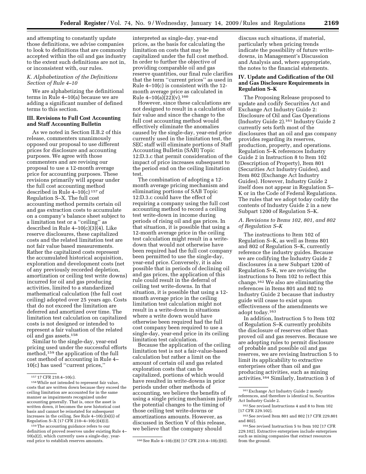and attempting to constantly update those definitions, we advise companies to look to definitions that are commonly accepted within the oil and gas industry to the extent such definitions are not in, or inconsistent with, our rules.

## *K. Alphabetization of the Definitions Section of Rule 4–10*

We are alphabetizing the definitional terms in Rule 4–10(a) because we are adding a significant number of defined terms to this section.

## **III. Revisions to Full Cost Accounting and Staff Accounting Bulletin**

As we noted in Section II.B.2 of this release, commenters unanimously opposed our proposal to use different prices for disclosure and accounting purposes. We agree with those commenters and are revising our proposal to use a 12-month average price for accounting purposes. These revisions primarily will appear under the full cost accounting method described in Rule 4–10(c) 157 of Regulation S–X. The full cost accounting method permits certain oil and gas extraction costs to accumulate on a company's balance sheet subject to a limitation test or a ''ceiling'' as described in Rule 4–10(c)(3)(4). Like reserve disclosures, these capitalized costs and the related limitation test are not fair value based measurements. Rather the capitalized costs represent the accumulated historical acquisition, exploration and development costs (net of any previously recorded depletion, amortization or ceiling test write downs) incurred for oil and gas producing activities, limited to a standardized mathematical calculation (the full cost ceiling) adopted over 25 years ago. Costs that do not exceed the limitation are deferred and amortized over time. The limitation test calculation on capitalized costs is not designed or intended to represent a fair valuation of the related oil and gas assets.158

Similar to the single-day, year-end pricing used under the successful efforts method,159 the application of the full cost method of accounting in Rule 4– 10(c) has used ''current prices,''

159The accounting guidance refers to our definition of proved reserves under existing Rule 4– 10(a)(2), which currently uses a single-day, year-<br>end price to establish reserves amounts.

interpreted as single-day, year-end prices, as the basis for calculating the limitation on costs that may be capitalized under the full cost method. In order to further the objective of providing comparable oil and gas reserve quantities, our final rule clarifies that the term ''current prices'' as used in Rule 4–10(c) is consistent with the 12 month average price as calculated in Rule  $4-10(a)(22)(v)$ .<sup>160</sup>

However, since these calculations are not designed to result in a calculation of fair value and since the change to the full cost accounting method would effectively eliminate the anomalies caused by the single-day, year-end price currently used in the limitation test, the SEC staff will eliminate portions of Staff Accounting Bulletin (SAB) Topic 12:D.3.c that permit consideration of the impact of price increases subsequent to the period end on the ceiling limitation test.

The combination of adopting a 12 month average pricing mechanism and eliminating portions of SAB Topic 12:D.3.c could have the effect of requiring a company using the full cost accounting method to record a ceiling test write-down in income during periods of rising oil and gas prices. In that situation, it is possible that using a 12-month average price in the ceiling test calculation might result in a writedown that would not otherwise have been required had the full cost company been permitted to use the single-day, year-end price. Conversely, it is also possible that in periods of declining oil and gas prices, the application of this rule could result in the deferral of ceiling test write-downs. In that situation, it is possible that using a 12 month average price in the ceiling limitation test calculation might not result in a write-down in situations where a write down would have otherwise been required had the full cost company been required to use a single-day, year-end price in its ceiling limitation test calculation.

Because the application of the ceiling limitation test is not a fair-value-based calculation but rather a limit on the amount of certain oil and gas related exploration costs that can be capitalized, portions of which would have resulted in write-downs in prior periods under other methods of accounting, we believe the benefits of using a single pricing mechanism justify the potential changes to the timing of those ceiling test write-downs or amortizations amounts. However, as discussed in Section V of this release, we believe that the company should

discuss such situations, if material, particularly when pricing trends indicate the possibility of future writedowns, in Management's Discussion and Analysis and, where appropriate, the notes to the financial statements.

## **IV. Update and Codification of the Oil and Gas Disclosure Requirements in Regulation S–K**

The Proposing Release proposed to update and codify Securities Act and Exchange Act Industry Guide 2: Disclosure of Oil and Gas Operations (Industry Guide 2).161 Industry Guide 2 currently sets forth most of the disclosures that an oil and gas company provides regarding its reserves, production, property, and operations. Regulation S–K references Industry Guide 2 in Instruction 8 to Item 102 (Description of Property), Item 801 (Securities Act Industry Guides), and Item 802 (Exchange Act Industry Guides). However, Industry Guide 2 itself does not appear in Regulation S– K or in the Code of Federal Regulations. The rules that we adopt today codify the contents of Industry Guide 2 in a new Subpart 1200 of Regulation S–K.

## *A. Revisions to Items 102, 801, and 802 of Regulation S–K*

The instructions to Item 102 of Regulation S–K, as well as Items 801 and 802 of Regulation S–K, currently reference the industry guides. Because we are codifying the Industry Guide 2 disclosures in a new Subpart 1200 of Regulation S–K, we are revising the instructions to Item 102 to reflect this change.162 We also are eliminating the references in Items 801 and 802 to Industry Guide 2 because that industry guide will cease to exist upon effectiveness of the amendments we adopt today.163

In addition, Instruction 5 to Item 102 of Regulation S–K currently prohibits the disclosure of reserves other than proved oil and gas reserves. Because we are adopting rules to permit disclosure of probable and possible oil and gas reserves, we are revising Instruction 5 to limit its applicability to extractive enterprises other than oil and gas producing activities, such as mining activities.164 Similarly, Instruction 3 of

<sup>157</sup> 17 CFR 210.4–10(c).

<sup>158</sup>While not intended to represent fair value, costs that are written down because they exceed the ceiling limitation are accounted for in the same manner as impairments recognized under accounting generally. That is, once the asset is written down, it becomes the new historical cost basis and cannot be reinstated for subsequent increases in the ceiling. See Rule  $4-10(c)(4)(i)$  of Regulation S–X [17 CFR 210–4–10(c)(4)(i)].

<sup>160</sup> See Rule 4–10(c)(8) [17 CFR 210.4–10(c)(8)].

<sup>161</sup>Exchange Act Industry Guide 2 merely references, and therefore is identical to, Securities Act Industry Guide 2.

<sup>162</sup>See revised Instructions 4 and 8 to Item 102 [17 CFR 229.102].

<sup>163</sup>See revised Item 801 and 802 [17 CFR 229.801 and 802].

 $^{164}\!\,See$  revised Instruction 5 to Item 102 [17 CFR 229.102]. Extractive enterprises include enterprises such as mining companies that extract resources from the ground.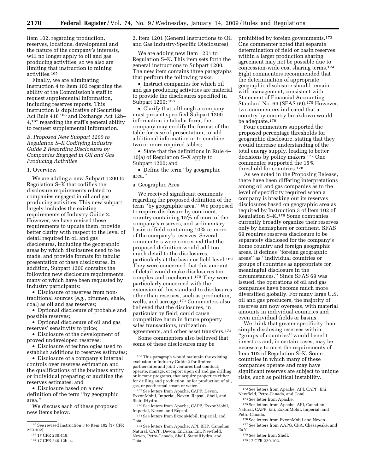Item 102, regarding production, reserves, locations, development and the nature of the company's interests, will no longer apply to oil and gas producing activities, so we also are limiting that instruction to mining activities.165

Finally, we are eliminating Instruction 4 to Item 102 regarding the ability of the Commission's staff to request supplemental information, including reserves reports. This instruction is duplicative of Securities Act Rule 418 166 and Exchange Act 12b– 4,167 regarding the staff's general ability to request supplemental information.

## *B. Proposed New Subpart 1200 to Regulation S–K Codifying Industry Guide 2 Regarding Disclosures by Companies Engaged in Oil and Gas Producing Activities*

#### 1. Overview

We are adding a new Subpart 1200 to Regulation S–K that codifies the disclosure requirements related to companies engaged in oil and gas producing activities. This new subpart largely includes the existing requirements of Industry Guide 2. However, we have revised these requirements to update them, provide better clarity with respect to the level of detail required in oil and gas disclosures, including the geographic areas by which disclosures need to be made, and provide formats for tabular presentation of these disclosures. In addition, Subpart 1200 contains the following new disclosure requirements, many of which have been requested by industry participants:

• Disclosure of reserves from nontraditional sources (*e.g.*, bitumen, shale, coal) as oil and gas reserves;

• Optional disclosure of probable and possible reserves;

• Optional disclosure of oil and gas reserves' sensitivity to price;

• Disclosure of the development of proved undeveloped reserves;

• Disclosure of technologies used to establish additions to reserves estimates;

• Disclosure of a company's internal controls over reserves estimation and the qualifications of the business entity or individual preparing or auditing the reserves estimates; and

• Disclosure based on a new definition of the term ''by geographic area.''

We discuss each of these proposed new Items below.

2. Item 1201 (General Instructions to Oil and Gas Industry-Specific Disclosures)

We are adding new Item 1201 to Regulation S–K. This item sets forth the general instructions to Subpart 1200. The new item contains three paragraphs that perform the following tasks:

• Instruct companies for which oil and gas producing activities are material to provide the disclosures specified in Subpart 1200; 168

• Clarify that, although a company must present specified Subpart 1200 information in tabular form, the company may modify the format of the table for ease of presentation, to add additional information or to combine two or more required tables;

• State that the definitions in Rule 4– 10(a) of Regulation S–X apply to Subpart 1200; and

• Define the term ''by geographic area.''

#### a. Geographic Area

We received significant comments regarding the proposed definition of the term ''by geographic area.'' We proposed to require disclosure by continent, country containing 15% of more of the company's reserves, and sedimentary basin or field containing 10% or more of the company's reserves. Several commenters were concerned that the proposed definition would add too much detail to the disclosures, particularly at the basin or field level.169 They were concerned that this amount of detail would make disclosures too complex and incoherent.170 They were particularly concerned with the extension of this standard to disclosures other than reserves, such as production, wells, and acreage.171 Commenters also believed that the disclosures, in particular by field, could cause competitive harm in future property sales transactions, unitization agreements, and other asset transfers.172

Some commenters also believed that

some of these disclosures may be

169See letters from Apache, CAPP, Devon, ExxonMobil, Imperial, Nexen, Repsol, Shell, and StatoilHydro.

170See letters from Apache, CAPP, ExxonMobil, Imperial, Nexen, and Repsol.

 $^{\rm 171}$  See letters from ExxonMobil, Imperial, and Total.

172See letters from Apache, API, BHP, Canadian Natural, CAPP, Devon, EnCana, Eni, Newfield, Nexen, Petro-Canada, Shell, StatoilHydro, and Total.

prohibited by foreign governments.173 One commenter noted that separate determination of field or basin reserves within a larger production sharing agreement may not be possible due to concession-wide cost sharing terms.174 Eight commenters recommended that the determination of appropriate geographic disclosure should remain with management, consistent with Statement of Financial Accounting Standard No. 69 (SFAS 69).175 However, two commenters indicated that a country-by-country breakdown would be adequate.176

Four commenters supported the proposed percentage thresholds for geographic disclosure, stating that they would increase understanding of the total energy supply, leading to better decisions by policy makers.177 One commenter supported the 15% threshold for countries.178

As we noted in the Proposing Release, there have been differing interpretations among oil and gas companies as to the level of specificity required when a company is breaking out its reserves disclosures based on geographic area as required by Instruction 3 of Item 102 of Regulation S–K.179 Some companies currently broadly organize their reserves only by hemisphere or continent. SFAS 69 requires reserves disclosure to be separately disclosed for the company's home country and foreign geographic areas. It defines ''foreign geographic areas'' as ''individual countries or groups of countries as appropriate for meaningful disclosure in the circumstances.'' Since SFAS 69 was issued, the operations of oil and gas companies have become much more diversified globally. For many large U.S. oil and gas producers, the majority of reserves are now overseas, with material amounts in individual countries and even individual fields or basins.

We think that greater specificity than simply disclosing reserves within ''groups of countries'' would benefit investors and, in certain cases, may be necessary to meet the requirements of Item 102 of Regulation S–K. Some countries in which many of these companies operate and may have significant reserves are subject to unique risks, such as political instability.

174See letter from Apache.

175See letters from Apache, API, Canadian Natural, CAPP, Eni, ExxonMobil, Imperial, and Petro-Canada.

176 See letters from ExxonMobil and Nexen.

177See letters from AAPG, CFA, Chesapeake, and E&Y.

178See letter from Shell.

179 17 CFR 229.102.

 $^{165}\!\,See$  revised Instruction 3 to Item 102 [17 CFR 229.102].

<sup>166</sup> 17 CFR 230.418.

<sup>167</sup> 17 CFR 240.12b–4.

<sup>168</sup>This paragraph would maintain the existing exclusion in Industry Guide 2 for limited partnerships and joint ventures that conduct, operate, manage, or report upon oil and gas drilling or income programs, that acquire properties either for drilling and production, or for production of oil, gas, or geothermal steam or water.

<sup>173</sup>See letters from Apache, API, CAPP, Eni, Newfield, Petro-Canada, and Total.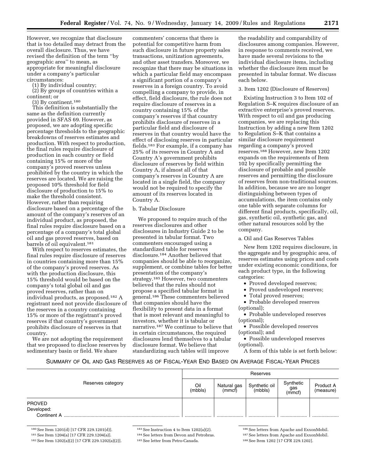However, we recognize that disclosure that is too detailed may detract from the overall disclosure. Thus, we have revised the definition of the term ''by geographic area'' to mean, as appropriate for meaningful disclosure under a company's particular circumstances:

(1) By individual country;

(2) By groups of countries within a continent; or

(3) By continent.180

This definition is substantially the same as the definition currently provided in SFAS 69. However, as proposed, we are adopting specific percentage thresholds to the geographic breakdowns of reserves estimates and production. With respect to production, the final rules require disclosure of production in each country or field containing 15% or more of the company's proved reserves unless prohibited by the country in which the reserves are located. We are raising the proposed 10% threshold for field disclosure of production to 15% to make the threshold consistent. However, rather than requiring disclosure based on a percentage of the amount of the company's reserves of an individual product, as proposed, the final rules require disclosure based on a percentage of a company's total global oil and gas proved reserves, based on barrels of oil equivalent.181

With respect to reserves estimates, the final rules require disclosure of reserves in countries containing more than 15% of the company's proved reserves. As with the production disclosure, this 15% threshold would be based on the company's total global oil and gas proved reserves, rather than on individual products, as proposed.182 A registrant need not provide disclosure of the reserves in a country containing 15% or more of the registrant's proved reserves if that country's government prohibits disclosure of reserves in that country.

We are not adopting the requirement that we proposed to disclose reserves by sedimentary basin or field. We share

commenters' concerns that there is potential for competitive harm from such disclosure in future property sales transactions, unitization agreements, and other asset transfers. Moreover, we recognize that there may be situations in which a particular field may encompass a significant portion of a company's reserves in a foreign country. To avoid compelling a company to provide, in effect, field disclosure, the rule does not require disclosure of reserves in a country containing 15% of the company's reserves if that country prohibits disclosure of reserves in a particular field and disclosure of reserves in that country would have the effect of disclosing reserves in particular fields.183 For example, if a company has 25% of its reserves in Country A and Country A's government prohibits disclosure of reserves by field within Country A, if almost all of that company's reserves in Country A are located in a single field, the company would not be required to specify the amount of its reserves located in Country A.

#### b. Tabular Disclosure

We proposed to require much of the reserves disclosures and other disclosures in Industry Guide 2 to be presented in tabular format. Two commenters encouraged using a standardized table for reserves disclosure.184 Another believed that companies should be able to reorganize, supplement, or combine tables for better presentation of the company's strategy.185 However, two commenters believed that the rules should not propose a specified tabular format in general.186 These commenters believed that companies should have the flexibility to present data in a format that is most relevant and meaningful to investors, whether it is tabular or narrative.187 We continue to believe that in certain circumstances, the required disclosures lend themselves to a tabular disclosure format. We believe that standardizing such tables will improve

the readability and comparability of disclosures among companies. However, in response to comments received, we have made several revisions to the individual disclosure items, including whether the disclosure item must be presented in tabular format. We discuss each below.

#### 3. Item 1202 (Disclosure of Reserves)

Existing Instruction 3 to Item 102 of Regulation S–K requires disclosure of an extractive enterprise's proved reserves. With respect to oil and gas producing companies, we are replacing this Instruction by adding a new Item 1202 to Regulation S–K that contains a similar disclosure requirement regarding a company's proved reserves.188 However, new Item 1202 expands on the requirements of Item 102 by specifically permitting the disclosure of probable and possible reserves and permitting the disclosure of reserves from non-traditional sources. In addition, because we are no longer distinguishing between types of accumulations, the item contains only one table with separate columns for different final products, specifically, oil, gas, synthetic oil, synthetic gas, and other natural resources sold by the company.

#### a. Oil and Gas Reserves Tables

New Item 1202 requires disclosure, in the aggregate and by geographic area, of reserves estimates using prices and costs under existing economic conditions, for each product type, in the following categories:

- Proved developed reserves;
- Proved undeveloped reserves;
- Total proved reserves;
- Probable developed reserves (optional);

• Probable undeveloped reserves (optional);

• Possible developed reserves (optional); and

• Possible undeveloped reserves (optional).

A form of this table is set forth below:

## SUMMARY OF OIL AND GAS RESERVES AS OF FISCAL-YEAR END BASED ON AVERAGE FISCAL-YEAR PRICES

|                                  | Reserves       |                       |                          |                            |                        |  |  |  |
|----------------------------------|----------------|-----------------------|--------------------------|----------------------------|------------------------|--|--|--|
| Reserves category                | Oil<br>(mbbls) | Natural gas<br>(mmcf) | Synthetic oil<br>(mbbls) | Synthetic<br>gas<br>(mmcf) | Product A<br>(measure) |  |  |  |
| PROVED                           |                |                       |                          |                            |                        |  |  |  |
| Developed:<br><b>Continent A</b> |                |                       |                          |                            |                        |  |  |  |

180See Item 1201(d) [17 CFR 229.1201(d)].

181See Item 1204(a) [17 CFR 229.1204(a)].

182See Item 1202(a)(2) [17 CFR 229.1202(a)(2)].

 $183$  See Instruction 4 to Item  $1202(a)(2)$ . 184See letters from Devon and Petrobras. 185See letter from Petro-Canada.

186 See letters from Apache and ExxonMobil. 187See letters from Apache and ExxonMobil. 188See Item 1202 [17 CFR 229.1202].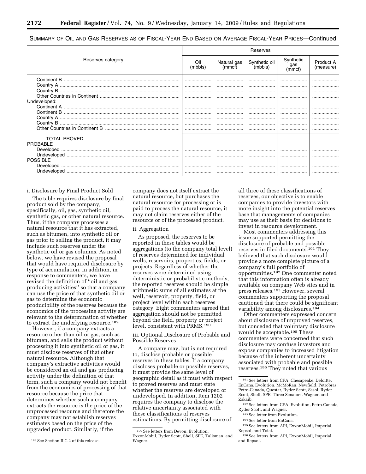SUMMARY OF OIL AND GAS RESERVES AS OF FISCAL-YEAR END BASED ON AVERAGE FISCAL-YEAR PRICES—Continued

|                   | Reserves       |                       |                          |                            |                        |  |  |  |  |
|-------------------|----------------|-----------------------|--------------------------|----------------------------|------------------------|--|--|--|--|
| Reserves category | Oil<br>(mbbls) | Natural gas<br>(mmcf) | Synthetic oil<br>(mbbls) | Synthetic<br>gas<br>(mmcf) | Product A<br>(measure) |  |  |  |  |
|                   |                |                       |                          |                            |                        |  |  |  |  |
|                   |                |                       |                          |                            |                        |  |  |  |  |
|                   |                | .                     | .                        |                            |                        |  |  |  |  |
|                   |                |                       |                          |                            |                        |  |  |  |  |
| Undeveloped:      |                |                       |                          |                            |                        |  |  |  |  |
|                   |                |                       |                          |                            |                        |  |  |  |  |
|                   |                |                       | .                        |                            |                        |  |  |  |  |
|                   | .              |                       | .                        |                            |                        |  |  |  |  |
|                   | .              |                       | .                        |                            |                        |  |  |  |  |
|                   |                |                       |                          |                            |                        |  |  |  |  |
|                   |                |                       |                          |                            |                        |  |  |  |  |
| PROBABLE          |                |                       |                          |                            |                        |  |  |  |  |
|                   |                |                       |                          |                            |                        |  |  |  |  |
|                   |                |                       |                          |                            |                        |  |  |  |  |
| <b>POSSIBLE</b>   |                |                       |                          |                            |                        |  |  |  |  |
|                   |                |                       | .                        |                            |                        |  |  |  |  |
|                   |                |                       |                          |                            |                        |  |  |  |  |

#### i. Disclosure by Final Product Sold

The table requires disclosure by final product sold by the company, specifically, oil, gas, synthetic oil, synthetic gas, or other natural resource. Thus, if the company processes a natural resource that it has extracted, such as bitumen, into synthetic oil or gas prior to selling the product, it may include such reserves under the synthetic oil or gas columns. As noted below, we have revised the proposal that would have required disclosure by type of accumulation. In addition, in response to commenters, we have revised the definition of ''oil and gas producing activities'' so that a company can use the price of that synthetic oil or gas to determine the economic producibility of the reserves because the economics of the processing activity are relevant to the determination of whether to extract the underlying resource.189

However, if a company extracts a resource other than oil or gas, such as bitumen, and sells the product without processing it into synthetic oil or gas, it must disclose reserves of that other natural resource. Although that company's extractive activities would be considered an oil and gas producing activity under the definition of that term, such a company would not benefit from the economics of processing of that resource because the price that determines whether such a company extracts the resource is the price of the unprocessed resource and therefore the company may not establish reserves estimates based on the price of the upgraded product. Similarly, if the

company does not itself extract the natural resource, but purchases the natural resource for processing or is paid to process the natural resource, it may not claim reserves either of the resource or of the processed product.

#### ii. Aggregation

As proposed, the reserves to be reported in these tables would be aggregations (to the company total level) of reserves determined for individual wells, reservoirs, properties, fields, or projects. Regardless of whether the reserves were determined using deterministic or probabilistic methods, the reported reserves should be simple arithmetic sums of all estimates at the well, reservoir, property, field, or project level within each reserves category. Eight commenters agreed that aggregation should not be permitted beyond the field, property or project level, consistent with PRMS.190

iii. Optional Disclosure of Probable and Possible Reserves

A company may, but is not required to, disclose probable or possible reserves in these tables. If a company discloses probable or possible reserves, it must provide the same level of geographic detail as it must with respect to proved reserves and must state whether the reserves are developed or undeveloped. In addition, Item 1202 requires the company to disclose the relative uncertainty associated with these classifications of reserves estimations. By permitting disclosure of

all three of these classifications of reserves, our objective is to enable companies to provide investors with more insight into the potential reserves base that managements of companies may use as their basis for decisions to invest in resource development.

Most commenters addressing this issue supported permitting the disclosure of probable and possible reserves in filed documents.191 They believed that such disclosure would provide a more complete picture of a company's full portfolio of opportunities.192 One commenter noted that this information often is already available on company Web sites and in press releases.193 However, several commenters supporting the proposal cautioned that there could be significant variability among disclosures.194

Other commenters expressed concern about disclosure of unproved reserves, but conceded that voluntary disclosure would be acceptable.195 These commenters were concerned that such disclosure may confuse investors and expose companies to increased litigation because of the inherent uncertainty associated with probable and possible reserves.196 They noted that various

- 193See letter from Evolution.
- 194See letter from EnCana.
- 195See letters from API, ExxonMobil, Imperial, Repsol, and Total.

<sup>189</sup>See Section II.C.2 of this release.

<sup>190</sup>See letters from Devon, Evolution, ExxonMobil, Ryder Scott, Shell, SPE, Talisman, and Wagner.

<sup>191</sup>See letters from CFA, Chesapeake, Deloitte, EnCana, Evolution, McMoRan, Newfield, Petrobras, Petro-Canada, Questar, Ryder Scott, Sasol, Ryder Scott, Shell, SPE, Three Senators, Wagner, and Zakaib.

<sup>192</sup>See letters from CFA, Evolution, Petro-Canada, Ryder Scott, and Wagner.

<sup>196</sup>See letters from API, ExxonMobil, Imperial, and Repsol.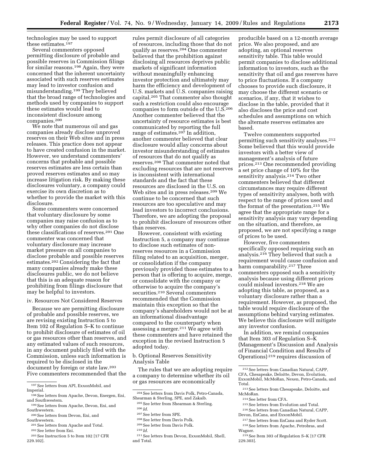technologies may be used to support these estimates.197

Several commenters opposed permitting disclosure of probable and possible reserves in Commission filings for similar reasons.198 Again, they were concerned that the inherent uncertainty associated with such reserves estimates may lead to investor confusion and misunderstanding.199 They believed that the broad range of technologies and methods used by companies to support these estimates would lead to inconsistent disclosure among companies.200

We note that numerous oil and gas companies already disclose unproved reserves on their Web sites and in press releases. This practice does not appear to have created confusion in the market. However, we understand commenters' concerns that probable and possible reserves estimates are less certain than proved reserves estimates and so may increase litigation risk. By making these disclosures voluntary, a company could exercise its own discretion as to whether to provide the market with this disclosure.

Some commenters were concerned that voluntary disclosure by some companies may raise confusion as to why other companies do not disclose these classifications of reserves.201 One commenter was concerned that voluntary disclosure may increase market pressure on all companies to disclose probable and possible reserves estimates.202 Considering the fact that many companies already make these disclosures public, we do not believe that this is an adequate reason for prohibiting from filings disclosure that may be helpful to investors.

#### iv. Resources Not Considered Reserves

Because we are permitting disclosure of probable and possible reserves, we are revising existing Instruction 5 to Item 102 of Regulation S–K to continue to prohibit disclosure of estimates of oil or gas resources other than reserves, and any estimated values of such resources, in any document publicly filed with the Commission, unless such information is required to be disclosed in the document by foreign or state law.203 Five commenters recommended that the

- $^{201}$  See letters from Apache and Total.  $^{202}$  See letter from Eni.
- 203See Instruction 5 to Item 102 [17 CFR
- 229.102].

rules permit disclosure of all categories of resources, including those that do not qualify as reserves.204 One commenter believed that the prohibition against disclosing all resources deprives public markets of significant information without meaningfully enhancing investor protection and ultimately may harm the efficiency and development of U.S. markets and U.S. companies raising capital.205 That commenter also thought such a restriction could also encourage companies to form outside of the U.S.206 Another commenter believed that the uncertainty of resource estimates is best communicated by reporting the full range of estimates.<sup>207</sup> In addition, another commenter believed that clear disclosure would allay concerns about investor misunderstanding of estimates of resources that do not qualify as reserves.208 That commenter noted that excluding resources that are not reserves is inconsistent with international standards and the fact that these resources are disclosed in the U.S. on Web sites and in press releases.209 We continue to be concerned that such resources are too speculative and may lead investors to incorrect conclusions. Therefore, we are adopting the proposal to prohibit disclosure of resources other than reserves.

However, consistent with existing Instruction 5, a company may continue to disclose such estimates of nonreserves resources in a Commission filing related to an acquisition, merger, or consolidation if the company previously provided those estimates to a person that is offering to acquire, merge, or consolidate with the company or otherwise to acquire the company's securities.210 Several commenters recommended that the Commission maintain this exception so that the company's shareholders would not be at an informational disadvantage compared to the counterparty when assessing a merger.211 We agree with these commenters and have retained the exception in the revised Instruction 5 adopted today.

b. Optional Reserves Sensitivity Analysis Table

The rules that we are adopting require a company to determine whether its oil or gas resources are economically

204See letters from Davis Polk, Petro-Canada, Shearman & Sterling, SPE, and Zakaib.

producible based on a 12-month average price. We also proposed, and are adopting, an optional reserves sensitivity table. This table would permit companies to disclose additional information to investors, such as the sensitivity that oil and gas reserves have to price fluctuations. If a company chooses to provide such disclosure, it may choose the different scenario or scenarios, if any, that it wishes to disclose in the table, provided that it also discloses the price and cost schedules and assumptions on which the alternate reserves estimates are based.

Twelve commenters supported permitting such sensitivity analyses.212 Some believed that this would provide investors with a better view of management's analysis of future prices.213 One recommended providing a set price change of 10% for the sensitivity analysis.214 Two other commenters believed that different circumstances may require different types of sensitivity analyses, both with respect to the range of prices used and the format of the presentation.215 We agree that the appropriate range for a sensitivity analysis may vary depending on the situation, and therefore, as proposed, we are not specifying a range of prices to be used.

However, five commenters specifically opposed requiring such an analysis.216 They believed that such a requirement would cause confusion and harm comparability.<sup>217</sup> Three commenters opposed such a sensitivity analysis because using different prices could mislead investors.218 We are adopting this table, as proposed, as a voluntary disclosure rather than a requirement. However, as proposed, the table would require disclosure of the assumptions behind varying estimates. We believe this disclosure will mitigate any investor confusion.

In addition, we remind companies that Item 303 of Regulation S–K (Management's Discussion and Analysis of Financial Condition and Results of Operations) 219 requires discussion of

- 215See letters from Evolution and Total.
- 216See letters from Canadian Natural, CAPP, Devon, EnCana, and ExxonMobil.
- 217See letters from EnCana and Ryder Scott. 218See letters from Apache, Petrobras, and Wagner.

<sup>&</sup>lt;sup>197</sup> See letters from API, ExxonMobil, and Imperial.

<sup>&</sup>lt;sup>198</sup> See letters from Apache, Devon, Energen, Eni,<br>and Southwestern.

<sup>&</sup>lt;sup>199</sup> See letters from Apache, Devon, Eni, and Southwestern.

<sup>&</sup>lt;sup>200</sup> See letters from Devon, Eni, and<br>Southwestern.

<sup>205</sup>See letter from Shearman & Sterling. 206 *Id.* 

<sup>207</sup>See letter from SPE. 208See letter from Davis Polk.

<sup>209</sup>See letter from Davis Polk.

<sup>210</sup> *Id.* 

<sup>211</sup>See letters from Devon, ExxonMobil, Shell, and Total.

<sup>212</sup>See letters from Canadian Natural, CAPP, CFA, Chesapeake, Deloitte, Devon, Evolution, ExxonMobil, McMoRan, Nexen, Petro-Canada, and Total.

<sup>213</sup>See letters from Chesapeake, Deloitte, and McMoRan.

<sup>214</sup>See letter from CFA.

<sup>219</sup>See Item 303 of Regulation S–K [17 CFR 229.303].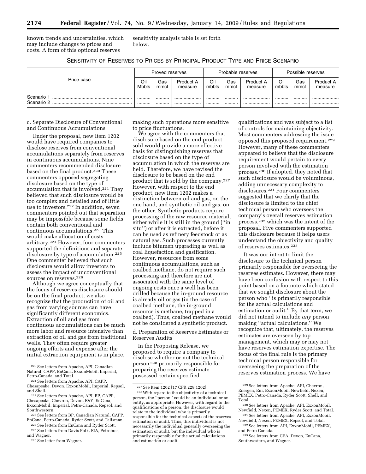known trends and uncertainties, which may include changes to prices and costs. A form of this optional reserves

sensitivity analysis table is set forth below.

| SENSITIVITY OF RESERVES TO PRICES BY PRINCIPAL PRODUCT TYPE AND PRICE SCENARIO |  |
|--------------------------------------------------------------------------------|--|
|--------------------------------------------------------------------------------|--|

|            | Proved reserves |      |           |       |      | Probable reserves | Possible reserves |      |           |  |
|------------|-----------------|------|-----------|-------|------|-------------------|-------------------|------|-----------|--|
| Price case |                 | Gas  | Product A | Oil   | Gas  | Product A         | Oil               | Gas  | Product A |  |
|            |                 | mmcf | measure   | mbbls | mmcf | measure           | mbbls             | mmcf | measure   |  |
| Scenario   |                 | .    |           |       |      |                   |                   | .    |           |  |
| Scenario 2 |                 | .    |           | .     |      |                   |                   | .    |           |  |

c. Separate Disclosure of Conventional and Continuous Accumulations

Under the proposal, new Item 1202 would have required companies to disclose reserves from conventional accumulations separately from reserves in continuous accumulations. Nine commenters recommended disclosure based on the final product.<sup>220</sup> These commenters opposed segregating disclosure based on the type of accumulation that is involved.221 They believed that such disclosure would be too complex and detailed and of little use to investors.222 In addition, seven commenters pointed out that separation may be impossible because some fields contain both conventional and continuous accumulations.223 This would make allocation of costs arbitrary.224 However, four commenters supported the definitions and separate disclosure by type of accumulation.<sup>225</sup> One commenter believed that such disclosure would allow investors to assess the impact of unconventional sources on reserves.<sup>226</sup>

Although we agree conceptually that the focus of reserves disclosure should be on the final product, we also recognize that the production of oil and gas from varying sources can have significantly different economics. Extraction of oil and gas from continuous accumulations can be much more labor and resource intensive than extraction of oil and gas from traditional wells. They often require greater ongoing efforts and expense after the initial extraction equipment is in place,

making such operations more sensitive to price fluctuations.

We agree with the commenters that disclosure based on the end product sold would provide a more effective basis for distinguishing reserves that disclosure based on the type of accumulation in which the reserves are held. Therefore, we have revised the disclosure to be based on the end product that is sold by the company.227 However, with respect to the end product, new Item 1202 makes a distinction between oil and gas, on the one hand, and synthetic oil and gas, on the other. Synthetic products require processing of the raw resource material, either while it is still in the ground (''in situ'') or after it is extracted, before it can be used as refinery feedstock or as natural gas. Such processes currently include bitumen upgrading as well as coal liquefaction and gasification. However, resources from some continuous accumulations, such as coalbed methane, do not require such processing and therefore are not associated with the same level of ongoing costs once a well has been drilled because the in-ground resource is already oil or gas (in the case of coalbed methane, the in-ground resource is methane, trapped in a coalbed). Thus, coalbed methane would not be considered a synthetic product.

d. Preparation of Reserves Estimates or Reserves Audits

In the Proposing Release, we proposed to require a company to disclose whether or not the technical person 228 primarily responsible for preparing the reserves estimate possessed certain specified

qualifications and was subject to a list of controls for maintaining objectivity. Most commenters addressing the issue opposed this proposed requirement.229 However, many of these commenters appeared to believe that the disclosure requirement would pertain to every person involved with the estimation process.230 If adopted, they noted that such disclosure would be voluminous, adding unnecessary complexity to disclosures.231 Four commenters suggested that we clarify that the disclosure is limited to the chief technical person who oversees the company's overall reserves estimation process,232 which was the intent of the proposal. Five commenters supported this disclosure because it helps users understand the objectivity and quality of reserves estimates.233

It was our intent to limit the disclosure to the technical person primarily responsible for overseeing the reserves estimates. However, there may have been confusion with respect to this point based on a footnote which stated that we sought disclosure about the person who ''is primarily responsible for the actual calculations and estimation or audit.'' By that term, we did not intend to include *any* person making ''actual calculations.'' We recognize that, ultimately, the reserves estimates are overseen by top management, which may or may not have reserves estimation expertise. The focus of the final rule is the primary technical person responsible for overseeing the preparation of the reserves estimation process. We have

<sup>220</sup>See letters from Apache, API, Canadian Natural, CAPP, EnCana, ExxonMobil, Imperial,

<sup>&</sup>lt;sup>221</sup> See letters from Apache, API, CAPP, Chesapeake, Devon, ExxonMobil, Imperial, Repsol,

<sup>&</sup>lt;sup>222</sup> See letters from Apache, API, BP, CAPP, Chesapeake, Chevron, Devon, E&Y, EnCana, ExxonMobil, Imperial, Petro-Canada, Repsol, and Southwestern.

<sup>223</sup>See letters from BP, Canadian Natural, CAPP, EnCana, Petro-Canada, Ryder Scott, and Talisman.

<sup>224</sup>See letters from EnCana and Ryder Scott. 225See letters from Davis Polk, EIA, Petrobras,

and Wagner.

<sup>226</sup>See letter from Wagner.

<sup>227</sup>See Item 1202 [17 CFR 229.1202]. 228With regard to the objectivity of a technical person, the ''person'' could be an individual or an entity, as appropriate. However, with regard to the qualifications of a person, the disclosure would relate to the individual who is primarily responsible for the technical aspects of the reserves estimation or audit. Thus, this individual is not necessarily the individual generally overseeing the estimation or audit, but the individual who is primarily responsible for the actual calculations and estimation or audit.

<sup>229</sup>See letters from Apache, API, Chevron, Energen, Eni, ExxonMobil, Newfield, Nexen, PEMEX, Petro-Canada, Ryder Scott, Shell, and Total.

<sup>230</sup>See letters from Apache, API, ExxonMobil, Newfield, Nexen, PEMEX, Ryder Scott, and Total. 231See letters from Apache, API, ExxonMobil,

Newfield, Nexen, PEMEX, Repsol, and Total. 232See letters from API, ExxonMobil, PEMEX,

and Petro-Canada.

<sup>233</sup>See letters from CFA, Devon, EnCana, Southwestern, and Wagner.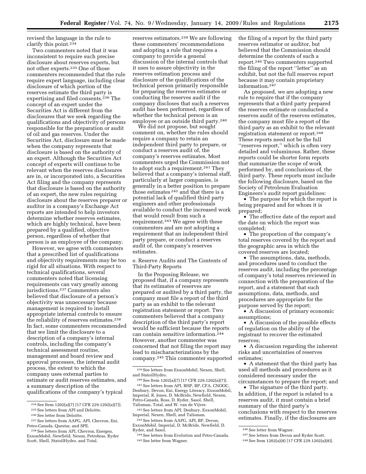revised the language in the rule to clarify this point.234

Two commenters noted that it was inconsistent to require such precise disclosure about reserves experts, but not other experts.235 One of those commenters recommended that the rule require expert language, including clear disclosure of which portion of the reserves estimate the third party is expertising and filed consents.<sup>236</sup> The concept of an expert under the Securities Act is different from the disclosures that we seek regarding the qualifications and objectivity of persons responsible for the preparation or audit of oil and gas reserves. Under the Securities Act, disclosure must be made when the company represents that disclosure is based on the authority of an expert. Although the Securities Act concept of experts will continue to be relevant when the reserves disclosures are in, or incorporated into, a Securities Act filing and the company represents that disclosure is based on the authority of an expert, the new rules requiring disclosure about the reserves preparer or auditor in a company's Exchange Act reports are intended to help investors determine whether reserves estimates, which are highly technical, have been prepared by a qualified, objective person, regardless of whether that person is an employee of the company.

However, we agree with commenters that a prescribed list of qualifications and objectivity requirements may be too rigid for all situations. With respect to technical qualifications, several commenters noted that licensing requirements can vary greatly among jurisdictions.237 Commenters also believed that disclosure of a person's objectivity was unnecessary because management is required to install appropriate internal controls to ensure the reliability of reserves estimates.<sup>238</sup> In fact, some commenters recommended that we limit the disclosure to a description of a company's internal controls, including the company's technical assessment routine, management and board review and approval processes, the internal audit process, the extent to which the company uses external parties to estimate or audit reserves estimates, and a summary description of the qualifications of the company's typical

reserves estimators.239 We are following these commenters' recommendations and adopting a rule that requires a company to provide a general discussion of the internal controls that it uses to assure objectivity in the reserves estimation process and disclosure of the qualifications of the technical person primarily responsible for preparing the reserves estimates or conducting the reserves audit if the company discloses that such a reserves audit has been performed, regardless of whether the technical person is an employee or an outside third party.240

We did not propose, but sought comment on, whether the rules should require a company to retain an independent third party to prepare, or conduct a reserves audit of, the company's reserves estimates. Most commenters urged the Commission not to adopt such a requirement.<sup>241</sup> They believed that a company's internal staff, particularly at larger companies, is generally in a better position to prepare those estimates 242 and that there is a potential lack of qualified third party engineers and other professionals available to conduct the increased work that would result from such a requirement.243 We agree with these commenters and are not adopting a requirement that an independent third party prepare, or conduct a reserves audit of, the company's reserves estimates.

e. Reserve Audits and The Contents of Third-Party Reports

In the Proposing Release, we proposed that, if a company represents that its estimates of reserves are prepared or audited by a third party, the company must file a report of the third party as an exhibit to the relevant registration statement or report. Two commenters believed that a company description of the third party's report would be sufficient because the reports can contain sensitive information.244 However, another commenter was concerned that not filing the report may lead to mischaracterizations by the company.245 This commenter supported

<sup>43</sup> See letters from AAPG, API, BP, Devon, ExxonMobil, Imperial, D. McBride, Newfield, D. Ryder, and Sasol.

244See letters from Evolution and Petro-Canada. 245See letter from Wagner.

the filing of a report by the third party reserves estimator or auditor, but believed that the Commission should determine the contents of such a report.246 Two commenters supported the filing of the report ''letter'' as an exhibit, but not the full reserves report because it may contain proprietary information.247

As proposed, we are adopting a new rule to require that if the company represents that a third party prepared the reserves estimate or conducted a reserves audit of the reserves estimates, the company must file a report of the third party as an exhibit to the relevant registration statement or report.248 These reports need not be the full ''reserves report,'' which is often very detailed and voluminous. Rather, these reports could be shorter form reports that summarize the scope of work performed by, and conclusions of, the third party. These reports must include the following disclosure, based on the Society of Petroleum Evaluation Engineers's audit report guidelines:

• The purpose for which the report is being prepared and for whom it is prepared;

• The effective date of the report and the date on which the report was completed;

• The proportion of the company's total reserves covered by the report and the geographic area in which the covered reserves are located;

• The assumptions, data, methods, and procedures used to conduct the reserves audit, including the percentage of company's total reserves reviewed in connection with the preparation of the report, and a statement that such assumptions, data, methods, and procedures are appropriate for the purpose served by the report;

• A discussion of primary economic assumptions;

• A discussion of the possible effects of regulation on the ability of the registrant to recover the estimated reserves;

• A discussion regarding the inherent risks and uncertainties of reserves estimates;

• A statement that the third party has used all methods and procedures as it considered necessary under the circumstances to prepare the report; and

• The signature of the third party. In addition, if the report is related to a reserves audit, it must contain a brief summary of the third party's conclusions with respect to the reserves estimates. Finally, if the disclosures are

<sup>234</sup>See Item 1202(a)(7) [17 CFR 229.1202(a)(7)]. 235See letters from API and Deloitte.

<sup>236</sup>See letter from Deloitte.

<sup>237</sup>See letters from AAPG, API, Chevron, Eni, Petro-Canada, Questar, and SPE.

<sup>238</sup>See letters from API, Chevron, Energen, ExxonMobil, Newfield, Nexen, Petrobras, Ryder Scott, Shell, StatoilHydro, and Total.

<sup>239</sup>See letters from ExxonMobil, Nexen, Shell, and StatoilHydro.

<sup>240</sup>See Item 1202(a)(7) [17 CFR 229.1202(a)(7)]. 241See letters from API, BHP, BP, CFA, CNOOC, Denbury, Devon, Eni, Energy Literacy, ExxonMobil, Imperial, R. Jones, D. McBride, Newfield, Nexen, Petro-Canada, Ross, D. Ryder, Sasol, Shell, Talisman, Total, and W. van de Vijver.

<sup>242</sup>See letters from API, Denbury, ExxonMobil, Imperial, Nexen, Shell, and Talisman.

<sup>246</sup>See letter from Wagner.

<sup>247</sup>See letters from Devon and Ryder Scott.

<sup>248</sup>See Item 1202(a)(8) [17 CFR 229.1202(a)(8)].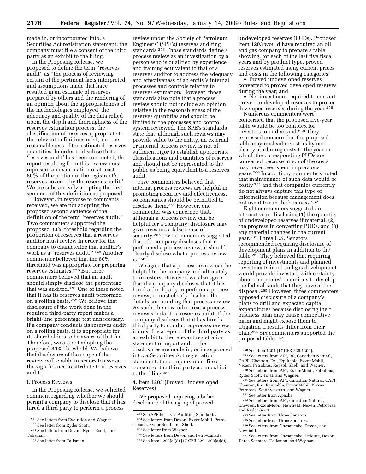made in, or incorporated into, a Securities Act registration statement, the company must file a consent of the third party as an exhibit to the filing.

In the Proposing Release, we proposed to define the term ''reserves audit'' as ''the process of reviewing certain of the pertinent facts interpreted and assumptions made that have resulted in an estimate of reserves prepared by others and the rendering of an opinion about the appropriateness of the methodologies employed, the adequacy and quality of the data relied upon, the depth and thoroughness of the reserves estimation process, the classification of reserves appropriate to the relevant definitions used, and the reasonableness of the estimated reserves quantities. In order to disclose that a 'reserves audit' has been conducted, the report resulting from this review must represent an examination of at least 80% of the portion of the registrant's reserves covered by the reserves audit.'' We are substantively adopting the first sentence of this definition as proposed.

However, in response to comments received, we are not adopting the proposed second sentence of the definition of the term ''reserves audit.'' Two commenters supported the proposed 80% threshold regarding the proportion of reserves that a reserves auditor must review in order for the company to characterize that auditor's work as a ''reserves audit.'' 249 Another commenter believed that the 80% threshold was appropriate for preparing reserves estimates.250 But three commenters believed that an audit should simply disclose the percentage that was audited.251 One of these noted that it has its reserves audit performed on a rolling basis.252 We believe that disclosure of the work done in the required third-party report makes a bright-line percentage test unnecessary. If a company conducts its reserves audit on a rolling basis, it is appropriate for its shareholders to be aware of that fact. Therefore, we are not adopting the proposed 80% threshold. We believe that disclosure of the scope of the review will enable investors to assess the significance to attribute to a reserves audit.

## f. Process Reviews

In the Proposing Release, we solicited comment regarding whether we should permit a company to disclose that it has hired a third party to perform a process

review under the Society of Petroleum Engineers' (SPE's) reserves auditing standards.253 Those standards define a process review as an investigation by a person who is qualified by experience and training equivalent to that of a reserves auditor to address the adequacy and effectiveness of an entity's internal processes and controls relative to reserves estimation. However, those standards also note that a process review should not include an opinion relative to the reasonableness of the reserves quantities and should be limited to the processes and control system reviewed. The SPE's standards state that, although such reviews may provide value to the entity, an external or internal process review is not of sufficient rigor to establish appropriate classifications and quantities of reserves and should not be represented to the public as being equivalent to a reserves audit.

Five commenters believed that internal process reviews are helpful in promoting accuracy and effectiveness, so companies should be permitted to disclose them.254 However, one commenter was concerned that, although a process review can be helpful for a company, disclosure may give investors a false sense of security.255 Two commenters suggested that, if a company discloses that it performed a process review, it should clearly disclose what a process review is.256

We agree that a process review can be helpful to the company and ultimately to investors. However, we also agree that if a company discloses that it has hired a third party to perform a process review, it must clearly disclose the details surrounding that process review. As such, the new rules treat a process review similar to a reserves audit. If the company discloses that it has hired a third party to conduct a process review, it must file a report of the third party as an exhibit to the relevant registration statement or report and, if the disclosures are made in, or incorporated into, a Securities Act registration statement, the company must file a consent of the third party as an exhibit to the filing.257

4. Item 1203 (Proved Undeveloped Reserves)

We proposed requiring tabular disclosure of the aging of proved

254See letters from Devon, ExxonMobil, Petro-Canada, Ryder Scott, and Shell. 255See letter from Wagner.

- 256See letters from Devon and Petro-Canada.
- 257See Item 1202(a)(8) [17 CFR 229.1202(a)(8)].

undeveloped reserves (PUDs). Proposed Item 1203 would have required an oil and gas company to prepare a table showing, for each of the last five fiscal years and by product type, proved reserves estimated using current prices and costs in the following categories:

• Proved undeveloped reserves converted to proved developed reserves during the year; and

• Net investment required to convert proved undeveloped reserves to proved developed reserves during the year.<sup>258</sup>

Numerous commenters were concerned that the proposed five-year table would be too complex for investors to understand.259 They expressed concern that the proposed table may mislead investors by not clearly attributing costs to the year in which the corresponding PUDs are converted because much of the costs may have been spent in previous years.260 In addition, commenters noted that maintenance of such data would be costly 261 and that companies currently do not always capture this type of information because management does not use it to run the business.262

Eight commenters suggested an alternative of disclosing (1) the quantity of undeveloped reserves if material, (2) the progress in converting PUDs, and (3) any material changes in the current year.263 Three U.S. Senators recommended requiring disclosure of development plans in addition to the table.264 They believed that requiring reporting of investments and planned investments in oil and gas development would provide investors with certainty about companies' intentions to develop the federal lands that they have at their disposal.265 However, three commenters opposed disclosure of a company's plans to drill and expected capital expenditures because disclosing their business plan may cause competitive harm and might expose them to litigation if results differ from their plan.266 Six commenters supported the proposed table.267

262See letter from Apache.

- 263See letters from API, Canadian Natural,
- Chevron, ExxonMobil, Newfield, Nexen, Petrobras, and Ryder Scott.
- 264See letter from Three Senators.

<sup>266</sup> See letters from Chesapeake, Devon, and Newfield.

<sup>249</sup>See letters from Evolution and Wagner. 250See letter from Ryder Scott.

<sup>251</sup>See letters from Devon, Ryder Scott, and Talisman.

<sup>252</sup>See letter from Talisman.

<sup>253</sup>See SPE Reserves Auditing Standards.

<sup>&</sup>lt;sup>258</sup> See Item 1204 [17 CFR 229.1204].<br><sup>259</sup> See letters from API, BP, Canadian Natural, CAPP, Chevron, Eni, Equitable, ExxonMobil,

<sup>&</sup>lt;sup>260</sup> See letters from API, ExxonMobil, Petrobras, Ryder Scott, Total, and Wagner.

<sup>&</sup>lt;sup>261</sup> See letters from API, Canadian Natural, CAPP, Chevron, Eni, Equitable, ExxonMobil, Nexen, Petrobras, Southwestern, and Wagner.

<sup>265</sup>See letter from Three Senators.

<sup>267</sup>See letters from Chesapeake, Deloitte, Devon, Three Senators, Talisman, and Wagner.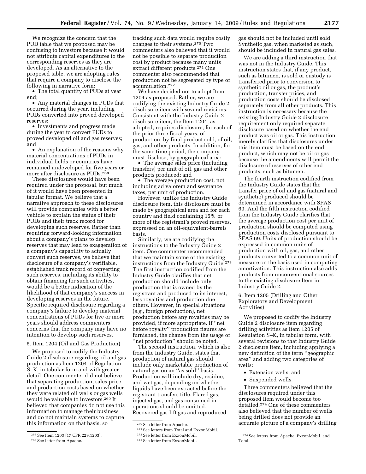We recognize the concern that the PUD table that we proposed may be confusing to investors because it would not attribute capital expenditures to the corresponding reserves as they are developed. As an alternative to the proposed table, we are adopting rules that require a company to disclose the following in narrative form:

• The total quantity of PUDs at year end;

• Any material changes in PUDs that occurred during the year, including PUDs converted into proved developed reserves;

• Investments and progress made during the year to convert PUDs to proved developed oil and gas reserves; and

• An explanation of the reasons why material concentrations of PUDs in individual fields or countries have remained undeveloped for five years or more after disclosure as PUDs.268

These disclosures would have been required under the proposal, but much of it would have been presented in tabular format. We believe that a narrative approach to these disclosures will provide companies with a better vehicle to explain the status of their PUDs and their track record for developing such reserves. Rather than requiring forward-looking information about a company's plans to develop reserves that may lead to exaggeration of a company's capability to actually convert such reserves, we believe that disclosure of a company's verifiable, established track record of converting such reserves, including its ability to obtain financing for such activities, would be a better indication of the likelihood of that company's success in developing reserves in the future. Specific required disclosure regarding a company's failure to develop material concentrations of PUDs for five or more years should address commenters' concerns that the company may have no intention to develop such reserves.

## 5. Item 1204 (Oil and Gas Production)

We proposed to codify the Industry Guide 2 disclosure regarding oil and gas production as Item 1204 of Regulation S–K, in tabular form and with greater detail. One commenter did not believe that separating production, sales price and production costs based on whether they were related oil wells or gas wells would be valuable to investors.269 It believed that companies do not use this information to manage their business and do not maintain systems to capture this information on that basis, so

tracking such data would require costly changes to their systems.270 Two commenters also believed that it would not be possible to separate production cost by product because many units extract different products.271 One commenter also recommended that production not be segregated by type of accumulation.272

We have decided not to adopt Item 1204 as proposed. Rather, we are codifying the existing Industry Guide 2 disclosure item with several revisions. Consistent with the Industry Guide 2 disclosure item, the Item 1204, as adopted, requires disclosure, for each of the prior three fiscal years, of production, by final product sold, of oil, gas, and other products. In addition, for the same time period, the company must disclose, by geographical area:

• The average sales price (including transfers) per unit of oil, gas and other products produced; and

• The average production cost, not including ad valorem and severance taxes, per unit of production.

However, unlike the Industry Guide disclosure item, this disclosure must be made by geographical area and for each country and field containing 15% or more of the registrant's proved reserves, expressed on an oil-equivalent-barrels basis.

Similarly, we are codifying the instructions to the Industry Guide 2 item. One commenter recommended that we maintain some of the existing instructions from the Industry Guide.273 The first instruction codified from the Industry Guide clarifies that net production should include only production that is owned by the registrant and produced to its interest, less royalties and production due others. However, in special situations (*e.g.*, foreign production), net production before any royalties may be provided, if more appropriate. If ''net before royalty'' production figures are furnished, the change from the usage of "net production" should be noted.

The second instruction, which is also from the Industry Guide, states that production of natural gas should include only marketable production of natural gas on an ''as sold'' basis. Production will include dry, residue, and wet gas, depending on whether liquids have been extracted before the registrant transfers title. Flared gas, injected gas, and gas consumed in operations should be omitted. Recovered gas-lift gas and reproduced

gas should not be included until sold. Synthetic gas, when marketed as such, should be included in natural gas sales.

We are adding a third instruction that was not in the Industry Guide. This instruction states that, if any product, such as bitumen, is sold or custody is transferred prior to conversion to synthetic oil or gas, the product's production, transfer prices, and production costs should be disclosed separately from all other products. This instruction is necessary because the existing Industry Guide 2 disclosure requirement only required separate disclosure based on whether the end product was oil or gas. This instruction merely clarifies that disclosures under this item must be based on the end product, which may not be oil or gas because the amendments will permit the disclosure of reserves of other end products, such as bitumen.

The fourth instruction codified from the Industry Guide states that the transfer price of oil and gas (natural and synthetic) produced should be determined in accordance with SFAS 69. And the fifth instruction codified from the Industry Guide clarifies that the average production cost per unit of production should be computed using production costs disclosed pursuant to SFAS 69. Units of production should be expressed in common units of production with oil, gas, and other products converted to a common unit of measure on the basis used in computing amortization. This instruction also adds products from unconventional sources to the existing disclosure Item in Industry Guide 2.

## 6. Item 1205 (Drilling and Other Exploratory and Development Activities)

We proposed to codify the Industry Guide 2 disclosure item regarding drilling activities as Item 1205 of Regulation S–K, in tabular form, with several revisions to that Industry Guide 2 disclosure item, including applying a new definition of the term ''geographic area'' and adding two categories of wells:

- Extension wells; and
- Suspended wells.

Three commenters believed that the disclosures required under this proposed Item would become too detailed.274 One of these commenters also believed that the number of wells being drilled does not provide an accurate picture of a company's drilling

<sup>268</sup>See Item 1203 [17 CFR 229.1203]. 269See letter from Apache.

<sup>270</sup>See letter from Apache.

<sup>271</sup>See letters from Total and ExxonMobil.

<sup>272</sup>See letter from ExxonMobil.

<sup>273</sup>See letter from ExxonMobil.

<sup>274</sup>See letters from Apache, ExxonMobil, and Total.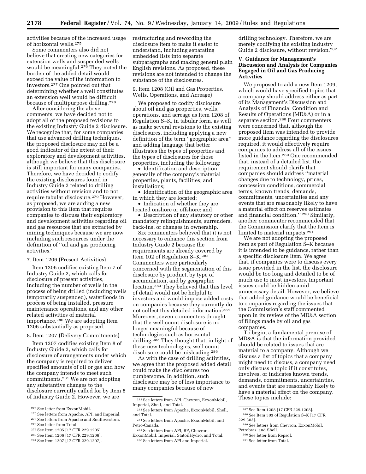activities because of the increased usage of horizontal wells.275

Some commenters also did not believe that creating new categories for extension wells and suspended wells would be meaningful.276 They noted the burden of the added detail would exceed the value of the information to investors.277 One pointed out that determining whether a well constitutes an extension well would be difficult because of multipurpose drilling.278

After considering the above comments, we have decided not to adopt all of the proposed revisions to the existing Industry Guide 2 disclosure. We recognize that, for some companies that use advanced drilling techniques, the proposed disclosure may not be a good indicator of the extent of their exploratory and development activities, although we believe that this disclosure is still important for many companies. Therefore, we have decided to codify the existing disclosures found in Industry Guide 2 related to drilling activities without revision and to not require tabular disclosure.279 However, as proposed, we are adding a new provision to this Item that requires companies to discuss their exploratory and development activities regarding oil and gas resources that are extracted by mining techniques because we are now including such resources under the definition of ''oil and gas producing activities.''

## 7. Item 1206 (Present Activities)

Item 1206 codifies existing Item 7 of Industry Guide 2, which calls for disclosure of present activities, including the number of wells in the process of being drilled (including wells temporarily suspended), waterfloods in process of being installed, pressure maintenance operations, and any other related activities of material importance.280 We are adopting Item 1206 substantially as proposed.

# 8. Item 1207 (Delivery Commitments)

Item 1207 codifies existing Item 8 of Industry Guide 2, which calls for disclosure of arrangements under which the company is required to deliver specified amounts of oil or gas and how the company intends to meet such commitments.281 We are not adopting any substantive changes to the disclosure currently called for by Item 8 of Industry Guide 2. However, we are

restructuring and rewording the disclosure item to make it easier to understand, including separating embedded lists into separate subparagraphs and making general plain English revisions. As proposed, these revisions are not intended to change the substance of the disclosures.

9. Item 1208 (Oil and Gas Properties, Wells, Operations, and Acreage)

We proposed to codify disclosure about oil and gas properties, wells, operations, and acreage as Item 1208 of Regulation S–K, in tabular form, as well as make several revisions to the existing disclosures, including applying a new definition of the term ''geographic area'' and adding language that better illustrates the types of properties and the types of disclosures for those properties, including the following:

• Identification and description generally of the company's material properties, plants, facilities, and installations;

• Identification of the geographic area in which they are located;

• Indication of whether they are located onshore or offshore; and

• Description of any statutory or other mandatory relinquishments, surrenders, back-ins, or changes in ownership.

Six commenters believed that it is not necessary to enhance this section from Industry Guide 2 because the requirements are already covered by Item 102 of Regulation S–K.282 Commenters were particularly concerned with the segmentation of this disclosure by product, by type of accumulation, and by geographic location.283 They believed that this level of detail would not be helpful to investors and would impose added costs on companies because they currently do not collect this detailed information.284 Moreover, seven commenters thought that the well count disclosure is no longer meaningful because of technologies such as horizontal drilling.285 They thought that, in light of these new technologies, well count disclosure could be misleading.<sup>286</sup>

As with the case of drilling activities, we agree that the proposed added detail could make the disclosures too cumbersome. In addition, such disclosure may be of less importance to many companies because of new

282See letters from API, Chevron, ExxonMobil, Imperial, Shell, and Total.

drilling technology. Therefore, we are merely codifying the existing Industry Guide 2 disclosure, without revision.287

# **V. Guidance for Management's Discussion and Analysis for Companies Engaged in Oil and Gas Producing Activities**

We proposed to add a new Item 1209, which would have specified topics that a company should address either as part of its Management's Discussion and Analysis of Financial Condition and Results of Operations (MD&A) or in a separate section.288 Four commenters were concerned that, although the proposed Item was intended to provide more guidance regarding the disclosures required, it would effectively require companies to address all of the issues listed in the Item.289 One recommended that, instead of a detailed list, the requirement should clarify that companies should address ''material changes due to technology, prices, concession conditions, commercial terms, known trends, demands, commitments, uncertainties and any events that are reasonably likely to have a material effect on reserves estimates and financial condition.'' 290 Similarly, another commenter recommended that the Commission clarify that the Item is limited to material impacts.291

We are not adopting the proposed Item as part of Regulation S–K because it is intended to be guidance, rather than a specific disclosure Item. We agree that, if companies were to discuss every issue provided in the list, the disclosure would be too long and detailed to be of much use to most investors. Important issues could be hidden amid unnecessary detail. However, we believe that added guidance would be beneficial to companies regarding the issues that the Commission's staff commented upon in its review of the MD&A section of filings made by oil and gas companies.

To begin, a fundamental premise of MD&A is that the information provided should be related to issues that are material to a company. Although we discuss a list of topics that a company might need to discuss, a company need only discuss a topic if it constitutes, involves, or indicates known trends, demands, commitments, uncertainties, and events that are reasonably likely to have a material effect on the company. These topics include:

289See letters from Chevron, ExxonMobil, Petrobras, and Shell.

291See letter from Total.

<sup>275</sup>See letter from ExxonMobil.

<sup>276</sup>See letters from Apache, API, and Imperial.

<sup>277</sup>See letters from Apache and Southwestern. 278See letter from Total.

<sup>279</sup>See Item 1205 [17 CFR 229.1205].

<sup>280</sup>See Item 1206 [17 CFR 229.1206].

<sup>281</sup>See Item 1207 [17 CFR 229.1207].

<sup>283</sup>See letters from Apache, ExxonMobil, Shell, and Total.

<sup>284</sup>See letters from Apache, ExxonMobil, and Petro-Canada.

<sup>285</sup>See letters from API, BP, Chevron,

ExxonMobil, Imperial, StatoilHydro, and Total. 286See letters from API and Imperial.

<sup>287</sup>See Item 1208 [17 CFR 229.1208]. 288See Item 303 of Regulation S–K [17 CFR

<sup>229.303].</sup> 

<sup>290</sup>See letter from Repsol.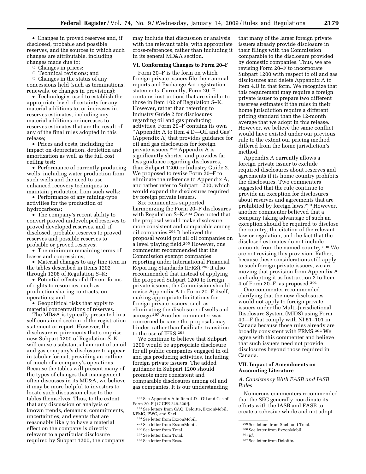• Changes in proved reserves and, if disclosed, probable and possible reserves, and the sources to which such changes are attributable, including changes made due to:

- Æ Changes in prices;
- $\circ$  Technical revisions; and  $\circ$  Changes in the status of a

 Changes in the status of any concessions held (such as terminations, renewals, or changes in provisions);

• Technologies used to establish the appropriate level of certainty for any material additions to, or increases in, reserves estimates, including any material additions or increases to reserves estimates that are the result of any of the final rules adopted in this release;

• Prices and costs, including the impact on depreciation, depletion and amortization as well as the full cost ceiling test;

• Performance of currently producing wells, including water production from such wells and the need to use enhanced recovery techniques to maintain production from such wells;

• Performance of any mining-type activities for the production of hydrocarbons;

• The company's recent ability to convert proved undeveloped reserves to proved developed reserves, and, if disclosed, probable reserves to proved reserves and possible reserves to probable or proved reserves;

• The minimum remaining terms of leases and concessions;

• Material changes to any line item in the tables described in Items 1202 through 1208 of Regulation S–K;

• Potential effects of different forms of rights to resources, such as production sharing contracts, on operations; and

• Geopolitical risks that apply to material concentrations of reserves.

The MD&A is typically presented in a self-contained section of the registration statement or report. However, the disclosure requirements that comprise new Subpart 1200 of Regulation S–K will cause a substantial amount of an oil and gas company's disclosure to appear in tabular format, providing an outline of much of a company's operations. Because the tables will present many of the types of changes that management often discusses in its MD&A, we believe it may be more helpful to investors to locate such discussion close to the tables themselves. Thus, to the extent that any discussion or analysis of known trends, demands, commitments, uncertainties, and events that are reasonably likely to have a material effect on the company is directly relevant to a particular disclosure required by Subpart 1200, the company

may include that discussion or analysis with the relevant table, with appropriate cross-references, rather than including it in its general MD&A section.

## **VI. Conforming Changes to Form 20–F**

Form 20–F is the form on which foreign private issuers file their annual reports and Exchange Act registration statements. Currently, Form 20–F contains instructions that are similar to those in Item 102 of Regulation S–K. However, rather than referring to Industry Guide 2 for disclosures regarding oil and gas producing activities, Form 20–F contains its own ''Appendix A to Item 4.D—Oil and Gas'' (Appendix A) that provides guidance for oil and gas disclosures for foreign private issuers.292 Appendix A is significantly shorter, and provides far less guidance regarding disclosures, than Subpart 1200 or Industry Guide 2. We proposed to revise Form 20–F to eliminate the reference to Appendix A, and rather refer to Subpart 1200, which would expand the disclosures required by foreign private issuers.

Six commenters supported harmonizing the Form 20–F disclosures with Regulation S–K.293 One noted that the proposal would make disclosure more consistent and comparable among oil companies.294 It believed the proposal would put all oil companies on a level playing field.295 However, one commenter recommended that the Commission exempt companies reporting under International Financial Reporting Standards (IFRS).296 It also recommended that instead of applying the proposed Subpart 1200 to foreign private issuers, the Commission should revise Appendix A to Form 20–F itself, making appropriate limitations for foreign private issuers, such as eliminating the disclosure of wells and acreage.297 Another commenter was concerned because the proposals may hinder, rather than facilitate, transition to the use of IFRS.298

We continue to believe that Subpart 1200 would be appropriate disclosure for all public companies engaged in oil and gas producing activities, including foreign private issuers. The added guidance in Subpart 1200 should promote more consistent and comparable disclosures among oil and gas companies. It is our understanding

 $^\mathrm{292}\!\:\mathrm{See}$  Appendix A to Item 4.D—Oil and Gas of Form 20–F [17 CFR 249.220f].

293See letters from CAQ, Deloitte, ExxonMobil, KPMG, PWC, and Shell.

- 294See letter from ExxonMobil.
- 295See letter from ExxonMobil.
- 296See letter from Total.
- 297See letter from Total.
- 298See letter from Ross.

that many of the larger foreign private issuers already provide disclosure in their filings with the Commission comparable to the disclosure provided by domestic companies. Thus, we are revising Form 20–F to incorporate Subpart 1200 with respect to oil and gas disclosures and delete Appendix A to Item 4.D in that form. We recognize that this requirement may require a foreign private issuer to prepare two different reserves estimates if the rules in their home jurisdiction require a different pricing standard than the 12-month average that we adopt in this release. However, we believe the same conflict would have existed under our previous rule to the extent our pricing method differed from the home jurisdiction's method.

Appendix A currently allows a foreign private issuer to exclude required disclosures about reserves and agreements if its home country prohibits the disclosures. Two commenters suggested that the rule continue to provide an exception for disclosures about reserves and agreements that are prohibited by foreign laws.299 However, another commenter believed that a company taking advantage of such an exception should be required to disclose the country, the citation of the relevant law or regulation, and the fact that the disclosed estimates do not include amounts from the named country.300 We are not revising this provision. Rather, because these considerations still apply to such foreign private issuers, we are moving that provision from Appendix A and adopting it as Instruction 2 to Item 4 of Form 20–F, as proposed.301

One commenter recommended clarifying that the new disclosures would not apply to foreign private issuers under the Multi-Jurisdictional Disclosure System (MJDS) using Form 40—F that comply with NI 51–101 in Canada because those rules already are broadly consistent with PRMS.302 We agree with this commenter and believe that such issuers need not provide disclosures beyond those required in Canada.

# **VII. Impact of Amendments on Accounting Literature**

# *A. Consistency With FASB and IASB Rules*

Numerous commenters recommended that the SEC generally coordinate its efforts with the IASB and FASB to create a cohesive whole and not adopt

302See letter from Deloitte.

<sup>299</sup>See letters from Shell and Total.

<sup>300</sup>See letter from ExxonMobil.

<sup>301</sup> *Id.*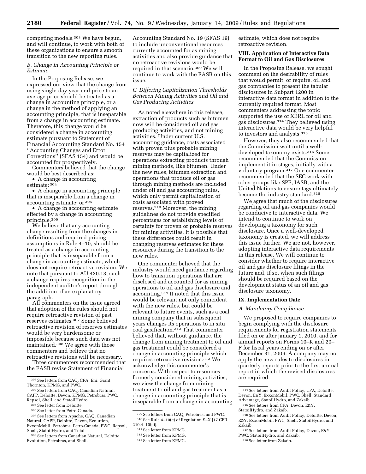competing models.303 We have begun, and will continue, to work with both of these organizations to ensure a smooth transition to the new reporting rules.

## *B. Change in Accounting Principle or Estimate*

In the Proposing Release, we expressed our view that the change from using single-day year-end price to an average price should be treated as a change in accounting principle, or a change in the method of applying an accounting principle, that is inseparable from a change in accounting estimate. Therefore, this change would be considered a change in accounting estimate pursuant to Statement of Financial Accounting Standard No. 154 ''Accounting Changes and Error Corrections'' (SFAS 154) and would be accounted for prospectively.

Commenters believed that the change would be best described as:

• A change in accounting estimate; 304

• A change in accounting principle that is inseparable from a change in accounting estimate; or 305

• A change in accounting estimate effected by a change in accounting principle.306

We believe that any accounting change resulting from the changes in definitions and required pricing assumptions in Rule 4–10, should be treated as a change in accounting principle that is inseparable from a change in accounting estimate, which does not require retroactive revision. We note that pursuant to AU 420.13, such a change requires recognition in the independent auditor's report through the addition of an explanatory paragraph.

All commenters on the issue agreed that adoption of the rules should not require retroactive revision of past reserves estimates.307 Some believed retroactive revision of reserves estimates would be very burdensome or impossible because such data was not maintained.308 We agree with those commenters and believe that no retroactive revisions will be necessary.

Three commenters recommended that the FASB revise Statement of Financial

- 305See letter from Deloitte.
- 306See letter from Petro-Canada.

307See letters from Apache, CAQ, Canadian Natural, CAPP, Deloitte, Devon, Evolution, ExxonMobil, Petrobras, Petro-Canada, PWC, Repsol, Shell, StatoilHydro, and Total.

Accounting Standard No. 19 (SFAS 19) to include unconventional resources currently accounted for as mining activities and also provide guidance that no retroactive revisions would be required in that scenario.309 We will continue to work with the FASB on this issue.

## *C. Differing Capitalization Thresholds Between Mining Activities and Oil and Gas Producing Activities*

As noted elsewhere in this release, extraction of products such as bitumen now will be considered oil and gas producing activities, and not mining activities. Under current U.S. accounting guidance, costs associated with proven plus probable mining reserves may be capitalized for operations extracting products through mining methods, like bitumen. Under the new rules, bitumen extraction and operations that produce oil or gas through mining methods are included under oil and gas accounting rules, which only permit capitalization of costs associated with proved reserves.310 Moreover, the mining guidelines do not provide specified percentages for establishing levels of certainty for proven or probable reserves for mining activities. It is possible that these differences could result in changing reserves estimates for these resources during the transition to the new rules.

One commenter believed that the industry would need guidance regarding how to transition operations that are disclosed and accounted for as mining operations to oil and gas disclosure and accounting.311 It noted that this issue would be relevant not only coincident with the new rules, but could be relevant to future events, such as a coal mining company that in subsequent years changes its operations to in situ coal gasification.312 That commenter believed that, without guidance, the change from mining treatment to oil and gas treatment could be considered a change in accounting principle which requires retroactive revision.313 We acknowledge this commenter's concerns. With respect to resources formerly considered mining activities, we view the change from mining treatment to oil and gas treatment as a change in accounting principle that is inseparable from a change in accounting

estimate, which does not require retroactive revision.

## **VIII. Application of Interactive Data Format to Oil and Gas Disclosures**

In the Proposing Release, we sought comment on the desirability of rules that would permit, or require, oil and gas companies to present the tabular disclosures in Subpart 1200 in interactive data format in addition to the currently required format. Most commenters addressing the topic supported the use of XBRL for oil and gas disclosures.314 They believed using interactive data would be very helpful to investors and analysts.315

However, they also recommended that the Commission wait until a welldeveloped taxonomy exists.316 Some recommended that the Commission implement it in stages, initially with a voluntary program.317 One commenter recommended that the SEC work with other groups like SPE, IASB, and the United Nations to ensure tags ultimately become the industry standard.<sup>318</sup>

We agree that much of the disclosures regarding oil and gas companies would be conducive to interactive data. We intend to continue to work on developing a taxonomy for such disclosure. Once a well-developed taxonomy is created, we will address this issue further. We are not, however, adopting interactive data requirements in this release. We will continue to consider whether to require interactive oil and gas disclosure filings in the future and, if so, when such filings should be required based on the development status of an oil and gas disclosure taxonomy.

#### **IX. Implementation Date**

## *A. Mandatory Compliance*

We proposed to require companies to begin complying with the disclosure requirements for registration statements filed on or after January 1, 2010, and for annual reports on Forms 10–K and 20– F for fiscal years ending on or after December 31, 2009. A company may not apply the new rules to disclosures in quarterly reports prior to the first annual report in which the revised disclosures are required.

<sup>303</sup>See letters from CAQ, CFA, Eni, Grant Thornton, KPMG, and PWC.

<sup>304</sup>See letters from CAQ, Canadian Natural, CAPP, Deloitte, Devon, KPMG, Petrobras, PWC, Repsol, Shell, and StatoilHydro.

<sup>308</sup>See letters from Canadian Natural, Deloitte, Evolution, Petrobras, and Shell.

<sup>309</sup>See letters from CAQ, Petrobras, and PWC.  $^{\rm 310}\!\!\!\!\,$  See Rule 4–10(c) of Regulation S–X [17 CFR 210.4–10(c)].

<sup>311</sup>See letter from KPMG.

<sup>312</sup>See letter from KPMG.

<sup>313</sup>See letter from KPMG.

<sup>314</sup>See letters from Audit Policy, CFA, Deloitte, Devon, E&Y, ExxonMobil, PWC, Shell, Standard Advantage, StatoilHydro, and Zakaib.

<sup>315</sup>See letters from CFA, Devon, E&Y, StatoilHydro, and Zakaib.

<sup>316</sup>See letters from Audit Policy, Deloitte, Devon, E&Y, ExxonMobil, PWC, Shell, StatoilHydro, and Zakaib.

<sup>317</sup>See letters from Audit Policy, Devon, E&Y, PWC, StatoilHydro, and Zakaib.

<sup>318</sup>See letter from Zakaib.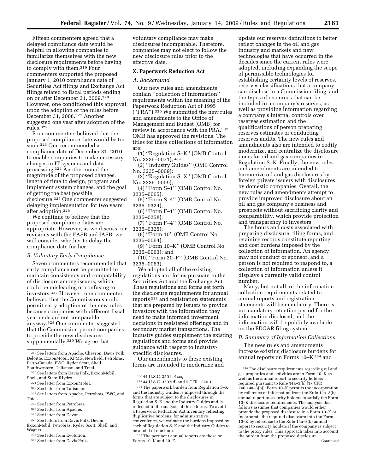Fifteen commenters agreed that a delayed compliance date would be helpful in allowing companies to familiarize themselves with the new disclosure requirements before having to comply with them.319 Four commenters supported the proposed January 1, 2010 compliance date of Securities Act filings and Exchange Act filings related to fiscal periods ending on or after December 31, 2009.320 However, one conditioned this approval upon the adoption of the rules before December 31, 2008.321 Another suggested one year after adoption of the rules.322

Four commenters believed that the proposed compliance date would be too soon.323 One recommended a compliance date of December 31, 2010 to enable companies to make necessary changes in IT systems and data processing.324 Another noted the magnitude of the proposed changes, length of time to design, program and implement system changes, and the goal of getting the best possible disclosure.325 One commenter suggested delaying implementation for two years after adoption.326

We continue to believe that the proposed compliance dates are appropriate. However, as we discuss our revisions with the FASB and IASB, we will consider whether to delay the compliance date further.

#### *B. Voluntary Early Compliance*

Seven commenters recommended that early compliance not be permitted to maintain consistency and comparability of disclosure among issuers, which could be misleading or confusing to investors.327 However, one commenter believed that the Commission should permit early adoption of the new rules because companies with different fiscal year ends are not comparable anyway.328 One commenter suggested that the Commission permit companies to provide the new disclosures supplementally.329 We agree that

326 See letter from Devon.

voluntary compliance may make disclosures incomparable. Therefore, companies may not elect to follow the new disclosure rules prior to the effective date.

## **X. Paperwork Reduction Act**

#### *A. Background*

Our new rules and amendments contain ''collection of information'' requirements within the meaning of the Paperwork Reduction Act of 1995 (''PRA'').330 We submitted the new rules and amendments to the Office of Management and Budget (OMB) for review in accordance with the PRA.331 OMB has approved the revisions. The titles for these collections of information are:

(1) ''Regulation S–K'' (OMB Control No. 3235–0071); 332

- (2) ''Industry Guides'' (OMB Control No. 3235–0069);
- (3) ''Regulation S–X'' (OMB Control No. 3235–0009);
- (4) ''Form S–1'' (OMB Control No. 3235–0065);
- (5) ''Form S–4'' (OMB Control No. 3235–0324);
- (6) ''Form F–1'' (OMB Control No. 3235–0258);
- (7) ''Form F–4'' (OMB Control No. 3235–0325);
- (8) ''Form 10'' (OMB Control No. 3235–0064);

(9) ''Form 10–K'' (OMB Control No. 3235–0063); and

(10) ''Form 20–F'' (OMB Control No. 3235–0063).

We adopted all of the existing regulations and forms pursuant to the Securities Act and the Exchange Act. These regulations and forms set forth the disclosure requirements for annual reports 333 and registration statements that are prepared by issuers to provide investors with the information they need to make informed investment decisions in registered offerings and in secondary market transactions. The industry guides supplement the existing regulations and forms and provide guidance with respect to industryspecific disclosures.

Our amendments to these existing forms are intended to modernize and

update our reserves definitions to better reflect changes in the oil and gas industry and markets and new technologies that have occurred in the decades since the current rules were adopted, including expanding the scope of permissible technologies for establishing certainty levels of reserves, reserves classifications that a company can disclose in a Commission filing, and the types of resources that can be included in a company's reserves, as well as providing information regarding a company's internal controls over reserves estimation and the qualifications of person preparing reserves estimates or conducting reserves audits. The new rules and amendments also are intended to codify, modernize, and centralize the disclosure items for oil and gas companies in Regulation S–K. Finally, the new rules and amendments are intended to harmonize oil and gas disclosures by foreign private issuers with disclosures by domestic companies. Overall, the new rules and amendments attempt to provide improved disclosure about an oil and gas company's business and prospects without sacrificing clarity and comparability, which provide protection and transparency to investors.

The hours and costs associated with preparing disclosure, filing forms, and retaining records constitute reporting and cost burdens imposed by the collection of information. An agency may not conduct or sponsor, and a person is not required to respond to, a collection of information unless it displays a currently valid control number.

Many, but not all, of the information collection requirements related to annual reports and registration statements will be mandatory. There is no mandatory retention period for the information disclosed, and the information will be publicly available on the EDGAR filing system.

#### *B. Summary of Information Collections*

The new rules and amendments increase existing disclosure burdens for annual reports on Forms 10–K 334 and

<sup>319</sup>See letters from Apache, Chevron, Davis Polk, Deloitte, ExxonMobil, KPMG, Newfield, Petrobras, Petro-Canada, PWC, Ryder Scott, Shell, Southwestern, Talisman, and Total.

<sup>320</sup>See letters from Davis Polk, ExxonMobil, Shell, and StatoilHydro.

<sup>321</sup>See letter from ExxonMobil.

<sup>322</sup>See letter from Talisman.

<sup>323</sup>See letters from Apache, Petrobras, PWC, and Total.

<sup>324</sup>See letter from Petrobras.

<sup>325</sup>See letter from Apache.

<sup>327</sup>See letters from Davis Polk, Devon, ExxonMobil, Petrobras, Ryder Scott, Shell, and Wagner.

<sup>328</sup>See letter from Evolution.

<sup>329</sup>See letter from Davis Polk.

<sup>330</sup> 44 U.S.C. 3501 *et seq.* 

<sup>331</sup> 44 U.S.C. 3507(d) and 5 CFR 1320.11. 332The paperwork burden from Regulation S–K and the Industry Guides is imposed through the forms that are subject to the disclosures in Regulation S–K and the Industry Guides and is reflected in the analysis of those forms. To avoid a Paperwork Reduction Act inventory reflecting duplicative burdens, for administrative convenience, we estimate the burdens imposed by each of Regulation S–K and the Industry Guides to be a total of one hour.

<sup>333</sup>The pertinent annual reports are those on Forms 10–K and 20–F.

<sup>334</sup>The disclosure requirements regarding oil and gas properties and activities are in Form 10–K as well as the annual report to security holders required pursuant to Rule 14a–3(b) [17 CFR 240.14a–3(b)]. Form 10–K permits the incorporation by reference of information from the Rule 14a–3(b) annual report to security holders to satisfy the Form 10–K disclosure requirements. The analysis that follows assumes that companies would either provide the proposed disclosure in a Form 10–K or incorporate the required disclosure into the Form 10–K by reference to the Rule 14a–3(b) annual report to security holders if the company is subject to the proxy rules. This approach takes into account the burden from the proposed disclosure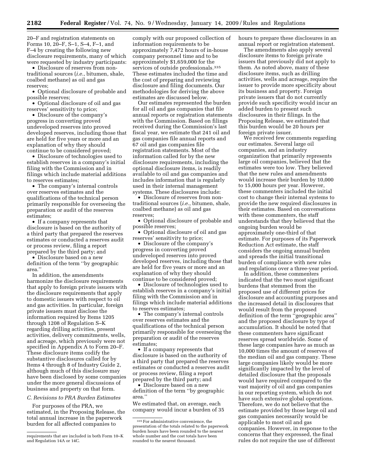20–F and registration statements on Forms 10, 20–F, S–1, S–4, F–1, and F–4 by creating the following new disclosure requirements, many of which were requested by industry participants:

• Disclosure of reserves from nontraditional sources (*i.e.*, bitumen, shale, coalbed methane) as oil and gas reserves;

• Optional disclosure of probable and possible reserves;

• Optional disclosure of oil and gas reserves' sensitivity to price;

• Disclosure of the company's progress in converting proved undeveloped reserves into proved developed reserves, including those that are held for five years or more and an explanation of why they should continue to be considered proved;

• Disclosure of technologies used to establish reserves in a company's initial filing with the Commission and in filings which include material additions to reserves estimates;

• The company's internal controls over reserves estimates and the qualifications of the technical person primarily responsible for overseeing the preparation or audit of the reserves estimates;

• If a company represents that disclosure is based on the authority of a third party that prepared the reserves estimates or conducted a reserves audit or process review, filing a report prepared by the third party; and

• Disclosure based on a new definition of the term ''by geographic area.''

In addition, the amendments harmonize the disclosure requirements that apply to foreign private issuers with the disclosure requirements that apply to domestic issuers with respect to oil and gas activities. In particular, foreign private issuers must disclose the information required by Items 1205 through 1208 of Regulation S–K regarding drilling activities, present activities, delivery commitments, wells, and acreage, which previously were not specified in Appendix A to Form 20–F. These disclosure items codify the substantive disclosures called for by Items 4 through 8 of Industry Guide 2, although much of this disclosure may have been disclosed by some companies under the more general discussions of business and property on that form.

#### *C. Revisions to PRA Burden Estimates*

For purposes of the PRA, we estimated, in the Proposing Release, the total annual increase in the paperwork burden for all affected companies to

comply with our proposed collection of information requirements to be approximately 7,472 hours of in-house company personnel time and to be approximately \$1,659,000 for the services of outside professionals.<sup>335</sup> These estimates included the time and the cost of preparing and reviewing disclosure and filing documents. Our methodologies for deriving the above estimates are discussed below.

Our estimates represented the burden for all oil and gas companies that file annual reports or registration statements with the Commission. Based on filings received during the Commission's last fiscal year, we estimate that 241 oil and gas companies file annual reports and 67 oil and gas companies file registration statements. Most of the information called for by the new disclosure requirements, including the optional disclosure items, is readily available to oil and gas companies and includes information that is regularly used in their internal management systems. These disclosures include:

• Disclosure of reserves from nontraditional sources (*i.e.*, bitumen, shale, coalbed methane) as oil and gas reserves;

• Optional disclosure of probable and possible reserves;

• Optional disclosure of oil and gas reserves' sensitivity to price;

• Disclosure of the company's progress in converting proved undeveloped reserves into proved developed reserves, including those that are held for five years or more and an explanation of why they should continue to be considered proved;

• Disclosure of technologies used to establish reserves in a company's initial filing with the Commission and in filings which include material additions to reserves estimates;

• The company's internal controls over reserves estimates and the qualifications of the technical person primarily responsible for overseeing the preparation or audit of the reserves estimates;

• If a company represents that disclosure is based on the authority of a third party that prepared the reserves estimates or conducted a reserves audit or process review, filing a report prepared by the third party; and

• Disclosure based on a new definition of the term ''by geographic area.''

We estimated that, on average, each company would incur a burden of 35 hours to prepare these disclosures in an annual report or registration statement.

The amendments also apply several disclosure items to foreign private issuers that previously did not apply to them. As noted above, many of these disclosure items, such as drilling activities, wells and acreage, require the issuer to provide more specificity about its business and property. Foreign private issuers that do not currently provide such specificity would incur an added burden to present such disclosures in their filings. In the Proposing Release, we estimated that this burden would be 20 hours per foreign private issuer.

We received few comments regarding our estimates. Several large oil companies, and an industry organization that primarily represents large oil companies, believed that the estimates were too low. They believed that the new rules and amendments would increase their burden by 10,000 to 15,000 hours per year. However, these commenters included the initial cost to change their internal systems to provide the new required disclosures in their estimates. Based on conversations with these commenters, the staff understands that they believed that the ongoing burden would be approximately one-third of that estimate. For purposes of its Paperwork Reduction Act estimate, the staff considers the ongoing annual burden and spreads the initial transitional burden of compliance with new rules and regulations over a three-year period.

In addition, these commenters indicated that the two most significant burdens that stemmed from the proposed use of different prices for disclosure and accounting purposes and the increased detail in disclosures that would result from the proposed definition of the term ''geographic area'' and the proposed disclosure by type of accumulation. It should be noted that these commenters have significant reserves spread worldwide. Some of these large companies have as much as 10,000 times the amount of reserves of the median oil and gas company. These large companies likely would be more significantly impacted by the level of detailed disclosure that the proposals would have required compared to the vast majority of oil and gas companies in our reporting system, which do not have such extensive global operations. Therefore, we do not believe that the estimate provided by those large oil and gas companies necessarily would be applicable to most oil and gas companies. However, in response to the concerns that they expressed, the final rules do not require the use of different

requirements that are included in both Form 10–K and Regulation 14A or 14C.

<sup>335</sup>For administrative convenience, the presentation of the totals related to the paperwork burden hours have been rounded to the nearest whole number and the cost totals have been rounded to the nearest thousand.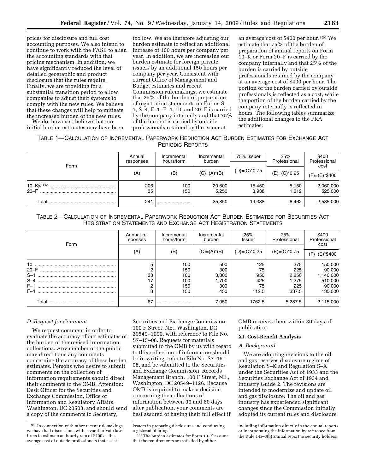prices for disclosure and full cost accounting purposes. We also intend to continue to work with the FASB to align the accounting standards with that pricing mechanism. In addition, we have significantly reduced the level of detailed geographic and product disclosure that the rules require. Finally, we are providing for a substantial transition period to allow companies to adjust their systems to comply with the new rules. We believe that these changes will help to mitigate the increased burden of the new rules.

We do, however, believe that our initial burden estimates may have been

too low. We are therefore adjusting our burden estimate to reflect an additional increase of 100 hours per company per year. In addition, we are increasing our burden estimate for foreign private issuers by an additional 150 hours per company per year. Consistent with current Office of Management and Budget estimates and recent Commission rulemakings, we estimate that 25% of the burden of preparation of registration statements on Forms S– 1, S–4, F–1, F–4, 10, and 20–F is carried by the company internally and that 75% of the burden is carried by outside professionals retained by the issuer at

an average cost of \$400 per hour.336 We estimate that 75% of the burden of preparation of annual reports on Form 10–K or Form 20–F is carried by the company internally and that 25% of the burden is carried by outside professionals retained by the company at an average cost of \$400 per hour. The portion of the burden carried by outside professionals is reflected as a cost, while the portion of the burden carried by the company internally is reflected in hours. The following tables summarize the additional changes to the PRA estimates:

TABLE 1—CALCULATION OF INCREMENTAL PAPERWORK REDUCTION ACT BURDEN ESTIMATES FOR EXCHANGE ACT PERIODIC REPORTS

|                                | Annual<br>responses | Incremental<br>hours/form | Incremental<br>burden | 75% Issuer      | 25%<br>Professional | \$400<br>Professional |  |
|--------------------------------|---------------------|---------------------------|-----------------------|-----------------|---------------------|-----------------------|--|
| Form                           |                     |                           |                       |                 |                     | cost                  |  |
|                                | (A)                 | (B)                       | $(C)=(A)^*(B)$        | $(D)=(C)^*0.75$ | $(E) = (C)^*0.25$   | $(F)=(E)^*$ \$400     |  |
| 10–K§ <sup>337</sup><br>$20-F$ | 206<br>35           | 100<br>150                | 20,600<br>5.250       | 15,450<br>3.938 | 5,150<br>1,312      | 2,060,000<br>525,000  |  |
| Total                          | 241                 |                           | 25,850                | 19.388          | 6.462               | 2,585,000             |  |

TABLE 2—CALCULATION OF INCREMENTAL PAPERWORK REDUCTION ACT BURDEN ESTIMATES FOR SECURITIES ACT REGISTRATION STATEMENTS AND EXCHANGE ACT REGISTRATION STATEMENTS

| Form           | Annual re-<br>sponses | Incremental<br>hours/form              | Incremental<br>burden                      | 25%<br>Issuer                          | 75%<br>Professional                          | \$400<br>Professional<br>cost                                  |  |
|----------------|-----------------------|----------------------------------------|--------------------------------------------|----------------------------------------|----------------------------------------------|----------------------------------------------------------------|--|
|                | (A)                   | (B)                                    | $(C)=(A)^*(B)$                             | $(D)=(C)^*0.25$                        | $(E)=(C)^*0.75$                              | (F)=(E)*\$400                                                  |  |
| $F-1$<br>$F-4$ | 38                    | 100<br>150<br>100<br>100<br>150<br>150 | 500<br>300<br>3.800<br>1,700<br>300<br>450 | 125<br>75<br>950<br>425<br>75<br>112.5 | 375<br>225<br>2.850<br>1,275<br>225<br>337.5 | 150,000<br>90,000<br>1,140,000<br>510,000<br>90,000<br>135,000 |  |
| Total          | 67                    |                                        | 7.050                                      | 1762.5                                 | 5,287.5                                      | 2,115,000                                                      |  |

## *D. Request for Comment*

We request comment in order to evaluate the accuracy of our estimates of the burden of the revised information collections. Any member of the public may direct to us any comments concerning the accuracy of these burden estimates. Persons who desire to submit comments on the collection of information requirements should direct their comments to the OMB, Attention: Desk Officer for the Securities and Exchange Commission, Office of Information and Regulatory Affairs, Washington, DC 20503, and should send a copy of the comments to Secretary,

Securities and Exchange Commission, 100 F Street, NE., Washington, DC 20549–1090, with reference to File No. S7–15–08. Requests for materials submitted to the OMB by us with regard to this collection of information should be in writing, refer to File No. S7–15– 08, and be submitted to the Securities and Exchange Commission, Records Management Branch, 100 F Street, NE., Washington, DC 20549–1126. Because OMB is required to make a decision concerning the collections of information between 30 and 60 days after publication, your comments are best assured of having their full effect if

OMB receives them within 30 days of publication.

# **XI. Cost-Benefit Analysis**

## *A. Background*

We are adopting revisions to the oil and gas reserves disclosure regime of Regulation S–K and Regulation S–X under the Securities Act of 1933 and the Securities Exchange Act of 1934 and Industry Guide 2. The revisions are intended to modernize and update oil and gas disclosure. The oil and gas industry has experienced significant changes since the Commission initially adopted its current rules and disclosure

<sup>336</sup> In connection with other recent rulemakings, we have had discussions with several private law firms to estimate an hourly rate of \$400 as the average cost of outside professionals that assist

issuers in preparing disclosures and conducting registered offerings.

<sup>337</sup>The burden estimates for Form 10–K assume that the requirements are satisfied by either

including information directly in the annual reports or incorporating the information by reference from the Rule 14a–3(b) annual report to security holders.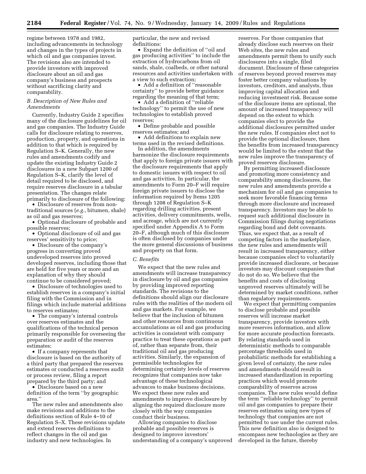regime between 1978 and 1982, including advancements in technology and changes in the types of projects in which oil and gas companies invest. The revisions also are intended to provide investors with improved disclosure about an oil and gas company's business and prospects without sacrificing clarity and comparability.

## *B. Description of New Rules and Amendments*

Currently, Industry Guide 2 specifies many of the disclosure guidelines for oil and gas companies. The Industry Guide calls for disclosure relating to reserves, production, property, and operations in addition to that which is required by Regulation S–K. Generally, the new rules and amendments codify and update the existing Industry Guide 2 disclosures in a new Subpart 1200 of Regulation S–K, clarify the level of detail required to be disclosed, and require reserves disclosure in a tabular presentation. The changes relate primarily to disclosure of the following:

• Disclosure of reserves from nontraditional sources (*e.g.*, bitumen, shale) as oil and gas reserves;

• Optional disclosure of probable and possible reserves;

• Optional disclosure of oil and gas reserves' sensitivity to price;

• Disclosure of the company's progress in converting proved undeveloped reserves into proved developed reserves, including those that are held for five years or more and an explanation of why they should continue to be considered proved;

• Disclosure of technologies used to establish reserves in a company's initial filing with the Commission and in filings which include material additions to reserves estimates;

• The company's internal controls over reserves estimates and the qualifications of the technical person primarily responsible for overseeing the preparation or audit of the reserves estimates;

• If a company represents that disclosure is based on the authority of a third party that prepared the reserves estimates or conducted a reserves audit or process review, filing a report prepared by the third party; and

• Disclosure based on a new definition of the term ''by geographic area.''

The new rules and amendments also make revisions and additions to the definitions section of Rule 4–10 of Regulation S–X. These revisions update and extend reserves definitions to reflect changes in the oil and gas industry and new technologies. In

particular, the new and revised definitions:

• Expand the definition of ''oil and gas producing activities'' to include the extraction of hydrocarbons from oil sands, shale, coalbeds, or other natural resources and activities undertaken with a view to such extraction;

• Add a definition of ''reasonable certainty'' to provide better guidance regarding the meaning of that term;

• Add a definition of "reliable technology'' to permit the use of new technologies to establish proved reserves;

• Define probable and possible reserves estimates; and

• Add definitions to explain new terms used in the revised definitions.

In addition, the amendments harmonize the disclosure requirements that apply to foreign private issuers with the disclosure requirements that apply to domestic issuers with respect to oil and gas activities. In particular, the amendments to Form 20–F will require foreign private issuers to disclose the information required by Items 1205 through 1208 of Regulation S–K regarding drilling activities, present activities, delivery commitments, wells, and acreage, which are not currently specified under Appendix A to Form 20–F, although much of this disclosure is often disclosed by companies under the more general discussions of business and property on that form.

#### *C. Benefits*

We expect that the new rules and amendments will increase transparency in disclosure by oil and gas companies by providing improved reporting standards. The revisions to the definitions should align our disclosure rules with the realities of the modern oil and gas markets. For example, we believe that the inclusion of bitumen and other resources from continuous accumulations as oil and gas producing activities is consistent with company practice to treat these operations as part of, rather than separate from, their traditional oil and gas producing activities. Similarly, the expansion of permissible technologies for determining certainty levels of reserves recognizes that companies now take advantage of these technological advances to make business decisions. We expect these new rules and amendments to improve disclosure by aligning the required disclosure more closely with the way companies conduct their business.

Allowing companies to disclose probable and possible reserves is designed to improve investors' understanding of a company's unproved reserves. For those companies that already disclose such reserves on their Web sites, the new rules and amendments permit them to unify such disclosures into a single, filed document. Disclosure of these categories of reserves beyond proved reserves may foster better company valuations by investors, creditors, and analysts, thus improving capital allocation and reducing investment risk. Because some of the disclosure items are optional, the amount of increased transparency will depend on the extent to which companies elect to provide the additional disclosures permitted under the new rules. If companies elect not to provide the optional disclosure, then the benefits from increased transparency would be limited to the extent that the new rules improve the transparency of proved reserves disclosure.

By permitting increased disclosure and promoting more consistency and comparability among disclosures, the new rules and amendments provide a mechanism for oil and gas companies to seek more favorable financing terms through more disclosure and increased transparency. Investors may be able to request such additional disclosure in Commission filings during negotiations regarding bond and debt covenants. Thus, we expect that, as a result of competing factors in the marketplace, the new rules and amendments will result in increased transparency, either because companies elect to voluntarily provide increased disclosure, or because investors may discount companies that do not do so. We believe that the benefits and costs of disclosing unproved reserves ultimately will be determined by market conditions, rather than regulatory requirements.

We expect that permitting companies to disclose probable and possible reserves will increase market transparency, provide investors with more reserves information, and allow for more accurate production forecasts. By relating standards used in deterministic methods to comparable percentage thresholds used in probabilistic methods for establishing a given level of certainty, the new rules and amendments should result in increased standardization in reporting practices which would promote comparability of reserves across companies. The new rules would define the term ''reliable technology'' to permit oil and gas companies to prepare their reserves estimates using new types of technology that companies are not permitted to use under the current rules. This new definition also is designed to encompass new technologies as they are developed in the future, thereby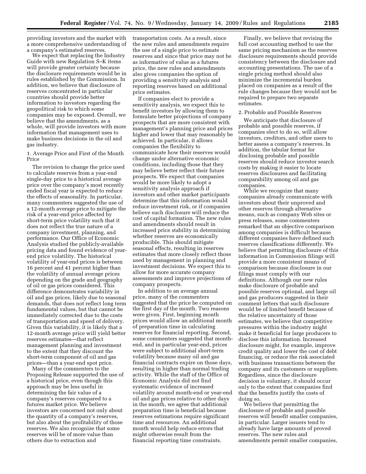providing investors and the market with a more comprehensive understanding of a company's estimated reserves.

We expect that replacing the Industry Guide with new Regulation S–K items will provide greater certainty because the disclosure requirements would be in rules established by the Commission. In addition, we believe that disclosure of reserves concentrated in particular countries should provide better information to investors regarding the geopolitical risk to which some companies may be exposed. Overall, we believe that the amendments, as a whole, will provide investors with more information that management uses to make business decisions in the oil and gas industry.

1. Average Price and First of the Month Price

The revision to change the price used to calculate reserves from a year-end single-day price to a historical average price over the company's most recently ended fiscal year is expected to reduce the effects of seasonality. In particular, many commenters suggested the use of a 12-month average price to mitigate the risk of a year-end price affected by short-term price volatility such that it does not reflect the true nature of a company investment, planning, and performance. Our Office of Economic Analysis studied the publicly-available pricing data and found evidence of yearend price volatility. The historical volatility of year-end prices is between 16 percent and 41 percent higher than the volatility of annual average prices depending on the grade and geography of oil or gas prices considered. This difference demonstrates variability in oil and gas prices, likely due to seasonal demands, that does not reflect long term fundamental values, but that cannot be immediately corrected due to the costs of transportation and speed of delivery. Given this variability, it is likely that a 12-month average price will yield better reserves estimates—that reflect management planning and investment to the extent that they discount the short-term component of oil and gas prices—than a year-end spot price.

Many of the commenters to the Proposing Release supported the use of a historical price, even though this approach may be less useful in determining the fair value of a company's reserves compared to a futures market price. We believe investors are concerned not only about the quantity of a company's reserves, but also about the profitability of those reserves. We also recognize that some reserves will be of more value than others due to extraction and

transportation costs. As a result, since the new rules and amendments require the use of a single price to estimate reserves and since that price may not be as informative of value as a futures price, the new rules and amendments also gives companies the option of providing a sensitivity analysis and reporting reserves based on additional price estimates.

If companies elect to provide a sensitivity analysis, we expect this to benefit investors by allowing them to formulate better projections of company prospects that are more consistent with management's planning price and prices higher and lower that may reasonably be achieved. In particular, it allows companies the flexibility to communicate how their reserves would change under alternative economic conditions, including those that they may believe better reflect their future prospects. We expect that companies would be more likely to adopt a sensitivity analysis approach if investors and other market participants determine that this information would reduce investment risk, or if companies believe such disclosure will reduce the cost of capital formation. The new rules and amendments should result in increased price stability in determining whether reserves are economically producible. This should mitigate seasonal effects, resulting in reserves estimates that more closely reflect those used by management in planning and investment decisions. We expect this to allow for more accurate company assessments and improve projections of company prospects.

In addition to an average annual price, many of the commenters suggested that the price be computed on the first day of the month. Two reasons were given. First, beginning month prices would allow an additional month of preparation time in calculating reserves for financial reporting. Second, some commenters suggested that monthend, and in particular year-end, prices were subject to additional short-term volatility because many oil and gas financial contracts expire on those days, resulting in higher than normal trading activity. While the staff of the Office of Economic Analysis did not find systematic evidence of increased volatility around month-end or year-end oil and gas prices relative to other days in the month, we agree that additional preparation time is beneficial because reserves estimations require significant time and resources. An additional month would help reduce errors that might otherwise result from the financial reporting time constraints.

Finally, we believe that revising the full cost accounting method to use the same pricing mechanism as the reserves disclosure requirements should provide consistency between the disclosure and accounting presentations. The use of a single pricing method should also minimize the incremental burden placed on companies as a result of the rule changes because they would not be required to prepare two separate estimates.

#### 2. Probable and Possible Reserves

We anticipate that disclosure of probable and possible reserves, if companies elect to do so, will allow investors, creditors, and other users to better assess a company's reserves. In addition, the tabular format for disclosing probable and possible reserves should reduce investor search costs by making it easier to locate reserves disclosures and facilitating comparability among oil and gas companies.

While we recognize that many companies already communicate with investors about their unproved and other reserves through alternative means, such as company Web sites or press releases, some commenters remarked that an objective comparison among companies is difficult because different companies have defined such reserves classifications differently. We believe that permitting disclosure of this information in Commission filings will provide a more consistent means of comparison because disclosure in our filings must comply with our definitions. Although our new rules make disclosure of probable and possible reserves optional, and large oil and gas producers suggested in their comment letters that such disclosure would be of limited benefit because of the relative uncertainty of those estimates, we believe that competitive pressures within the industry might make it beneficial for large producers to disclose this information. Increased disclosure might, for example, improve credit quality and lower the cost of debt financing, or reduce the risk associated with business transactions between the company and its customers or suppliers. Regardless, since the disclosure decision is voluntary, it should occur only to the extent that companies find that the benefits justify the costs of doing so.

We believe that permitting the disclosure of probable and possible reserves will benefit smaller companies, in particular. Larger issuers tend to already have large amounts of proved reserves. The new rules and amendments permit smaller companies,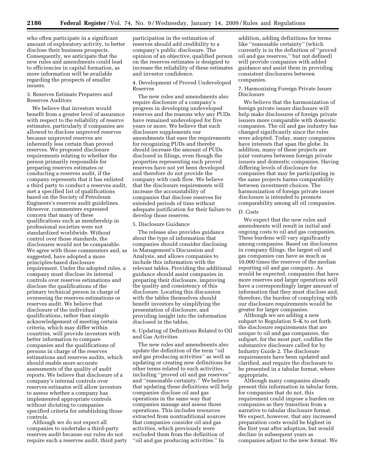who often participate in a significant amount of exploratory activity, to better disclose their business prospects. Consequently, we anticipate that the new rules and amendments could lead to efficiencies in capital formation, as more information will be available regarding the prospects of smaller issuers.

## 3. Reserves Estimate Preparers and Reserves Auditors

We believe that investors would benefit from a greater level of assurance with respect to the reliability of reserve estimates, particularly if companies are allowed to disclose unproved reserves because unproved reserves are inherently less certain than proved reserves. We proposed disclosure requirements relating to whether the person primarily responsible for preparing reserves estimates or conducting a reserves audit, if the company represents that it has enlisted a third party to conduct a reserves audit, met a specified list of qualifications based on the Society of Petroleum Engineers's reserves audit guidelines. However, commenters expressed concern that many of these qualifications such as membership in professional societies were not standardized worldwide. Without control over those standards, the disclosures would not be comparable. We agree with those commenters and, as suggested, have adopted a more principles-based disclosure requirement. Under the adopted rules, a company must disclose its internal controls over reserves estimations and disclose the qualifications of the primary technical person in charge of overseeing the reserves estimations or reserves audit. We believe that disclosure of the individual qualifications, rather than simple acknowledgement of meeting certain criteria, which may differ within countries, will provide investors with better information to compare companies and the qualifications of persons in charge of the reserves estimations and reserves audits, which should enable more accurate assessments of the quality of audit reports. We believe that disclosure of a company's internal controls over reserves estimates will allow investors to assess whether a company has implemented appropriate controls without dictating to companies specified criteria for establishing those controls.

Although we do not expect all companies to undertake a third-party reserves audit because our rules do not require such a reserves audit, third party participation in the estimation of reserves should add credibility to a company's public disclosure. The opinion of an objective, qualified person on the reserves estimates is designed to increase the reliability of these estimates and investor confidence.

## 4. Development of Proved Undeveloped Reserves

The new rules and amendments also require disclosure of a company's progress in developing undeveloped reserves and the reasons why any PUDs have remained undeveloped for five years or more. We believe that such disclosure supplements our amendments that ease the requirements for recognizing PUDs and thereby should increase the amount of PUDs disclosed in filings, even though the properties representing such proved reserves have not yet been developed and therefore do not provide the company with cash flow. We believe that the disclosure requirements will increase the accountability of companies that disclose reserves for extended periods of time without adequate justification for their failure to develop those reserves.

#### 5. Disclosure Guidance

The release also provides guidance about the type of information that companies should consider disclosing in Management's Discussion and Analysis, and allows companies to include this information with the relevant tables. Providing the additional guidance should assist companies in preparing their disclosure, improving the quality and consistency of this disclosure. Locating this discussion with the tables themselves should benefit investors by simplifying the presentation of disclosure, and providing insight into the information disclosed in the tables.

6. Updating of Definitions Related to Oil and Gas Activities

The new rules and amendments also update the definition of the term ''oil and gas producing activities'' as well as updating or creating new definitions for other terms related to such activities, including ''proved oil and gas reserves'' and ''reasonable certainty.'' We believe that updating these definitions will help companies disclose oil and gas operations in the same way that companies manage and assess those operations. This includes resources extracted from nontraditional sources that companies consider oil and gas activities, which previously were excluded them from the definition of ''oil and gas producing activities.'' In

addition, adding definitions for terms like ''reasonable certainty'' (which currently is in the definition of ''proved oil and gas reserves,'' but not defined) will provide companies with added guidance and assist them in providing consistent disclosures between companies.

## 7. Harmonizing Foreign Private Issuer Disclosure

We believe that the harmonization of foreign private issuer disclosure will help make disclosures of foreign private issuers more comparable with domestic companies. The oil and gas industry has changed significantly since the rules were adopted. Today, many companies have interests that span the globe. In addition, many of these projects are joint ventures between foreign private issuers and domestic companies. Having differing levels of disclosure for companies that may be participating in the same projects harms comparability between investment choices. The harmonization of foreign private issuer disclosure is intended to promote comparability among all oil companies.

#### *D. Costs*

We expect that the new rules and amendments will result in initial and ongoing costs to oil and gas companies. These burdens will vary significantly among companies. Based on disclosures in company filings, the largest oil and gas companies can have as much as 10,000 times the reserves of the median reporting oil and gas company. As would be expected, companies that have more reserves and larger operations will have a correspondingly larger amount of information that they must disclose and, therefore, the burden of complying with our disclosure requirements would be greater for larger companies.

Although we are adding a new subpart to Regulation S–K to set forth the disclosure requirements that are unique to oil and gas companies, the subpart, for the most part, codifies the substantive disclosure called for by Industry Guide 2. The disclosure requirements have been updated and clarified, and require the disclosure to be presented in a tabular format, where appropriate.

Although many companies already present this information in tabular form, for companies that do not, this requirement could impose a burden on companies as they transition from a narrative to tabular disclosure format. We expect, however, that any increased preparation costs would be highest in the first year after adoption, but would decline in subsequent years as companies adjust to the new format. We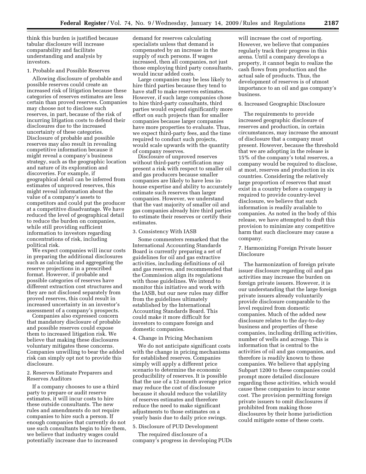think this burden is justified because tabular disclosure will increase comparability and facilitate understanding and analysis by investors.

#### 1. Probable and Possible Reserves

Allowing disclosure of probable and possible reserves could create an increased risk of litigation because these categories of reserves estimates are less certain than proved reserves. Companies may choose not to disclose such reserves, in part, because of the risk of incurring litigation costs to defend their disclosures due to the increased uncertainty of these categories. Disclosure of probable and possible reserves may also result in revealing competitive information because it might reveal a company's business strategy, such as the geographic location and nature of its exploration and discoveries. For example, if geographical detail can be inferred from estimates of unproved reserves, this might reveal information about the value of a company's assets to competitors and could put the producer at a competitive disadvantage. We have reduced the level of geographical detail to reduce the burden on companies, while still providing sufficient information to investors regarding concentrations of risk, including political risk.

We expect companies will incur costs in preparing the additional disclosures such as calculating and aggregating the reserve projections in a prescribed format. However, if probable and possible categories of reserves have different extraction cost structures and they are not disclosed separately from proved reserves, this could result in increased uncertainty in an investor's assessment of a company's prospects.

Companies also expressed concern that mandatory disclosure of probable and possible reserves could expose them to increased litigation risk. We believe that making these disclosures voluntary mitigates these concerns. Companies unwilling to bear the added risk can simply opt not to provide this disclosure.

# 2. Reserves Estimate Preparers and Reserves Auditors

If a company chooses to use a third party to prepare or audit reserve estimates, it will incur costs to hire these outside consultants. The new rules and amendments do not require companies to hire such a person. If enough companies that currently do not use such consultants begin to hire them, we believe that industry wages could potentially increase due to increased

demand for reserves calculating specialists unless that demand is compensated by an increase in the supply of such persons. If wages increased, then all companies, not just those employing third party consultants, would incur added costs.

Large companies may be less likely to hire third parties because they tend to have staff to make reserves estimates. However, if such large companies chose to hire third-party consultants, third parties would expend significantly more effort on such projects than for smaller companies because larger companies have more properties to evaluate. Thus, we expect third-party fees, and the time required to conduct such projects, would scale upwards with the quantity of company reserves.

Disclosure of unproved reserves without third-party certification may present a risk with respect to smaller oil and gas producers because smaller companies are likely to have less inhouse expertise and ability to accurately estimate such reserves than larger companies. However, we understand that the vast majority of smaller oil and gas companies already hire third parties to estimate their reserves or certify their estimates.

#### 3. Consistency With IASB

Some commenters remarked that the International Accounting Standards Board is currently preparing a set of guidelines for oil and gas extractive activities, including definitions of oil and gas reserves, and recommended that the Commission align its regulations with those guidelines. We intend to monitor this initiative and work with the IASB, but our new rules may differ from the guidelines ultimately established by the International Accounting Standards Board. This could make it more difficult for investors to compare foreign and domestic companies.

## 4. Change in Pricing Mechanism

We do not anticipate significant costs with the change in pricing mechanisms for established reserves. Companies simply will apply a different price scenario to determine the economic producibility of reserves. It is possible that the use of a 12-month average price may reduce the cost of disclosure because it should reduce the volatility of reserves estimates and therefore reduce the need to make significant adjustments to those estimates on a yearly basis due to daily price swings.

## 5. Disclosure of PUD Development

The required disclosure of a company's progress in developing PUDs

will increase the cost of reporting. However, we believe that companies regularly track their progress in this arena. Until a company develops a property, it cannot begin to realize the cash flows from production and the actual sale of products. Thus, the development of reserves is of utmost importance to an oil and gas company's business.

#### 6. Increased Geographic Disclosure

The requirements to provide increased geographic disclosure of reserves and production, in certain circumstances, may increase the amount of disclosure that a company must present. However, because the threshold that we are adopting in the release is 15% of the company's total reserves, a company would be required to disclose, at most, reserves and production in six countries. Considering the relatively large proportion of reserves that must exist in a country before a company is required to provide country-level disclosure, we believe that such information is readily available to companies. As noted in the body of this release, we have attempted to draft this provision to minimize any competitive harm that such disclosure may cause a company.

## 7. Harmonizing Foreign Private Issuer **Disclosure**

The harmonization of foreign private issuer disclosure regarding oil and gas activities may increase the burden on foreign private issuers. However, it is our understanding that the large foreign private issuers already voluntarily provide disclosure comparable to the level required from domestic companies. Much of the added new disclosure relates to the day-to-day business and properties of these companies, including drilling activities, number of wells and acreage. This is information that is central to the activities of oil and gas companies, and therefore is readily known to these companies. We believe that applying Subpart 1200 to these companies could prompt more detailed disclosure regarding these activities, which would cause these companies to incur some cost. The provision permitting foreign private issuers to omit disclosures if prohibited from making those disclosures by their home jurisdiction could mitigate some of these costs.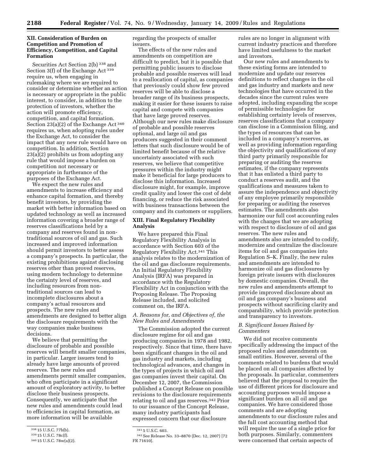## **XII. Consideration of Burden on Competition and Promotion of Efficiency, Competition, and Capital Formation**

Securities Act Section 2(b)<sup>338</sup> and Section 3(f) of the Exchange Act 339 require us, when engaging in rulemaking where we are required to consider or determine whether an action is necessary or appropriate in the public interest, to consider, in addition to the protection of investors, whether the action will promote efficiency, competition, and capital formation. Section 23(a)(2) of the Exchange Act 340 requires us, when adopting rules under the Exchange Act, to consider the impact that any new rule would have on competition. In addition, Section 23(a)(2) prohibits us from adopting any rule that would impose a burden on competition not necessary or appropriate in furtherance of the purposes of the Exchange Act.

We expect the new rules and amendments to increase efficiency and enhance capital formation, and thereby benefit investors, by providing the market with better information based on updated technology as well as increased information covering a broader range of reserves classifications held by a company and reserves found in nontraditional sources of oil and gas. Such increased and improved information should permit investors to better assess a company's prospects. In particular, the existing prohibitions against disclosing reserves other than proved reserves, using modern technology to determine the certainty level of reserves, and including resources from nontraditional sources can lead to incomplete disclosures about a company's actual resources and prospects. The new rules and amendments are designed to better align the disclosure requirements with the way companies make business decisions.

We believe that permitting the disclosure of probable and possible reserves will benefit smaller companies, in particular. Larger issuers tend to already have large amounts of proved reserves. The new rules and amendments permit smaller companies, who often participate in a significant amount of exploratory activity, to better disclose their business prospects. Consequently, we anticipate that the new rules and amendments could lead to efficiencies in capital formation, as more information will be available

regarding the prospects of smaller issuers.

The effects of the new rules and amendments on competition are difficult to predict, but it is possible that permitting public issuers to disclose probable and possible reserves will lead to a reallocation of capital, as companies that previously could show few proved reserves will be able to disclose a broader range of its business prospects, making it easier for these issuers to raise capital and compete with companies that have large proved reserves. Although our new rules make disclosure of probable and possible reserves optional, and large oil and gas producers suggested in their comment letters that such disclosure would be of limited benefit because of the relative uncertainty associated with such reserves, we believe that competitive pressures within the industry might make it beneficial for large producers to disclose this information. Increased disclosure might, for example, improve credit quality and lower the cost of debt financing, or reduce the risk associated with business transactions between the company and its customers or suppliers.

## **XIII. Final Regulatory Flexibility Analysis**

We have prepared this Final Regulatory Flexibility Analysis in accordance with Section 603 of the Regulatory Flexibility Act.341 This analysis relates to the modernization of the oil and gas disclosure requirements. An Initial Regulatory Flexibility Analysis (IRFA) was prepared in accordance with the Regulatory Flexibility Act in conjunction with the Proposing Release. The Proposing Release included, and solicited comment on, the IRFA.

## *A. Reasons for, and Objectives of, the New Rules and Amendments*

The Commission adopted the current disclosure regime for oil and gas producing companies in 1978 and 1982, respectively. Since that time, there have been significant changes in the oil and gas industry and markets, including technological advances, and changes in the types of projects in which oil and gas companies invest their capital. On December 12, 2007, the Commission published a Concept Release on possible revisions to the disclosure requirements relating to oil and gas reserves.342 Prior to our issuance of the Concept Release, many industry participants had expressed concern that our disclosure

rules are no longer in alignment with current industry practices and therefore have limited usefulness to the market and investors.

Our new rules and amendments to these existing forms are intended to modernize and update our reserves definitions to reflect changes in the oil and gas industry and markets and new technologies that have occurred in the decades since the current rules were adopted, including expanding the scope of permissible technologies for establishing certainty levels of reserves, reserves classifications that a company can disclose in a Commission filing, and the types of resources that can be included in a company's reserves, as well as providing information regarding the objectivity and qualifications of any third party primarily responsible for preparing or auditing the reserves estimates, if the company represents that it has enlisted a third party to conduct a reserves audit, and the qualifications and measures taken to assure the independence and objectivity of any employee primarily responsible for preparing or auditing the reserves estimates. The amendments also harmonize our full cost accounting rules with the changes that we are adopting with respect to disclosure of oil and gas reserves. The new rules and amendments also are intended to codify, modernize and centralize the disclosure items for oil and gas companies into Regulation S–K. Finally, the new rules and amendments are intended to harmonize oil and gas disclosures by foreign private issuers with disclosures by domestic companies. Overall, the new rules and amendments attempt to provide improved disclosure about an oil and gas company's business and prospects without sacrificing clarity and comparability, which provide protection and transparency to investors.

# *B. Significant Issues Raised by Commenters*

We did not receive comments specifically addressing the impact of the proposed rules and amendments on small entities. However, several of the comments related to burdens that would be placed on all companies affected by the proposals. In particular, commenters believed that the proposal to require the use of different prices for disclosure and accounting purposes would impose a significant burden on all oil and gas companies. We have considered those comments and are adopting amendments to our disclosure rules and the full cost accounting method that will require the use of a single price for both purposes. Similarly, commenters were concerned that certain aspects of

<sup>338</sup> 15 U.S.C. 77b(b).

<sup>339</sup> 15 U.S.C. 78c(f).

<sup>340</sup> 15 U.S.C. 78w(a)(2).

<sup>341</sup> 5 U.S.C. 603.

<sup>342</sup>See Release No. 33–8870 (Dec. 12, 2007) [72 FR 71610].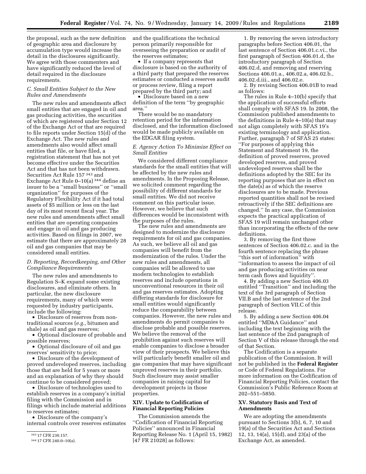the proposal, such as the new definition of geographic area and disclosure by accumulation type would increase the detail in the disclosures significantly. We agree with those commenters and have significantly reduced the level of detail required in the disclosure requirements.

## *C. Small Entities Subject to the New Rules and Amendments*

The new rules and amendments affect small entities that are engaged in oil and gas producing activities, the securities of which are registered under Section 12 of the Exchange Act or that are required to file reports under Section 15(d) of the Exchange Act. The new rules and amendments also would affect small entities that file, or have filed, a registration statement that has not yet become effective under the Securities Act and that has not been withdrawn. Securities Act Rule 157 343 and Exchange Act Rule 0–10(a) 344 define an issuer to be a ''small business'' or ''small organization'' for purposes of the Regulatory Flexibility Act if it had total assets of \$5 million or less on the last day of its most recent fiscal year. The new rules and amendments affect small entities that are operating companies and engage in oil and gas producing activities. Based on filings in 2007, we estimate that there are approximately 28 oil and gas companies that may be considered small entities.

## *D. Reporting, Recordkeeping, and Other Compliance Requirements*

The new rules and amendments to Regulation S–K expand some existing disclosures, and eliminate others. In particular, the new disclosure requirements, many of which were requested by industry participants, include the following:

• Disclosure of reserves from nontraditional sources (*e.g.*, bitumen and shale) as oil and gas reserves;

• Optional disclosure of probable and possible reserves;

• Optional disclosure of oil and gas reserves' sensitivity to price;

• Disclosure of the development of proved undeveloped reserves, including those that are held for 5 years or more and an explanation of why they should continue to be considered proved;

• Disclosure of technologies used to establish reserves in a company's initial filing with the Commission and in filings which include material additions to reserves estimates;

• Disclosure of the company's internal controls over reserves estimates and the qualifications the technical person primarily responsible for overseeing the preparation or audit of the reserves estimates;

• If a company represents that disclosure is based on the authority of a third party that prepared the reserves estimates or conducted a reserves audit or process review, filing a report prepared by the third party; and

• Disclosure based on a new definition of the term ''by geographic area.''

There would be no mandatory retention period for the information disclosed, and the information disclosed would be made publicly available on the EDGAR filing system.

# *E. Agency Action To Minimize Effect on Small Entities*

We considered different compliance standards for the small entities that will be affected by the new rules and amendments. In the Proposing Release, we solicited comment regarding the possibility of different standards for small entities. We did not receive comment on this particular issue. However, we believe that such differences would be inconsistent with the purposes of the rules.

The new rules and amendments are designed to modernize the disclosure requirements for oil and gas companies. As such, we believe all oil and gas companies will benefit from the modernization of the rules. Under the new rules and amendments, all companies will be allowed to use modern technologies to establish reserves and include operations in unconventional resources in their oil and gas reserves estimates. Adopting differing standards for disclosure for small entities would significantly reduce the comparability between companies. However, the new rules and amendments do permit companies to disclose probable and possible reserves. We believe the removal of the prohibition against such reserves will enable companies to disclose a broader view of their prospects. We believe this will particularly benefit smaller oil and gas companies that may have significant unproved reserves in their portfolio. Such disclosure may assist smaller companies in raising capital for development projects in those properties.

## **XIV. Update to Codification of Financial Reporting Policies**

The Commission amends the ''Codification of Financial Reporting Policies'' announced in Financial Reporting Release No. 1 (April 15, 1982) [47 FR 21028] as follows:

1. By removing the seven introductory paragraphs before Section 406.01, the last sentence of Section 406.01.c.vi., the first paragraph of Section 406.01.d, the introductory paragraph of Section 406.02.d, and removing and reserving Sections 406.01.a., 406.02.a, 406.02.b., 406.02.d.iii., and 406.02.e.

2. By revising Section 406.01B to read as follows:

The rules in Rule 4–10(b) specify that the application of successful efforts shall comply with SFAS 19. In 2008, the Commission published amendments to the definitions in Rule 4–10(a) that may not align completely with SFAS 19's existing terminology and application. Further, paragraph 7 of SFAS 25 states: ''For purposes of applying this Statement and Statement 19, the definition of proved reserves, proved developed reserves, and proved undeveloped reserves shall be the definitions adopted by the SEC for its reporting purposes that are in effect on the date(s) as of which the reserve disclosures are to be made. Previous reported quantities shall not be revised retroactively if the SEC definitions are changed.'' In any case, the Commission expects the practical application of SFAS 19 will remain unchanged other than incorporating the effects of the new definitions.

3. By removing the first three sentences of Section 406.02.c. and in the fourth sentence replacing the phrase ''this sort of information'' with ''information to assess the impact of oil and gas producing activities on near term cash flows and liquidity''.

4. By adding a new Section 406.03 entitled ''Transition'' and including the text of the 3rd paragraph of Section VII.B and the last sentence of the 2nd paragraph of Section VII.C of this release.

5. By adding a new Section 406.04 entitled ''MD&A Guidance'' and including the text beginning with the last sentence of the 2nd paragraph of Section V of this release through the end of that Section.

The Codification is a separate publication of the Commission. It will not be published in the **Federal Register**  or Code of Federal Regulations. For more information on the Codification of Financial Reporting Policies, contact the Commission's Public Reference Room at 202–551–5850.

## **XV. Statutory Basis and Text of Amendments**

We are adopting the amendments pursuant to Sections 3(b), 6, 7, 10 and 19(a) of the Securities Act and Sections 12, 13, 14(a), 15(d), and 23(a) of the Exchange Act, as amended.

<sup>343</sup> 17 CFR 230.157.

<sup>344</sup> 17 CFR 240.0–10(a).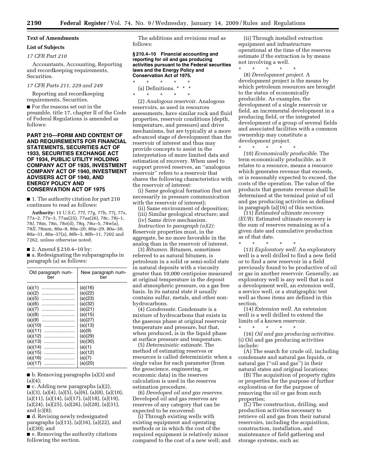# **Text of Amendments**

## **List of Subjects**

## *17 CFR Part 210*

Accountants, Accounting, Reporting and recordkeeping requirements, Securities.

## *17 CFR Parts 211, 229 and 249*

Reporting and recordkeeping requirements, Securities.

■ For the reasons set out in the preamble, title 17, chapter II of the Code of Federal Regulations is amended as follows:

## **PART 210—FORM AND CONTENT OF AND REQUIREMENTS FOR FINANCIAL STATEMENTS, SECURITIES ACT OF 1933, SECURITIES EXCHANGE ACT OF 1934, PUBLIC UTILITY HOLDING COMPANY ACT OF 1935, INVESTMENT COMPANY ACT OF 1940, INVESTMENT ADVISERS ACT OF 1940, AND ENERGY POLICY AND CONSERVATION ACT OF 1975**

■ 1. The authority citation for part 210 continues to read as follows:

**Authority:** 15 U.S.C. 77f, 77g, 77h, 77j, 77s, 77z–2, 77z–3, 77aa(25), 77aa(26), 78c, 78j–1, 78*l*, 78m, 78n, 78o(d), 78q, 78u–5, 78w(a), 78*ll*, 78mm, 80a–8, 80a–20, 80a–29, 80a–30, 80a–31, 80a–37(a), 80b–3, 80b–11, 7202 and 7262, unless otherwise noted.

■ 2. Amend § 210.4–10 by:

■ a. Redesignating the subparagraphs in paragraph (a) as follows:

| Old paragraph num-<br>ber                                                                                                                                                 | New paragraph num-<br>ber                                                                                                                                      |
|---------------------------------------------------------------------------------------------------------------------------------------------------------------------------|----------------------------------------------------------------------------------------------------------------------------------------------------------------|
| (a)(1)<br>(a)(2)<br>(a)(5)<br>(a)(6)<br>(a)(7)<br>(a)(8)<br>.<br>(a)(9)<br>.<br>(a)(10)<br>.<br>(a)(11)<br>(a)(12)<br>(a)(13)<br>(a)(14)<br>(a)(15)<br>(a)(16)<br>(a)(17) | (a)(16)<br>(a)(22)<br>(a)(23)<br>(a)(32)<br>(a)(21)<br>(a)(15)<br>(a)(27)<br>(a)(13)<br>(a)(9)<br>(a)(29)<br>(a)(30)<br>(a)(1)<br>(a)(12)<br>(a)(7)<br>(a)(20) |
|                                                                                                                                                                           |                                                                                                                                                                |

■ b. Removing paragraphs (a)(3) and  $(a)(4);$ 

 $\blacksquare$  c. Adding new paragraphs (a)(2),  $(a)(3)$ ,  $(a)(4)$ ,  $(a)(5)$ ,  $(a)(6)$ ,  $(a)(8)$ ,  $(a)(10)$ ,  $(a)(11), (a)(14), (a)(17), (a)(18), (a)(19),$ (a)(24), (a)(25), (a)(26), (a)(28), (a)(31), and (c)(8);

■ d. Revising newly redesignated paragraphs (a)(13), (a)(16), (a)(22), and (a)(30); and

■ e. Removing the authority citations following the section.

The additions and revisions read as follows:

**§ 210.4–10 Financial accounting and reporting for oil and gas producing activities pursuant to the Federal securities laws and the Energy Policy and Conservation Act of 1975.** 

\* \* \* \* \* (a) Definitions. \* \* \* \* \* \* \* \*

(2) *Analogous reservoir.* Analogous reservoirs, as used in resources assessments, have similar rock and fluid properties, reservoir conditions (depth, temperature, and pressure) and drive mechanisms, but are typically at a more advanced stage of development than the reservoir of interest and thus may provide concepts to assist in the interpretation of more limited data and estimation of recovery. When used to support proved reserves, an ''analogous reservoir'' refers to a reservoir that shares the following characteristics with the reservoir of interest:

(i) Same geological formation (but not necessarily in pressure communication with the reservoir of interest);

(ii) Same environment of deposition;

(iii) Similar geological structure; and

(iv) Same drive mechanism.

*Instruction to paragraph (a)(2):*  Reservoir properties must, in the aggregate, be no more favorable in the analog than in the reservoir of interest.

(3) *Bitumen.* Bitumen, sometimes referred to as natural bitumen, is petroleum in a solid or semi-solid state in natural deposits with a viscosity greater than 10,000 centipoise measured at original temperature in the deposit and atmospheric pressure, on a gas free basis. In its natural state it usually contains sulfur, metals, and other nonhydrocarbons.

(4) *Condensate.* Condensate is a mixture of hydrocarbons that exists in the gaseous phase at original reservoir temperature and pressure, but that, when produced, is in the liquid phase at surface pressure and temperature.

(5) *Deterministic estimate.* The method of estimating reserves or resources is called deterministic when a single value for each parameter (from the geoscience, engineering, or economic data) in the reserves calculation is used in the reserves estimation procedure.

(6) *Developed oil and gas reserves.*  Developed oil and gas reserves are reserves of any category that can be expected to be recovered:

(i) Through existing wells with existing equipment and operating methods or in which the cost of the required equipment is relatively minor compared to the cost of a new well; and

(ii) Through installed extraction equipment and infrastructure operational at the time of the reserves estimate if the extraction is by means not involving a well.

\* \* \* \* \*

(8) *Development project.* A development project is the means by which petroleum resources are brought to the status of economically producible. As examples, the development of a single reservoir or field, an incremental development in a producing field, or the integrated development of a group of several fields and associated facilities with a common ownership may constitute a development project.

\* \* \* \* \*

(10) *Economically producible.* The term economically producible, as it relates to a resource, means a resource which generates revenue that exceeds, or is reasonably expected to exceed, the costs of the operation. The value of the products that generate revenue shall be determined at the terminal point of oil and gas producing activities as defined in paragraph (a)(16) of this section.

(11) *Estimated ultimate recovery (EUR).* Estimated ultimate recovery is the sum of reserves remaining as of a given date and cumulative production as of that date.

\* \* \* \* \* (13) *Exploratory well.* An exploratory well is a well drilled to find a new field or to find a new reservoir in a field previously found to be productive of oil or gas in another reservoir. Generally, an exploratory well is any well that is not a development well, an extension well, a service well, or a stratigraphic test well as those items are defined in this section.

(14) *Extension well.* An extension well is a well drilled to extend the limits of a known reservoir.

\* \* \* \* \* (16) *Oil and gas producing activities.*  (i) Oil and gas producing activities include:

(A) The search for crude oil, including condensate and natural gas liquids, or natural gas (''oil and gas'') in their natural states and original locations;

(B) The acquisition of property rights or properties for the purpose of further exploration or for the purpose of removing the oil or gas from such properties;

(C) The construction, drilling, and production activities necessary to retrieve oil and gas from their natural reservoirs, including the acquisition, construction, installation, and maintenance of field gathering and storage systems, such as: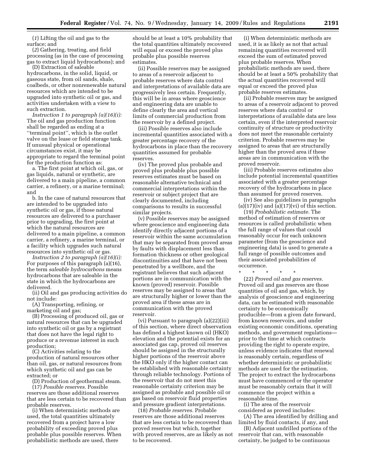(*1*) Lifting the oil and gas to the surface; and

(*2*) Gathering, treating, and field processing (as in the case of processing gas to extract liquid hydrocarbons); and

(D) Extraction of saleable hydrocarbons, in the solid, liquid, or gaseous state, from oil sands, shale, coalbeds, or other nonrenewable natural resources which are intended to be upgraded into synthetic oil or gas, and activities undertaken with a view to such extraction.

*Instruction 1 to paragraph (a)(16)(i):*  The oil and gas production function shall be regarded as ending at a ''terminal point'', which is the outlet valve on the lease or field storage tank. If unusual physical or operational circumstances exist, it may be appropriate to regard the terminal point for the production function as:

a. The first point at which oil, gas, or gas liquids, natural or synthetic, are delivered to a main pipeline, a common carrier, a refinery, or a marine terminal; and

b. In the case of natural resources that are intended to be upgraded into synthetic oil or gas, if those natural resources are delivered to a purchaser prior to upgrading, the first point at which the natural resources are delivered to a main pipeline, a common carrier, a refinery, a marine terminal, or a facility which upgrades such natural resources into synthetic oil or gas.

*Instruction 2 to paragraph (a)(16)(i):*  For purposes of this paragraph (a)(16), the term *saleable hydrocarbons* means hydrocarbons that are saleable in the state in which the hydrocarbons are delivered.

(ii) Oil and gas producing activities do not include:

(A) Transporting, refining, or marketing oil and gas;

(B) Processing of produced oil, gas or natural resources that can be upgraded into synthetic oil or gas by a registrant that does not have the legal right to produce or a revenue interest in such production;

(C) Activities relating to the production of natural resources other than oil, gas, or natural resources from which synthetic oil and gas can be extracted; or

(D) Production of geothermal steam.

(17) *Possible reserves.* Possible reserves are those additional reserves that are less certain to be recovered than probable reserves.

(i) When deterministic methods are used, the total quantities ultimately recovered from a project have a low probability of exceeding proved plus probable plus possible reserves. When probabilistic methods are used, there

should be at least a 10% probability that the total quantities ultimately recovered will equal or exceed the proved plus probable plus possible reserves estimates.

(ii) Possible reserves may be assigned to areas of a reservoir adjacent to probable reserves where data control and interpretations of available data are progressively less certain. Frequently, this will be in areas where geoscience and engineering data are unable to define clearly the area and vertical limits of commercial production from the reservoir by a defined project.

(iii) Possible reserves also include incremental quantities associated with a greater percentage recovery of the hydrocarbons in place than the recovery quantities assumed for probable reserves.

(iv) The proved plus probable and proved plus probable plus possible reserves estimates must be based on reasonable alternative technical and commercial interpretations within the reservoir or subject project that are clearly documented, including comparisons to results in successful similar projects.

(v) Possible reserves may be assigned where geoscience and engineering data identify directly adjacent portions of a reservoir within the same accumulation that may be separated from proved areas by faults with displacement less than formation thickness or other geological discontinuities and that have not been penetrated by a wellbore, and the registrant believes that such adjacent portions are in communication with the known (proved) reservoir. Possible reserves may be assigned to areas that are structurally higher or lower than the proved area if these areas are in communication with the proved reservoir.

(vi) Pursuant to paragraph (a)(22)(iii) of this section, where direct observation has defined a highest known oil (HKO) elevation and the potential exists for an associated gas cap, proved oil reserves should be assigned in the structurally higher portions of the reservoir above the HKO only if the higher contact can be established with reasonable certainty through reliable technology. Portions of the reservoir that do not meet this reasonable certainty criterion may be assigned as probable and possible oil or gas based on reservoir fluid properties and pressure gradient interpretations.

(18) *Probable reserves.* Probable reserves are those additional reserves that are less certain to be recovered than proved reserves but which, together with proved reserves, are as likely as not to be recovered.

(i) When deterministic methods are used, it is as likely as not that actual remaining quantities recovered will exceed the sum of estimated proved plus probable reserves. When probabilistic methods are used, there should be at least a 50% probability that the actual quantities recovered will equal or exceed the proved plus probable reserves estimates.

(ii) Probable reserves may be assigned to areas of a reservoir adjacent to proved reserves where data control or interpretations of available data are less certain, even if the interpreted reservoir continuity of structure or productivity does not meet the reasonable certainty criterion. Probable reserves may be assigned to areas that are structurally higher than the proved area if these areas are in communication with the proved reservoir.

(iii) Probable reserves estimates also include potential incremental quantities associated with a greater percentage recovery of the hydrocarbons in place than assumed for proved reserves.

(iv) See also guidelines in paragraphs  $(a)(17)(iv)$  and  $(a)(17)(vi)$  of this section.

(19) *Probabilistic estimate.* The method of estimation of reserves or resources is called probabilistic when the full range of values that could reasonably occur for each unknown parameter (from the geoscience and engineering data) is used to generate a full range of possible outcomes and their associated probabilities of occurrence.

\* \* \* \* \*

(22) *Proved oil and gas reserves.*  Proved oil and gas reserves are those quantities of oil and gas, which, by analysis of geoscience and engineering data, can be estimated with reasonable certainty to be economically producible—from a given date forward, from known reservoirs, and under existing economic conditions, operating methods, and government regulations prior to the time at which contracts providing the right to operate expire, unless evidence indicates that renewal is reasonably certain, regardless of whether deterministic or probabilistic methods are used for the estimation. The project to extract the hydrocarbons must have commenced or the operator must be reasonably certain that it will commence the project within a reasonable time.

(i) The area of the reservoir considered as proved includes:

(A) The area identified by drilling and limited by fluid contacts, if any, and

(B) Adjacent undrilled portions of the reservoir that can, with reasonable certainty, be judged to be continuous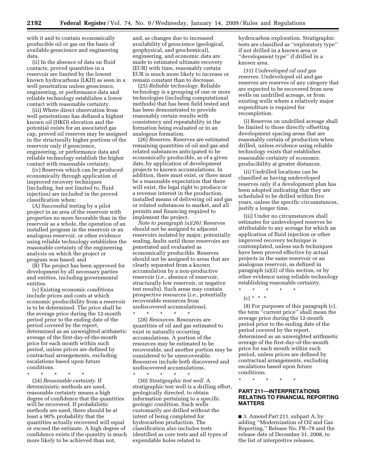with it and to contain economically producible oil or gas on the basis of available geoscience and engineering data.

(ii) In the absence of data on fluid contacts, proved quantities in a reservoir are limited by the lowest known hydrocarbons (LKH) as seen in a well penetration unless geoscience, engineering, or performance data and reliable technology establishes a lower contact with reasonable certainty.

(iii) Where direct observation from well penetrations has defined a highest known oil (HKO) elevation and the potential exists for an associated gas cap, proved oil reserves may be assigned in the structurally higher portions of the reservoir only if geoscience, engineering, or performance data and reliable technology establish the higher contact with reasonable certainty.

(iv) Reserves which can be produced economically through application of improved recovery techniques (including, but not limited to, fluid injection) are included in the proved classification when:

(A) Successful testing by a pilot project in an area of the reservoir with properties no more favorable than in the reservoir as a whole, the operation of an installed program in the reservoir or an analogous reservoir, or other evidence using reliable technology establishes the reasonable certainty of the engineering analysis on which the project or program was based; and

(B) The project has been approved for development by all necessary parties and entities, including governmental entities.

(v) Existing economic conditions include prices and costs at which economic producibility from a reservoir is to be determined. The price shall be the average price during the 12-month period prior to the ending date of the period covered by the report, determined as an unweighted arithmetic average of the first-day-of-the-month price for each month within such period, unless prices are defined by contractual arrangements, excluding escalations based upon future conditions.

\* \* \* \* \*

(24) *Reasonable certainty.* If deterministic methods are used, reasonable certainty means a high degree of confidence that the quantities will be recovered. If probabilistic methods are used, there should be at least a 90% probability that the quantities actually recovered will equal or exceed the estimate. A high degree of confidence exists if the quantity is much more likely to be achieved than not,

and, as changes due to increased availability of geoscience (geological, geophysical, and geochemical), engineering, and economic data are made to estimated ultimate recovery (EUR) with time, reasonably certain EUR is much more likely to increase or remain constant than to decrease.

(25) *Reliable technology.* Reliable technology is a grouping of one or more technologies (including computational methods) that has been field tested and has been demonstrated to provide reasonably certain results with consistency and repeatability in the formation being evaluated or in an analogous formation.

(26) *Reserves.* Reserves are estimated remaining quantities of oil and gas and related substances anticipated to be economically producible, as of a given date, by application of development projects to known accumulations. In addition, there must exist, or there must be a reasonable expectation that there will exist, the legal right to produce or a revenue interest in the production, installed means of delivering oil and gas or related substances to market, and all permits and financing required to implement the project.

*Note to paragraph (a)(26):* Reserves should not be assigned to adjacent reservoirs isolated by major, potentially sealing, faults until those reservoirs are penetrated and evaluated as economically producible. Reserves should not be assigned to areas that are clearly separated from a known accumulation by a non-productive reservoir (*i.e.*, absence of reservoir, structurally low reservoir, or negative test results). Such areas may contain prospective resources (*i.e.*, potentially recoverable resources from undiscovered accumulations).

\* \* \* \* \* (28) *Resources.* Resources are quantities of oil and gas estimated to exist in naturally occurring accumulations. A portion of the resources may be estimated to be recoverable, and another portion may be considered to be unrecoverable. Resources include both discovered and undiscovered accumulations.

\* \* \* \* \* (30) *Stratigraphic test well.* A stratigraphic test well is a drilling effort, geologically directed, to obtain information pertaining to a specific geologic condition. Such wells customarily are drilled without the intent of being completed for hydrocarbon production. The classification also includes tests identified as core tests and all types of expendable holes related to

hydrocarbon exploration. Stratigraphic tests are classified as ''exploratory type'' if not drilled in a known area or ''development type'' if drilled in a known area.

(31) *Undeveloped oil and gas reserves.* Undeveloped oil and gas reserves are reserves of any category that are expected to be recovered from new wells on undrilled acreage, or from existing wells where a relatively major expenditure is required for recompletion.

(i) Reserves on undrilled acreage shall be limited to those directly offsetting development spacing areas that are reasonably certain of production when drilled, unless evidence using reliable technology exists that establishes reasonable certainty of economic producibility at greater distances.

(ii) Undrilled locations can be classified as having undeveloped reserves only if a development plan has been adopted indicating that they are scheduled to be drilled within five years, unless the specific circumstances, justify a longer time.

(iii) Under no circumstances shall estimates for undeveloped reserves be attributable to any acreage for which an application of fluid injection or other improved recovery technique is contemplated, unless such techniques have been proved effective by actual projects in the same reservoir or an analogous reservoir, as defined in paragraph (a)(2) of this section, or by other evidence using reliable technology establishing reasonable certainty.

\* \* \* \* \*

(8) For purposes of this paragraph (c), the term ''current price'' shall mean the average price during the 12-month period prior to the ending date of the period covered by the report, determined as an unweighted arithmetic average of the first-day-of-the-month price for each month within such period, unless prices are defined by contractual arrangements, excluding escalations based upon future conditions.

\* \* \* \* \*

# **PART 211—INTERPRETATIONS RELATING TO FINANCIAL REPORTING MATTERS**

■ 3. Amend Part 211, subpart A, by adding ''Modernization of Oil and Gas Reporting,'' Release No. FR–78 and the release date of December 31, 2008, to the list of interpretive releases.

 $(c) * * * *$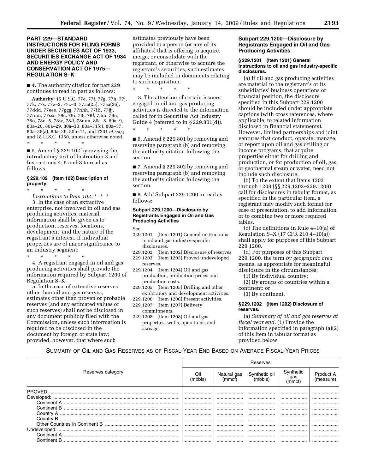## **PART 229—STANDARD INSTRUCTIONS FOR FILING FORMS UNDER SECURITIES ACT OF 1933, SECURITIES EXCHANGE ACT OF 1934 AND ENERGY POLICY AND CONSERVATION ACT OF 1975— REGULATION S–K**

■ 4. The authority citation for part 229 continues to read in part as follows:

**Authority:** 15 U.S.C. 77e, 77f, 77g, 77h, 77j, 77k, 77s, 77z–2, 77z–3, 77aa(25), 77aa(26), 77ddd, 77eee, 77ggg, 77hhh, 77iii, 77jjj, 77nnn, 77sss, 78c, 78i, 78j, 78*l*, 78m, 78n, 78o, 78u–5, 78w, 78*ll*, 78mm, 80a–8, 80a–9, 80a–20, 80a–29, 80a–30, 80a–31(c), 80a–37, 80a–38(a), 80a–39, 80b–11, and 7201 *et seq*.; and 18 U.S.C. 1350, unless otherwise noted. \* \* \* \* \*

■ 5. Amend § 229.102 by revising the introductory text of Instruction 3 and Instructions 4, 5 and 8 to read as follows.

## **§ 229.102 (Item 102) Description of property.**

\* \* \* \* \* *Instructions to Item 102:* \* \* \* 3. In the case of an extractive enterprise, not involved in oil and gas producing activities, material information shall be given as to production, reserves, locations, development, and the nature of the registrant's interest. If individual properties are of major significance to an industry segment:

\* \* \* \* \*

4. A registrant engaged in oil and gas producing activities shall provide the information required by Subpart 1200 of Regulation S–K.

5. In the case of extractive reserves other than oil and gas reserves, estimates other than proven or probable reserves (and any estimated values of such reserves) shall not be disclosed in any document publicly filed with the Commission, unless such information is required to be disclosed in the document by foreign or state law; provided, however, that where such

estimates previously have been provided to a person (or any of its affiliates) that is offering to acquire, merge, or consolidate with the registrant, or otherwise to acquire the registrant's securities, such estimates may be included in documents relating to such acquisition.

\* \* \* \* \*

\* \* \* \* \*

8. The attention of certain issuers engaged in oil and gas producing activities is directed to the information called for in Securities Act Industry Guide 4 (referred to in § 229.801(d)).

■ 6. Amend § 229.801 by removing and reserving paragraph (b) and removing the authority citation following the section.

■ 7. Amend § 229.802 by removing and reserving paragraph (b) and removing the authority citation following the section.

■ 8. Add Subpart 229.1200 to read as follows:

## **Subpart 229.1200—Disclosure by Registrants Engaged in Oil and Gas Producing Activities**

Sec.

- 229.1201 (Item 1201) General instructions to oil and gas industry-specific disclosures.
- 229.1202 (Item 1202) Disclosure of reserves.
- 229.1203 (Item 1203) Proved undeveloped reserves. 229.1204 (Item 1204) Oil and gas
- production, production prices and production costs.
- 229.1205 (Item 1205) Drilling and other exploratory and development activities.
- 229.1206 (Item 1206) Present activities. 229.1207 (Item 1207) Delivery
- commitments. 229.1208 (Item 1208) Oil and gas properties, wells, operations, and acreage.

## **Subpart 229.1200—Disclosure by Registrants Engaged in Oil and Gas Producing Activities**

#### **§ 229.1201 (Item 1201) General instructions to oil and gas industry-specific disclosures.**

(a) If oil and gas producing activities are material to the registrant's or its subsidiaries' business operations or financial position, the disclosure specified in this Subpart 229.1200 should be included under appropriate captions (with cross references, where applicable, to related information disclosed in financial statements). However, limited partnerships and joint ventures that conduct, operate, manage, or report upon oil and gas drilling or income programs, that acquire properties either for drilling and production, or for production of oil, gas, or geothermal steam or water, need not include such disclosure.

(b) To the extent that Items 1202 through 1208 (§§ 229.1202–229.1208) call for disclosures in tabular format, as specified in the particular Item, a registrant may modify such format for ease of presentation, to add information or to combine two or more required tables.

(c) The definitions in Rule 4–10(a) of Regulation S–X (17 CFR 210.4–10(a)) shall apply for purposes of this Subpart 229.1200.

(d) For purposes of this Subpart 229.1200, the term *by geographic area*  means, as appropriate for meaningful disclosure in the circumstances:

(1) By individual country;

(2) By groups of countries within a continent; or

(3) By continent.

## **§ 229.1202 (Item 1202) Disclosure of reserves.**

(a) *Summary of oil and gas reserves at fiscal year end.* (1) Provide the information specified in paragraph (a)(2) of this Item in tabular format as provided below:

# SUMMARY OF OIL AND GAS RESERVES AS OF FISCAL-YEAR END BASED ON AVERAGE FISCAL-YEAR PRICES

|                                                                                                                                                                                                                                                                                                                                                                                                                                                                                                                                       | Reserves       |                       |                          |                            |                        |  |  |  |  |
|---------------------------------------------------------------------------------------------------------------------------------------------------------------------------------------------------------------------------------------------------------------------------------------------------------------------------------------------------------------------------------------------------------------------------------------------------------------------------------------------------------------------------------------|----------------|-----------------------|--------------------------|----------------------------|------------------------|--|--|--|--|
| Reserves category                                                                                                                                                                                                                                                                                                                                                                                                                                                                                                                     | Oil<br>(mbbls) | Natural gas<br>(mmct) | Synthetic oil<br>(mbbls) | Synthetic<br>gas<br>(mmcf) | Product A<br>(measure) |  |  |  |  |
| PROVED.                                                                                                                                                                                                                                                                                                                                                                                                                                                                                                                               |                |                       |                          |                            | .                      |  |  |  |  |
|                                                                                                                                                                                                                                                                                                                                                                                                                                                                                                                                       |                |                       |                          |                            |                        |  |  |  |  |
|                                                                                                                                                                                                                                                                                                                                                                                                                                                                                                                                       |                |                       |                          |                            |                        |  |  |  |  |
| $\begin{minipage}{.4\linewidth} \textbf{Continent B} \end{minipage} \begin{minipage}{.4\linewidth} \textbf{Continued B} \end{minipage} \begin{minipage}{.4\linewidth} \textbf{C} \end{minipage} \begin{minipage}{.4\linewidth} \textbf{C} \end{minipage} \begin{minipage}{.4\linewidth} \textbf{C} \end{minipage} \begin{minipage}{.4\linewidth} \textbf{C} \end{minipage} \begin{minipage}{.4\linewidth} \textbf{C} \end{minipage} \begin{minipage}{.4\linewidth} \textbf{C} \end{minipage} \begin{minipage}{.4\linewidth} \textbf{$ |                |                       |                          |                            |                        |  |  |  |  |
|                                                                                                                                                                                                                                                                                                                                                                                                                                                                                                                                       |                |                       |                          |                            | .                      |  |  |  |  |
|                                                                                                                                                                                                                                                                                                                                                                                                                                                                                                                                       |                |                       |                          |                            |                        |  |  |  |  |
|                                                                                                                                                                                                                                                                                                                                                                                                                                                                                                                                       |                |                       |                          |                            | .                      |  |  |  |  |
|                                                                                                                                                                                                                                                                                                                                                                                                                                                                                                                                       |                |                       |                          |                            |                        |  |  |  |  |
|                                                                                                                                                                                                                                                                                                                                                                                                                                                                                                                                       |                |                       |                          |                            |                        |  |  |  |  |
|                                                                                                                                                                                                                                                                                                                                                                                                                                                                                                                                       |                |                       |                          |                            |                        |  |  |  |  |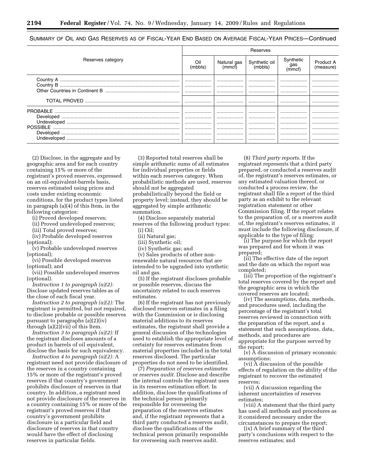SUMMARY OF OIL AND GAS RESERVES AS OF FISCAL-YEAR END BASED ON AVERAGE FISCAL-YEAR PRICES—Continued

|                                                                                                                                                                                                                                                                                                                                                                                                                                                                                          | Reserves       |                       |                          |                            |                        |  |  |  |  |
|------------------------------------------------------------------------------------------------------------------------------------------------------------------------------------------------------------------------------------------------------------------------------------------------------------------------------------------------------------------------------------------------------------------------------------------------------------------------------------------|----------------|-----------------------|--------------------------|----------------------------|------------------------|--|--|--|--|
| Reserves category                                                                                                                                                                                                                                                                                                                                                                                                                                                                        | Oil<br>(mbbls) | Natural gas<br>(mmcf) | Synthetic oil<br>(mbbls) | Synthetic<br>gas<br>(mmcf) | Product A<br>(measure) |  |  |  |  |
| $\begin{tabular}{ll} \textbf{Country A} & \textbf{\texttt{}} & \textbf{\texttt{}} & \textbf{\texttt{}} & \textbf{\texttt{}} & \textbf{\texttt{}} & \textbf{\texttt{}} & \textbf{\texttt{}} & \textbf{\texttt{}} & \textbf{\texttt{}} & \textbf{\texttt{}} & \textbf{\texttt{}} & \textbf{\texttt{}} & \textbf{\texttt{}} & \textbf{\texttt{}} & \textbf{\texttt{}} & \textbf{\texttt{}} & \textbf{\texttt{}} & \textbf{\texttt{}} & \textbf{\texttt{}} & \textbf{\texttt{}} & \textbf{\$ | <br>           | <br>                  | <br>                     | <br>                       | .<br>                  |  |  |  |  |
|                                                                                                                                                                                                                                                                                                                                                                                                                                                                                          |                |                       |                          |                            |                        |  |  |  |  |
|                                                                                                                                                                                                                                                                                                                                                                                                                                                                                          |                |                       |                          |                            |                        |  |  |  |  |
| PROBABLE                                                                                                                                                                                                                                                                                                                                                                                                                                                                                 | <br>           | <br>                  | <br>                     | <br>                       | .<br>                  |  |  |  |  |
| POSSIBLE                                                                                                                                                                                                                                                                                                                                                                                                                                                                                 | <br>           | <br>                  | <br>                     | <br>                       | <br>                   |  |  |  |  |
|                                                                                                                                                                                                                                                                                                                                                                                                                                                                                          | <br>           |                       |                          |                            |                        |  |  |  |  |
|                                                                                                                                                                                                                                                                                                                                                                                                                                                                                          |                |                       |                          |                            |                        |  |  |  |  |

(2) Disclose, in the aggregate and by geographic area and for each country containing 15% or more of the registrant's proved reserves, expressed on an oil-equivalent-barrels basis, reserves estimated using prices and costs under existing economic conditions, for the product types listed in paragraph (a)(4) of this Item, in the following categories:

(i) Proved developed reserves;

(ii) Proved undeveloped reserves;

(iii) Total proved reserves;

(iv) Probable developed reserves (optional);

(v) Probable undeveloped reserves (optional);

(vi) Possible developed reserves (optional); and

(vii) Possible undeveloped reserves (optional).

*Instruction 1 to paragraph (a)(2):*  Disclose updated reserves tables as of the close of each fiscal year.

*Instruction 2 to paragraph (a)(2):* The registrant is permitted, but not required, to disclose probable or possible reserves pursuant to paragraphs (a)(2)(iv) through (a)(2)(vii) of this Item.

*Instruction 3 to paragraph (a)(2):* If the registrant discloses amounts of a product in barrels of oil equivalent, disclose the basis for such equivalency.

*Instruction 4 to paragraph (a)(2):* A registrant need not provide disclosure of the reserves in a country containing 15% or more of the registrant's proved reserves if that country's government prohibits disclosure of reserves in that country. In addition, a registrant need not provide disclosure of the reserves in a country containing 15% or more of the registrant's proved reserves if that country's government prohibits disclosure in a particular field and disclosure of reserves in that country would have the effect of disclosing reserves in particular fields.

(3) Reported total reserves shall be simple arithmetic sums of all estimates for individual properties or fields within each reserves category. When probabilistic methods are used, reserves should not be aggregated probabilistically beyond the field or property level; instead, they should be aggregated by simple arithmetic summation.

(4) Disclose separately material reserves of the following product types:

(i) Oil;

(ii) Natural gas;

(iii) Synthetic oil;

(iv) Synthetic gas; and

(v) Sales products of other nonrenewable natural resources that are intended to be upgraded into synthetic oil and gas.

(5) If the registrant discloses probable or possible reserves, discuss the uncertainty related to such reserves estimates.

(6) If the registrant has not previously disclosed reserves estimates in a filing with the Commission or is disclosing material additions to its reserves estimates, the registrant shall provide a general discussion of the technologies used to establish the appropriate level of certainty for reserves estimates from material properties included in the total reserves disclosed. The particular properties do not need to be identified.

(7) *Preparation of reserves estimates or reserves audit.* Disclose and describe the internal controls the registrant uses in its reserves estimation effort. In addition, disclose the qualifications of the technical person primarily responsible for overseeing the preparation of the reserves estimates and, if the registrant represents that a third party conducted a reserves audit, disclose the qualifications of the technical person primarily responsible for overseeing such reserves audit.

(8) *Third party reports.* If the registrant represents that a third party prepared, or conducted a reserves audit of, the registrant's reserves estimates, or any estimated valuation thereof, or conducted a process review, the registrant shall file a report of the third party as an exhibit to the relevant registration statement or other Commission filing. If the report relates to the preparation of, or a reserves audit of, the registrant's reserves estimates, it must include the following disclosure, if applicable to the type of filing:

(i) The purpose for which the report was prepared and for whom it was prepared;

(ii) The effective date of the report and the date on which the report was completed;

(iii) The proportion of the registrant's total reserves covered by the report and the geographic area in which the covered reserves are located;

(iv) The assumptions, data, methods, and procedures used, including the percentage of the registrant's total reserves reviewed in connection with the preparation of the report, and a statement that such assumptions, data, methods, and procedures are appropriate for the purpose served by the report;

(v) A discussion of primary economic assumptions;

(vi) A discussion of the possible effects of regulation on the ability of the registrant to recover the estimated reserves;

(vii) A discussion regarding the inherent uncertainties of reserves estimates;

(viii) A statement that the third party has used all methods and procedures as it considered necessary under the circumstances to prepare the report;

(ix) A brief summary of the third party's conclusions with respect to the reserves estimates; and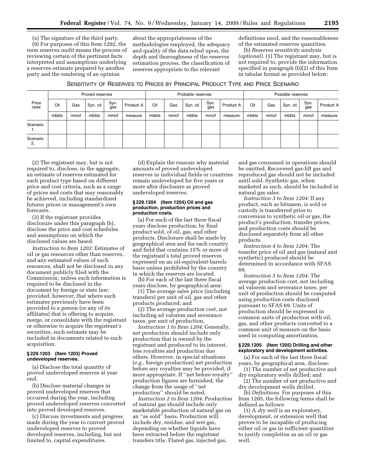(x) The signature of the third party. (9) For purposes of this Item 1202, the term *reserves audit* means the process of reviewing certain of the pertinent facts interpreted and assumptions underlying a reserves estimate prepared by another party and the rendering of an opinion

about the appropriateness of the methodologies employed, the adequacy and quality of the data relied upon, the depth and thoroughness of the reserves estimation process, the classification of reserves appropriate to the relevant

definitions used, and the reasonableness of the estimated reserves quantities.

(b) *Reserves sensitivity analysis (optional).* (1) The registrant may, but is not required to, provide the information specified in paragraph (b)(2) of this Item in tabular format as provided below:

SENSITIVITY OF RESERVES TO PRICES BY PRINCIPAL PRODUCT TYPE AND PRICE SCENARIO

|                 | Proved reserves |      |          |             | Probable reserves |       |      |          | Possible reserves |           |       |      |          |             |           |
|-----------------|-----------------|------|----------|-------------|-------------------|-------|------|----------|-------------------|-----------|-------|------|----------|-------------|-----------|
| Price<br>case   | Oil             | Gas  | Syn. oil | Syn.<br>gas | Product A         | Oil   | Gas  | Syn. oil | Syn.<br>gas       | Product A | Oil   | Gas  | Syn. oil | Syn.<br>gas | Product A |
|                 | mbbls           | mmcf | mbbls    | mmcf        | measure           | mbbls | mmcf | mbbls    | mmcf              | measure   | mbbls | mmcf | mbbls    | mmcf        | measure   |
| Scenario<br>. . |                 |      |          |             |                   |       |      |          |                   |           |       |      |          |             |           |
| Scenario<br>2.  |                 |      |          |             |                   |       |      |          |                   |           |       |      |          |             |           |

(2) The registrant may, but is not required to, disclose, in the aggregate, an estimate of reserves estimated for each product type based on different price and cost criteria, such as a range of prices and costs that may reasonably be achieved, including standardized futures prices or management's own forecasts.

(3) If the registrant provides disclosure under this paragraph (b), disclose the price and cost schedules and assumptions on which the disclosed values are based.

*Instruction to Item 1202:* Estimates of oil or gas resources other than reserves, and any estimated values of such resources, shall not be disclosed in any document publicly filed with the Commission, unless such information is required to be disclosed in the document by foreign or state law; provided, however, that where such estimates previously have been provided to a person (or any of its affiliates) that is offering to acquire, merge, or consolidate with the registrant or otherwise to acquire the registrant's securities, such estimate may be included in documents related to such acquisition.

## **§ 229.1203 (Item 1203) Proved undeveloped reserves.**

(a) Disclose the total quantity of proved undeveloped reserves at year end.

(b) Disclose material changes in proved undeveloped reserves that occurred during the year, including proved undeveloped reserves converted into proved developed reserves.

(c) Discuss investments and progress made during the year to convert proved undeveloped reserves to proved developed reserves, including, but not limited to, capital expenditures.

(d) Explain the reasons why material amounts of proved undeveloped reserves in individual fields or countries remain undeveloped for five years or more after disclosure as proved undeveloped reserves.

#### **§ 229.1204 (Item 1204) Oil and gas production, production prices and production costs.**

(a) For each of the last three fiscal years disclose production, by final product sold, of oil, gas, and other products. Disclosure shall be made by geographical area and for each country and field that contains 15% or more of the registrant's total proved reserves expressed on an oil-equivalent-barrels basis unless prohibited by the country in which the reserves are located.

(b) For each of the last three fiscal years disclose, by geographical area:

(1) The average sales price (including transfers) per unit of oil, gas and other products produced; and

(2) The average production cost, not including ad valorem and severance taxes, per unit of production.

*Instruction 1 to Item 1204:* Generally, net production should include only production that is owned by the registrant and produced to its interest, less royalties and production due others. However, in special situations (*e.g.*, foreign production) net production before any royalties may be provided, if more appropriate. If ''net before royalty'' production figures are furnished, the change from the usage of ''net production'' should be noted.

*Instruction 2 to Item 1204:* Production of natural gas should include only marketable production of natural gas on an ''as sold'' basis. Production will include dry, residue, and wet gas, depending on whether liquids have been extracted before the registrant transfers title. Flared gas, injected gas,

and gas consumed in operations should be omitted. Recovered gas-lift gas and reproduced gas should not be included until sold. Synthetic gas, when marketed as such, should be included in natural gas sales.

*Instruction 3 to Item 1204:* If any product, such as bitumen, is sold or custody is transferred prior to conversion to synthetic oil or gas, the product's production, transfer prices, and production costs should be disclosed separately from all other products.

*Instruction 4 to Item 1204:* The transfer price of oil and gas (natural and synthetic) produced should be determined in accordance with SFAS 69.

*Instruction 5 to Item 1204:* The average production cost, not including ad valorem and severance taxes, per unit of production should be computed using production costs disclosed pursuant to SFAS 69. Units of production should be expressed in common units of production with oil, gas, and other products converted to a common unit of measure on the basis used in computing amortization.

## **§ 229.1205 (Item 1205) Drilling and other exploratory and development activities.**

(a) For each of the last three fiscal years, by geographical area, disclose:

(1) The number of net productive and dry exploratory wells drilled; and

(2) The number of net productive and dry development wells drilled.

(b) *Definitions.* For purposes of this Item 1205, the following terms shall be defined as follows:

(1) A *dry well* is an exploratory, development, or extension well that proves to be incapable of producing either oil or gas in sufficient quantities to justify completion as an oil or gas well.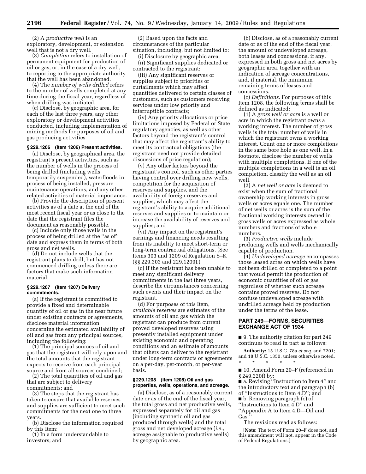(2) A *productive well* is an exploratory, development, or extension well that is not a dry well.

(3) *Completion* refers to installation of permanent equipment for production of oil or gas, or, in the case of a dry well, to reporting to the appropriate authority that the well has been abandoned.

(4) The *number of wells drilled* refers to the number of wells completed at any time during the fiscal year, regardless of when drilling was initiated.

(c) Disclose, by geographic area, for each of the last three years, any other exploratory or development activities conducted, including implementation of mining methods for purposes of oil and gas producing activities.

## **§ 229.1206 (Item 1206) Present activities.**

(a) Disclose, by geographical area, the registrant's present activities, such as the number of wells in the process of being drilled (including wells temporarily suspended), waterfloods in process of being installed, pressure maintenance operations, and any other related activities of material importance.

(b) Provide the description of present activities as of a date at the end of the most recent fiscal year or as close to the date that the registrant files the document as reasonably possible.

(c) Include only those wells in the process of being drilled at the ''as of'' date and express them in terms of both gross and net wells.

(d) Do not include wells that the registrant plans to drill, but has not commenced drilling unless there are factors that make such information material.

#### **§ 229.1207 (Item 1207) Delivery commitments.**

(a) If the registrant is committed to provide a fixed and determinable quantity of oil or gas in the near future under existing contracts or agreements, disclose material information concerning the estimated availability of oil and gas from any principal sources, including the following:

(1) The principal sources of oil and gas that the registrant will rely upon and the total amounts that the registrant expects to receive from each principal source and from all sources combined;

(2) The total quantities of oil and gas that are subject to delivery commitments; and

(3) The steps that the registrant has taken to ensure that available reserves and supplies are sufficient to meet such commitments for the next one to three years.

(b) Disclose the information required by this Item:

(1) In a form understandable to investors; and

(2) Based upon the facts and circumstances of the particular situation, including, but not limited to:

(i) Disclosure by geographic area; (ii) Significant supplies dedicated or

contracted to the registrant;

(iii) Any significant reserves or supplies subject to priorities or curtailments which may affect quantities delivered to certain classes of customers, such as customers receiving services under low priority and interruptible contracts;

(iv) Any priority allocations or price limitations imposed by Federal or State regulatory agencies, as well as other factors beyond the registrant's control that may affect the registrant's ability to meet its contractual obligations (the registrant need not provide detailed discussions of price regulation);

(v) Any other factors beyond the registrant's control, such as other parties having control over drilling new wells, competition for the acquisition of reserves and supplies, and the availability of foreign reserves and supplies, which may affect the registrant's ability to acquire additional reserves and supplies or to maintain or increase the availability of reserves and supplies; and

(vi) Any impact on the registrant's earnings and financing needs resulting from its inability to meet short-term or long-term contractual obligations. (See Items 303 and 1209 of Regulation S–K (§§ 229.303 and 229.1209).)

(c) If the registrant has been unable to meet any significant delivery commitments in the last three years, describe the circumstances concerning such events and their impact on the registrant.

(d) For purposes of this Item, *available reserves* are estimates of the amounts of oil and gas which the registrant can produce from current proved developed reserves using presently installed equipment under existing economic and operating conditions and an estimate of amounts that others can deliver to the registrant under long-term contracts or agreements on a per-day, per-month, or per-year basis.

#### **§ 229.1208 (Item 1208) Oil and gas properties, wells, operations, and acreage.**

(a) Disclose, as of a reasonably current date or as of the end of the fiscal year, the total gross and net productive wells, expressed separately for oil and gas (including synthetic oil and gas produced through wells) and the total gross and net developed acreage (*i.e.*, acreage assignable to productive wells) by geographic area.

(b) Disclose, as of a reasonably current date or as of the end of the fiscal year, the amount of undeveloped acreage, both leases and concessions, if any, expressed in both gross and net acres by geographic area, together with an indication of acreage concentrations, and, if material, the minimum remaining terms of leases and concessions.

(c) *Definitions.* For purposes of this Item 1208, the following terms shall be defined as indicated:

(1) A *gross well or acre* is a well or acre in which the registrant owns a working interest. The number of gross wells is the total number of wells in which the registrant owns a working interest. Count one or more completions in the same bore hole as one well. In a footnote, disclose the number of wells with multiple completions. If one of the multiple completions in a well is an oil completion, classify the well as an oil well.

(2) A *net well or acre* is deemed to exist when the sum of fractional ownership working interests in gross wells or acres equals one. The number of net wells or acres is the sum of the fractional working interests owned in gross wells or acres expressed as whole numbers and fractions of whole numbers.

(3) *Productive wells* include producing wells and wells mechanically capable of production.

(4) *Undeveloped acreage* encompasses those leased acres on which wells have not been drilled or completed to a point that would permit the production of economic quantities of oil or gas regardless of whether such acreage contains proved reserves. Do not confuse undeveloped acreage with undrilled acreage held by production under the terms of the lease.

## **PART 249—FORMS, SECURITIES EXCHANGE ACT OF 1934**

■ 9. The authority citation for part 249 continues to read in part as follows:

**Authority:** 15 U.S.C. 78a *et seq.* and 7201; and 18 U.S.C. 1350, unless otherwise noted. <br>  $\star$   $\qquad \star$   $\qquad \star$ \* \* \* \* \*

■ 10. Amend Form 20–F (referenced in § 249.220f) by:

■ a. Revising "Instruction to Item 4" and the introductory text and paragraph (b) of ''Instructions to Item 4.D''; and

■ b. Removing paragraph (c) of

''Instructions to Item 4.D'' and

''Appendix A to Item 4.D—Oil and Gas.''

The revisions read as follows:

[**Note:** The text of Form 20–F does not, and this amendment will not, appear in the Code of Federal Regulations.]